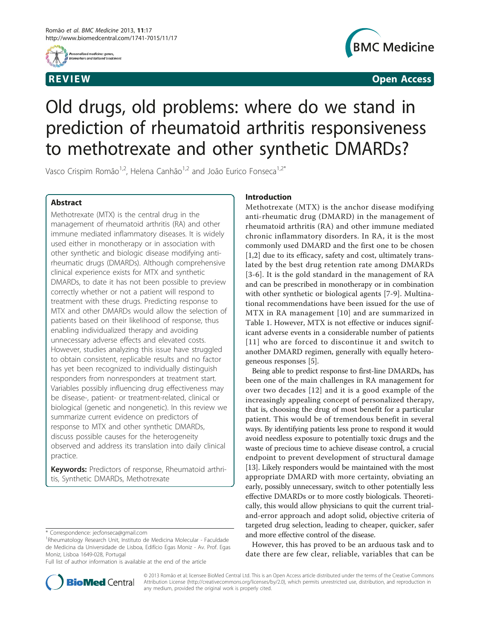



R EVI EW Open Access

# Old drugs, old problems: where do we stand in prediction of rheumatoid arthritis responsiveness to methotrexate and other synthetic DMARDs?

Vasco Crispim Romão<sup>1,2</sup>, Helena Canhão<sup>1,2</sup> and João Eurico Fonseca<sup>1,2\*</sup>

# Abstract

Methotrexate (MTX) is the central drug in the management of rheumatoid arthritis (RA) and other immune mediated inflammatory diseases. It is widely used either in monotherapy or in association with other synthetic and biologic disease modifying antirheumatic drugs (DMARDs). Although comprehensive clinical experience exists for MTX and synthetic DMARDs, to date it has not been possible to preview correctly whether or not a patient will respond to treatment with these drugs. Predicting response to MTX and other DMARDs would allow the selection of patients based on their likelihood of response, thus enabling individualized therapy and avoiding unnecessary adverse effects and elevated costs. However, studies analyzing this issue have struggled to obtain consistent, replicable results and no factor has yet been recognized to individually distinguish responders from nonresponders at treatment start. Variables possibly influencing drug effectiveness may be disease-, patient- or treatment-related, clinical or biological (genetic and nongenetic). In this review we summarize current evidence on predictors of response to MTX and other synthetic DMARDs, discuss possible causes for the heterogeneity observed and address its translation into daily clinical practice.

Keywords: Predictors of response, Rheumatoid arthritis, Synthetic DMARDs, Methotrexate

Full list of author information is available at the end of the article



# Introduction

Methotrexate (MTX) is the anchor disease modifying anti-rheumatic drug (DMARD) in the management of rheumatoid arthritis (RA) and other immune mediated chronic inflammatory disorders. In RA, it is the most commonly used DMARD and the first one to be chosen [[1,2](#page-16-0)] due to its efficacy, safety and cost, ultimately translated by the best drug retention rate among DMARDs [[3](#page-16-0)-[6](#page-16-0)]. It is the gold standard in the management of RA and can be prescribed in monotherapy or in combination with other synthetic or biological agents [[7-9](#page-16-0)]. Multinational recommendations have been issued for the use of MTX in RA management [[10](#page-16-0)] and are summarized in Table [1](#page-1-0). However, MTX is not effective or induces significant adverse events in a considerable number of patients [[11](#page-16-0)] who are forced to discontinue it and switch to another DMARD regimen, generally with equally heterogeneous responses [[5\]](#page-16-0).

Being able to predict response to first-line DMARDs, has been one of the main challenges in RA management for over two decades [\[12\]](#page-16-0) and it is a good example of the increasingly appealing concept of personalized therapy, that is, choosing the drug of most benefit for a particular patient. This would be of tremendous benefit in several ways. By identifying patients less prone to respond it would avoid needless exposure to potentially toxic drugs and the waste of precious time to achieve disease control, a crucial endpoint to prevent development of structural damage [[13](#page-16-0)]. Likely responders would be maintained with the most appropriate DMARD with more certainty, obviating an early, possibly unnecessary, switch to other potentially less effective DMARDs or to more costly biologicals. Theoretically, this would allow physicians to quit the current trialand-error approach and adopt solid, objective criteria of targeted drug selection, leading to cheaper, quicker, safer and more effective control of the disease.

However, this has proved to be an arduous task and to date there are few clear, reliable, variables that can be

© 2013 Romão et al; licensee BioMed Central Ltd. This is an Open Access article distributed under the terms of the Creative Commons Attribution License [\(http://creativecommons.org/licenses/by/2.0](http://creativecommons.org/licenses/by/2.0)), which permits unrestricted use, distribution, and reproduction in any medium, provided the original work is properly cited.

<sup>\*</sup> Correspondence: [jecfonseca@gmail.com](mailto:jecfonseca@gmail.com)

<sup>&</sup>lt;sup>1</sup>Rheumatology Research Unit, Instituto de Medicina Molecular - Faculdade de Medicina da Universidade de Lisboa, Edifício Egas Moniz - Av. Prof. Egas Moniz, Lisboa 1649-028, Portugal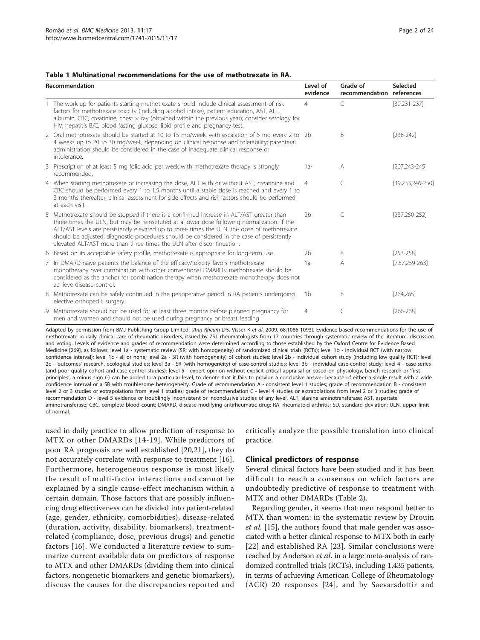### <span id="page-1-0"></span>Table 1 Multinational recommendations for the use of methotrexate in RA.

| Recommendation |                                                                                                                                                                                                                                                                                                                                                                                                                                                                  | Level of<br>evidence | Grade of<br>recommendation references | Selected           |
|----------------|------------------------------------------------------------------------------------------------------------------------------------------------------------------------------------------------------------------------------------------------------------------------------------------------------------------------------------------------------------------------------------------------------------------------------------------------------------------|----------------------|---------------------------------------|--------------------|
|                | The work-up for patients starting methotrexate should include clinical assessment of risk<br>factors for methotrexate toxicity (including alcohol intake), patient education, AST, ALT,<br>albumin, CBC, creatinine, chest $\times$ ray (obtained within the previous year); consider serology for<br>HIV, hepatitis B/C, blood fasting glucose, lipid profile and pregnancy test.                                                                               | 4                    | C                                     | $[39,231-237]$     |
|                | 2 Oral methotrexate should be started at 10 to 15 mg/week, with escalation of 5 mg every 2 to 2b<br>4 weeks up to 20 to 30 mg/week, depending on clinical response and tolerability; parenteral<br>administration should be considered in the case of inadequate clinical response or<br>intolerance.                                                                                                                                                            |                      | B                                     | $[238 - 242]$      |
|                | 3 Prescription of at least 5 mg folic acid per week with methotrexate therapy is strongly<br>recommended.                                                                                                                                                                                                                                                                                                                                                        | $1a-$                | A                                     | $[207, 243 - 245]$ |
|                | 4 When starting methotrexate or increasing the dose, ALT with or without AST, creatinine and<br>CBC should be performed every 1 to 1.5 months until a stable dose is reached and every 1 to<br>3 months thereafter; clinical assessment for side effects and risk factors should be performed<br>at each visit.                                                                                                                                                  | 4                    | C                                     | [39,233,246-250]   |
|                | 5 Methotrexate should be stopped if there is a confirmed increase in ALT/AST greater than<br>three times the ULN, but may be reinstituted at a lower dose following normalization. If the<br>ALT/AST levels are persistently elevated up to three times the ULN, the dose of methotrexate<br>should be adjusted; diagnostic procedures should be considered in the case of persistently<br>elevated ALT/AST more than three times the ULN after discontinuation. | 2 <sub>b</sub>       | C                                     | [237.250-252]      |
|                | 6 Based on its acceptable safety profile, methotrexate is appropriate for long-term use.                                                                                                                                                                                                                                                                                                                                                                         | 2 <sub>b</sub>       | B                                     | $[253 - 258]$      |
|                | 7 In DMARD-naïve patients the balance of the efficacy/toxicity favors methotrexate<br>monotherapy over combination with other conventional DMARDs; methotrexate should be<br>considered as the anchor for combination therapy when methotrexate monotherapy does not<br>achieve disease control.                                                                                                                                                                 | $1a-$                | A                                     | $[7,57,259-263]$   |
|                | 8 Methotrexate can be safely continued in the perioperative period in RA patients undergoing<br>elective orthopedic surgery.                                                                                                                                                                                                                                                                                                                                     | 1b                   | B                                     | [264, 265]         |
|                | 9 Methotrexate should not be used for at least three months before planned pregnancy for<br>men and women and should not be used during pregnancy or breast feeding                                                                                                                                                                                                                                                                                              | 4                    |                                       | $[266 - 268]$      |

Adapted by permission from BMJ Publishing Group Limited. [Ann Rheum Dis, Visser K et al. 2009, 68:1086-1093]. Evidence-based recommendations for the use of methotrexate in daily clinical care of rheumatic disorders, issued by 751 rheumatologists from 17 countries through systematic review of the literature, discussion and voting. Levels of evidence and grades of recommendation were determined according to those established by the Oxford Centre for Evidence Based Medicine [[269](#page-23-0)], as follows: level 1a - systematic review (SR; with homogeneity) of randomized clinical trials (RCTs); level 1b - individual RCT (with narrow confidence interval); level 1c - all or none; level 2a - SR (with homogeneity) of cohort studies; level 2b - individual cohort study (including low quality RCT); level 2c - 'outcomes' research, ecological studies; level 3a - SR (with homogeneity) of case-control studies; level 3b - individual case-control study; level 4 - case-series (and poor quality cohort and case-control studies); level 5 - expert opinion without explicit critical appraisal or based on physiology, bench research or 'first principles'; a minus sign (-) can be added to a particular level, to denote that it fails to provide a conclusive answer because of either a single result with a wide confidence interval or a SR with troublesome heterogeneity. Grade of recommendation A - consistent level 1 studies; grade of recommendation B - consistent level 2 or 3 studies or extrapolations from level 1 studies; grade of recommendation C - level 4 studies or extrapolations from level 2 or 3 studies; grade of recommendation D - level 5 evidence or troublingly inconsistent or inconclusive studies of any level. ALT, alanine aminotransferase; AST, aspartate aminotransferase; CBC, complete blood count; DMARD, disease-modifying antirheumatic drug; RA, rheumatoid arthritis; SD, standard deviation; ULN, upper limit of normal.

used in daily practice to allow prediction of response to MTX or other DMARDs [[14-19\]](#page-16-0). While predictors of poor RA prognosis are well established [[20,21\]](#page-16-0), they do not accurately correlate with response to treatment [\[16](#page-16-0)]. Furthermore, heterogeneous response is most likely the result of multi-factor interactions and cannot be explained by a single cause-effect mechanism within a certain domain. Those factors that are possibly influencing drug effectiveness can be divided into patient-related (age, gender, ethnicity, comorbidities), disease-related (duration, activity, disability, biomarkers), treatmentrelated (compliance, dose, previous drugs) and genetic factors [[16](#page-16-0)]. We conducted a literature review to summarize current available data on predictors of response to MTX and other DMARDs (dividing them into clinical factors, nongenetic biomarkers and genetic biomarkers), discuss the causes for the discrepancies reported and

critically analyze the possible translation into clinical practice.

# Clinical predictors of response

Several clinical factors have been studied and it has been difficult to reach a consensus on which factors are undoubtedly predictive of response to treatment with MTX and other DMARDs (Table [2\)](#page-2-0).

Regarding gender, it seems that men respond better to MTX than women: in the systematic review by Drouin et al. [\[15](#page-16-0)], the authors found that male gender was associated with a better clinical response to MTX both in early [[22](#page-16-0)] and established RA [[23](#page-16-0)]. Similar conclusions were reached by Anderson *et al*. in a large meta-analysis of randomized controlled trials (RCTs), including 1,435 patients, in terms of achieving American College of Rheumatology (ACR) 20 responses [\[24\]](#page-16-0), and by Saevarsdottir and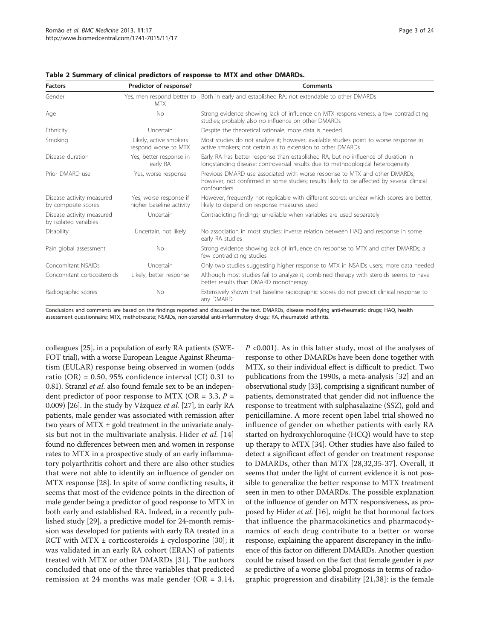| <b>Factors</b>                                     | Predictor of response?                             | Comments                                                                                                                                                                               |
|----------------------------------------------------|----------------------------------------------------|----------------------------------------------------------------------------------------------------------------------------------------------------------------------------------------|
| Gender                                             | <b>MTX</b>                                         | Yes, men respond better to Both in early and established RA; not extendable to other DMARDs                                                                                            |
| Age                                                | No                                                 | Strong evidence showing lack of influence on MTX responsiveness, a few contradicting<br>studies; probably also no influence on other DMARDs                                            |
| Ethnicity                                          | Uncertain                                          | Despite the theoretical rationale, more data is needed                                                                                                                                 |
| Smoking                                            | Likely, active smokers<br>respond worse to MTX     | Most studies do not analyze it; however, available studies point to worse response in<br>active smokers; not certain as to extension to other DMARDs                                   |
| Disease duration                                   | Yes, better response in<br>early RA                | Early RA has better response than established RA, but no influence of duration in<br>longstanding disease; controversial results due to methodological heterogeneity                   |
| Prior DMARD use                                    | Yes, worse response                                | Previous DMARD use associated with worse response to MTX and other DMARDs;<br>however, not confirmed in some studies; results likely to be affected by several clinical<br>confounders |
| Disease activity measured<br>by composite scores   | Yes, worse response if<br>higher baseline activity | However, frequently not replicable with different scores; unclear which scores are better,<br>likely to depend on response measures used                                               |
| Disease activity measured<br>by isolated variables | Uncertain                                          | Contradicting findings; unreliable when variables are used separately                                                                                                                  |
| Disability                                         | Uncertain, not likely                              | No association in most studies; inverse relation between HAQ and response in some<br>early RA studies                                                                                  |
| Pain global assessment                             | No                                                 | Strong evidence showing lack of influence on response to MTX and other DMARDs; a<br>few contradicting studies                                                                          |
| Concomitant NSAIDs                                 | Uncertain                                          | Only two studies suggesting higher response to MTX in NSAIDs users; more data needed                                                                                                   |
| Concomitant corticosteroids                        | Likely, better response                            | Although most studies fail to analyze it, combined therapy with steroids seems to have<br>better results than DMARD monotherapy                                                        |
| Radiographic scores                                | No                                                 | Extensively shown that baseline radiographic scores do not predict clinical response to<br>any DMARD                                                                                   |

<span id="page-2-0"></span>Table 2 Summary of clinical predictors of response to MTX and other DMARDs.

Conclusions and comments are based on the findings reported and discussed in the text. DMARDs, disease modifying anti-rheumatic drugs; HAQ, health assessment questionnaire; MTX, methotrexate; NSAIDs, non-steroidal anti-inflammatory drugs; RA, rheumatoid arthritis.

colleagues [[25](#page-16-0)], in a population of early RA patients (SWE-FOT trial), with a worse European League Against Rheumatism (EULAR) response being observed in women (odds ratio (OR) = 0.50, 95% confidence interval (CI) 0.31 to 0.81). Stranzl et al. also found female sex to be an independent predictor of poor response to MTX (OR = 3.3,  $P =$ 0.009) [[26](#page-16-0)]. In the study by Vázquez et al. [\[27\]](#page-16-0), in early RA patients, male gender was associated with remission after two years of MTX  $\pm$  gold treatment in the univariate analy-sis but not in the multivariate analysis. Hider et al. [\[14](#page-16-0)] found no differences between men and women in response rates to MTX in a prospective study of an early inflammatory polyarthritis cohort and there are also other studies that were not able to identify an influence of gender on MTX response [[28\]](#page-16-0). In spite of some conflicting results, it seems that most of the evidence points in the direction of male gender being a predictor of good response to MTX in both early and established RA. Indeed, in a recently published study [[29\]](#page-16-0), a predictive model for 24-month remission was developed for patients with early RA treated in a RCT with MTX  $\pm$  corticosteroids  $\pm$  cyclosporine [\[30](#page-16-0)]; it was validated in an early RA cohort (ERAN) of patients treated with MTX or other DMARDs [[31\]](#page-16-0). The authors concluded that one of the three variables that predicted remission at 24 months was male gender ( $OR = 3.14$ ,  $P$  <0.001). As in this latter study, most of the analyses of response to other DMARDs have been done together with MTX, so their individual effect is difficult to predict. Two publications from the 1990s, a meta-analysis [[32\]](#page-17-0) and an observational study [\[33\]](#page-17-0), comprising a significant number of patients, demonstrated that gender did not influence the response to treatment with sulphasalazine (SSZ), gold and penicillamine. A more recent open label trial showed no influence of gender on whether patients with early RA started on hydroxychloroquine (HCQ) would have to step up therapy to MTX [\[34](#page-17-0)]. Other studies have also failed to detect a significant effect of gender on treatment response to DMARDs, other than MTX [[28](#page-16-0)[,32,35](#page-17-0)-[37\]](#page-17-0). Overall, it seems that under the light of current evidence it is not possible to generalize the better response to MTX treatment seen in men to other DMARDs. The possible explanation of the influence of gender on MTX responsiveness, as pro-posed by Hider et al. [[16](#page-16-0)], might be that hormonal factors that influence the pharmacokinetics and pharmacodynamics of each drug contribute to a better or worse response, explaining the apparent discrepancy in the influence of this factor on different DMARDs. Another question could be raised based on the fact that female gender is per se predictive of a worse global prognosis in terms of radiographic progression and disability [[21](#page-16-0)[,38\]](#page-17-0): is the female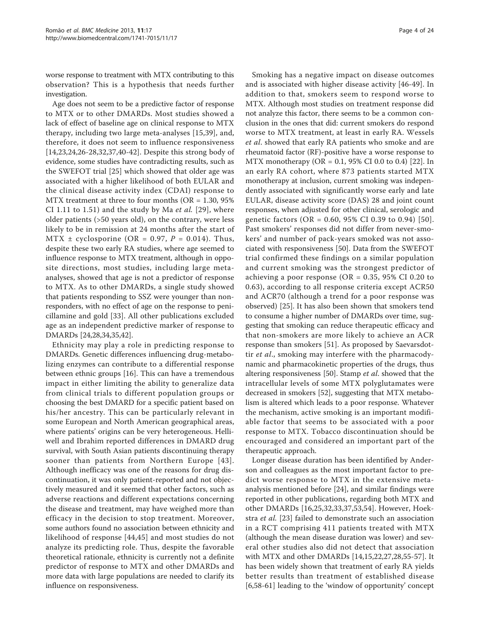worse response to treatment with MTX contributing to this observation? This is a hypothesis that needs further investigation.

Age does not seem to be a predictive factor of response to MTX or to other DMARDs. Most studies showed a lack of effect of baseline age on clinical response to MTX therapy, including two large meta-analyses [[15](#page-16-0)[,39](#page-17-0)], and, therefore, it does not seem to influence responsiveness [[14,23,24,26](#page-16-0)-[28](#page-16-0)[,32,37](#page-17-0),[40-42](#page-17-0)]. Despite this strong body of evidence, some studies have contradicting results, such as the SWEFOT trial [\[25](#page-16-0)] which showed that older age was associated with a higher likelihood of both EULAR and the clinical disease activity index (CDAI) response to MTX treatment at three to four months ( $OR = 1.30, 95\%$ CI 1.11 to 1.51) and the study by Ma *et al.* [[29](#page-16-0)], where older patients (>50 years old), on the contrary, were less likely to be in remission at 24 months after the start of  $MTX \pm cyclosporine (OR = 0.97, P = 0.014)$ . Thus, despite these two early RA studies, where age seemed to influence response to MTX treatment, although in opposite directions, most studies, including large metaanalyses, showed that age is not a predictor of response to MTX. As to other DMARDs, a single study showed that patients responding to SSZ were younger than nonresponders, with no effect of age on the response to penicillamine and gold [\[33](#page-17-0)]. All other publications excluded age as an independent predictive marker of response to DMARDs [[24,28](#page-16-0)[,34,35,42\]](#page-17-0).

Ethnicity may play a role in predicting response to DMARDs. Genetic differences influencing drug-metabolizing enzymes can contribute to a differential response between ethnic groups [[16](#page-16-0)]. This can have a tremendous impact in either limiting the ability to generalize data from clinical trials to different population groups or choosing the best DMARD for a specific patient based on his/her ancestry. This can be particularly relevant in some European and North American geographical areas, where patients' origins can be very heterogeneous. Helliwell and Ibrahim reported differences in DMARD drug survival, with South Asian patients discontinuing therapy sooner than patients from Northern Europe [[43\]](#page-17-0). Although inefficacy was one of the reasons for drug discontinuation, it was only patient-reported and not objectively measured and it seemed that other factors, such as adverse reactions and different expectations concerning the disease and treatment, may have weighed more than efficacy in the decision to stop treatment. Moreover, some authors found no association between ethnicity and likelihood of response [[44,45\]](#page-17-0) and most studies do not analyze its predicting role. Thus, despite the favorable theoretical rationale, ethnicity is currently not a definite predictor of response to MTX and other DMARDs and more data with large populations are needed to clarify its influence on responsiveness.

Smoking has a negative impact on disease outcomes and is associated with higher disease activity [\[46-49](#page-17-0)]. In addition to that, smokers seem to respond worse to MTX. Although most studies on treatment response did not analyze this factor, there seems to be a common conclusion in the ones that did: current smokers do respond worse to MTX treatment, at least in early RA. Wessels et al. showed that early RA patients who smoke and are rheumatoid factor (RF)-positive have a worse response to MTX monotherapy (OR = 0.1, 95% CI 0.0 to 0.4) [[22\]](#page-16-0). In an early RA cohort, where 873 patients started MTX monotherapy at inclusion, current smoking was independently associated with significantly worse early and late EULAR, disease activity score (DAS) 28 and joint count responses, when adjusted for other clinical, serologic and genetic factors (OR =  $0.60, 95\%$  CI 0.39 to 0.94) [\[50\]](#page-17-0). Past smokers' responses did not differ from never-smokers' and number of pack-years smoked was not associated with responsiveness [[50\]](#page-17-0). Data from the SWEFOT trial confirmed these findings on a similar population and current smoking was the strongest predictor of achieving a poor response (OR =  $0.35$ , 95% CI 0.20 to 0.63), according to all response criteria except ACR50 and ACR70 (although a trend for a poor response was observed) [\[25](#page-16-0)]. It has also been shown that smokers tend to consume a higher number of DMARDs over time, suggesting that smoking can reduce therapeutic efficacy and that non-smokers are more likely to achieve an ACR response than smokers [\[51](#page-17-0)]. As proposed by Saevarsdottir et al., smoking may interfere with the pharmacodynamic and pharmacokinetic properties of the drugs, thus altering responsiveness [\[50](#page-17-0)]. Stamp et al. showed that the intracellular levels of some MTX polyglutamates were decreased in smokers [[52\]](#page-17-0), suggesting that MTX metabolism is altered which leads to a poor response. Whatever the mechanism, active smoking is an important modifiable factor that seems to be associated with a poor response to MTX. Tobacco discontinuation should be encouraged and considered an important part of the therapeutic approach.

Longer disease duration has been identified by Anderson and colleagues as the most important factor to predict worse response to MTX in the extensive metaanalysis mentioned before [\[24](#page-16-0)], and similar findings were reported in other publications, regarding both MTX and other DMARDs [[16,25,](#page-16-0)[32,33](#page-17-0),[37,53,54](#page-17-0)]. However, Hoekstra et al. [[23](#page-16-0)] failed to demonstrate such an association in a RCT comprising 411 patients treated with MTX (although the mean disease duration was lower) and several other studies also did not detect that association with MTX and other DMARDs [[14,15,22,27,28](#page-16-0)[,55](#page-17-0)-[57\]](#page-17-0). It has been widely shown that treatment of early RA yields better results than treatment of established disease [[6,](#page-16-0)[58](#page-17-0)-[61\]](#page-17-0) leading to the 'window of opportunity' concept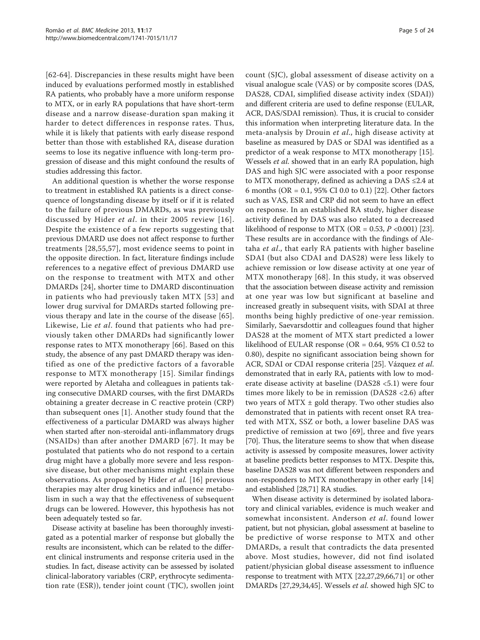[[62](#page-17-0)-[64](#page-17-0)]. Discrepancies in these results might have been induced by evaluations performed mostly in established RA patients, who probably have a more uniform response to MTX, or in early RA populations that have short-term disease and a narrow disease-duration span making it harder to detect differences in response rates. Thus, while it is likely that patients with early disease respond better than those with established RA, disease duration seems to lose its negative influence with long-term progression of disease and this might confound the results of studies addressing this factor.

An additional question is whether the worse response to treatment in established RA patients is a direct consequence of longstanding disease by itself or if it is related to the failure of previous DMARDs, as was previously discussed by Hider et al. in their 2005 review [[16\]](#page-16-0). Despite the existence of a few reports suggesting that previous DMARD use does not affect response to further treatments [[28](#page-16-0)[,55,57](#page-17-0)], most evidence seems to point in the opposite direction. In fact, literature findings include references to a negative effect of previous DMARD use on the response to treatment with MTX and other DMARDs [\[24](#page-16-0)], shorter time to DMARD discontinuation in patients who had previously taken MTX [[53\]](#page-17-0) and lower drug survival for DMARDs started following previous therapy and late in the course of the disease [[65](#page-17-0)]. Likewise, Lie et al. found that patients who had previously taken other DMARDs had significantly lower response rates to MTX monotherapy [[66\]](#page-17-0). Based on this study, the absence of any past DMARD therapy was identified as one of the predictive factors of a favorable response to MTX monotherapy [[15](#page-16-0)]. Similar findings were reported by Aletaha and colleagues in patients taking consecutive DMARD courses, with the first DMARDs obtaining a greater decrease in C reactive protein (CRP) than subsequent ones [[1\]](#page-16-0). Another study found that the effectiveness of a particular DMARD was always higher when started after non-steroidal anti-inflammatory drugs (NSAIDs) than after another DMARD [[67](#page-17-0)]. It may be postulated that patients who do not respond to a certain drug might have a globally more severe and less responsive disease, but other mechanisms might explain these observations. As proposed by Hider et al. [\[16\]](#page-16-0) previous therapies may alter drug kinetics and influence metabolism in such a way that the effectiveness of subsequent drugs can be lowered. However, this hypothesis has not been adequately tested so far.

Disease activity at baseline has been thoroughly investigated as a potential marker of response but globally the results are inconsistent, which can be related to the different clinical instruments and response criteria used in the studies. In fact, disease activity can be assessed by isolated clinical-laboratory variables (CRP, erythrocyte sedimentation rate (ESR)), tender joint count (TJC), swollen joint count (SJC), global assessment of disease activity on a visual analogue scale (VAS) or by composite scores (DAS, DAS28, CDAI, simplified disease activity index (SDAI)) and different criteria are used to define response (EULAR, ACR, DAS/SDAI remission). Thus, it is crucial to consider this information when interpreting literature data. In the meta-analysis by Drouin et al., high disease activity at baseline as measured by DAS or SDAI was identified as a predictor of a weak response to MTX monotherapy [\[15](#page-16-0)]. Wessels et al. showed that in an early RA population, high DAS and high SJC were associated with a poor response to MTX monotherapy, defined as achieving a DAS ≤2.4 at 6 months (OR = 0.1, 95% CI 0.0 to 0.1) [[22](#page-16-0)]. Other factors such as VAS, ESR and CRP did not seem to have an effect on response. In an established RA study, higher disease activity defined by DAS was also related to a decreased likelihood of response to MTX (OR =  $0.53$ ,  $P < 0.001$ ) [[23](#page-16-0)]. These results are in accordance with the findings of Aletaha et al., that early RA patients with higher baseline SDAI (but also CDAI and DAS28) were less likely to achieve remission or low disease activity at one year of MTX monotherapy [[68](#page-17-0)]. In this study, it was observed that the association between disease activity and remission at one year was low but significant at baseline and increased greatly in subsequent visits, with SDAI at three months being highly predictive of one-year remission. Similarly, Saevarsdottir and colleagues found that higher DAS28 at the moment of MTX start predicted a lower likelihood of EULAR response (OR = 0.64, 95% CI 0.52 to 0.80), despite no significant association being shown for ACR, SDAI or CDAI response criteria [\[25\]](#page-16-0). Vázquez et al. demonstrated that in early RA, patients with low to moderate disease activity at baseline (DAS28 <5.1) were four times more likely to be in remission (DAS28 <2.6) after two years of MTX  $\pm$  gold therapy. Two other studies also demonstrated that in patients with recent onset RA treated with MTX, SSZ or both, a lower baseline DAS was predictive of remission at two [\[69](#page-17-0)], three and five years [[70](#page-17-0)]. Thus, the literature seems to show that when disease activity is assessed by composite measures, lower activity at baseline predicts better responses to MTX. Despite this, baseline DAS28 was not different between responders and non-responders to MTX monotherapy in other early [[14](#page-16-0)] and established [\[28,](#page-16-0)[71](#page-18-0)] RA studies.

When disease activity is determined by isolated laboratory and clinical variables, evidence is much weaker and somewhat inconsistent. Anderson et al. found lower patient, but not physician, global assessment at baseline to be predictive of worse response to MTX and other DMARDs, a result that contradicts the data presented above. Most studies, however, did not find isolated patient/physician global disease assessment to influence response to treatment with MTX [[22,27,29,](#page-16-0)[66](#page-17-0)[,71](#page-18-0)] or other DMARDs [\[27,29](#page-16-0)[,34,45\]](#page-17-0). Wessels et al. showed high SJC to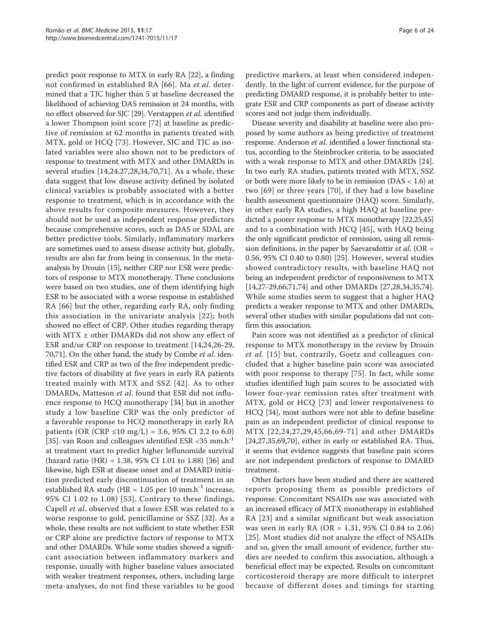predict poor response to MTX in early RA [[22\]](#page-16-0), a finding not confirmed in established RA [[66\]](#page-17-0). Ma et al. determined that a TJC higher than 5 at baseline decreased the likelihood of achieving DAS remission at 24 months, with no effect observed for SJC [[29](#page-16-0)]. Verstappen et al. identified a lower Thompson joint score [\[72](#page-18-0)] at baseline as predictive of remission at 62 months in patients treated with MTX, gold or HCQ [\[73](#page-18-0)]. However, SJC and TJC as isolated variables were also shown not to be predictors of response to treatment with MTX and other DMARDs in several studies [[14,24](#page-16-0),[27,28](#page-16-0),[34,70](#page-17-0)[,71](#page-18-0)]. As a whole, these data suggest that low disease activity defined by isolated clinical variables is probably associated with a better response to treatment, which is in accordance with the above results for composite measures. However, they should not be used as independent response predictors because comprehensive scores, such as DAS or SDAI, are better predictive tools. Similarly, inflammatory markers are sometimes used to assess disease activity but, globally, results are also far from being in consensus. In the metaanalysis by Drouin [\[15\]](#page-16-0), neither CRP nor ESR were predictors of response to MTX monotherapy. These conclusions were based on two studies, one of them identifying high ESR to be associated with a worse response in established RA [\[66\]](#page-17-0) but the other, regarding early RA, only finding this association in the univariate analysis [[22\]](#page-16-0); both showed no effect of CRP. Other studies regarding therapy with MTX  $\pm$  other DMARDs did not show any effect of ESR and/or CRP on response to treatment [\[14](#page-16-0),[24,26-29](#page-16-0), [70](#page-17-0)[,71\]](#page-18-0). On the other hand, the study by Combe et al. identified ESR and CRP as two of the five independent predictive factors of disability at five years in early RA patients treated mainly with MTX and SSZ [[42\]](#page-17-0). As to other DMARDs, Matteson et al. found that ESR did not influence response to HCQ monotherapy [[34\]](#page-17-0) but in another study a low baseline CRP was the only predictor of a favorable response to HCQ monotherapy in early RA patients (OR (CRP ≤10 mg/L) = 3.6, 95% CI 2.2 to 6.0) [[35\]](#page-17-0). van Roon and colleagues identified ESR <35 mm.h<sup>-1</sup> at treatment start to predict higher leflunomide survival (hazard ratio (HR) = 1.38, 95% CI 1.01 to 1.88) [[36](#page-17-0)] and likewise, high ESR at disease onset and at DMARD initiation predicted early discontinuation of treatment in an established RA study (HR =  $1.05$  per 10 mm.h<sup>-1</sup> increase, 95% CI 1.02 to 1.08) [[53\]](#page-17-0). Contrary to these findings, Capell et al. observed that a lower ESR was related to a worse response to gold, penicillamine or SSZ [\[32\]](#page-17-0). As a whole, these results are not sufficient to state whether ESR or CRP alone are predictive factors of response to MTX and other DMARDs. While some studies showed a significant association between inflammatory markers and response, usually with higher baseline values associated with weaker treatment responses, others, including large meta-analyses, do not find these variables to be good

predictive markers, at least when considered independently. In the light of current evidence, for the purpose of predicting DMARD response, it is probably better to integrate ESR and CRP components as part of disease activity scores and not judge them individually.

Disease severity and disability at baseline were also proposed by some authors as being predictive of treatment response. Anderson et al. identified a lower functional status, according to the Steinbrocker criteria, to be associated with a weak response to MTX and other DMARDs [\[24](#page-16-0)]. In two early RA studies, patients treated with MTX, SSZ or both were more likely to be in remission (DAS < 1.6) at two [[69](#page-17-0)] or three years [[70](#page-17-0)], if they had a low baseline health assessment questionnaire (HAQ) score. Similarly, in other early RA studies, a high HAQ at baseline predicted a poorer response to MTX monotherapy [\[22,25,](#page-16-0)[45](#page-17-0)] and to a combination with HCQ [\[45\]](#page-17-0), with HAQ being the only significant predictor of remission, using all remission definitions, in the paper by Saevarsdottir *et al.* ( $OR =$ 0.56, 95% CI 0.40 to 0.80) [\[25](#page-16-0)]. However, several studies showed contradictory results, with baseline HAQ not being an independent predictor of responsiveness to MTX [[14,27-29](#page-16-0),[66](#page-17-0),[71,74\]](#page-18-0) and other DMARDs [[27,28,](#page-16-0)[34,35](#page-17-0)[,74](#page-18-0)]. While some studies seem to suggest that a higher HAQ predicts a weaker response to MTX and other DMARDs, several other studies with similar populations did not confirm this association.

Pain score was not identified as a predictor of clinical response to MTX monotherapy in the review by Drouin et al. [\[15\]](#page-16-0) but, contrarily, Goetz and colleagues concluded that a higher baseline pain score was associated with poor response to therapy [\[75](#page-18-0)]. In fact, while some studies identified high pain scores to be associated with lower four-year remission rates after treatment with MTX, gold or HCQ [\[73\]](#page-18-0) and lower responsiveness to HCQ [[34\]](#page-17-0), most authors were not able to define baseline pain as an independent predictor of clinical response to MTX [[22,24,27](#page-16-0),[29](#page-16-0),[45,66](#page-17-0),[69](#page-17-0)-[71](#page-18-0)] and other DMARDs [[24,27,](#page-16-0)[35,69,70](#page-17-0)], either in early or established RA. Thus, it seems that evidence suggests that baseline pain scores are not independent predictors of response to DMARD treatment.

Other factors have been studied and there are scattered reports proposing them as possible predictors of response. Concomitant NSAIDs use was associated with an increased efficacy of MTX monotherapy in established RA [[23](#page-16-0)] and a similar significant but weak association was seen in early RA (OR = 1.31, 95% CI 0.84 to 2.06) [[25](#page-16-0)]. Most studies did not analyze the effect of NSAIDs and so, given the small amount of evidence, further studies are needed to confirm this association, although a beneficial effect may be expected. Results on concomitant corticosteroid therapy are more difficult to interpret because of different doses and timings for starting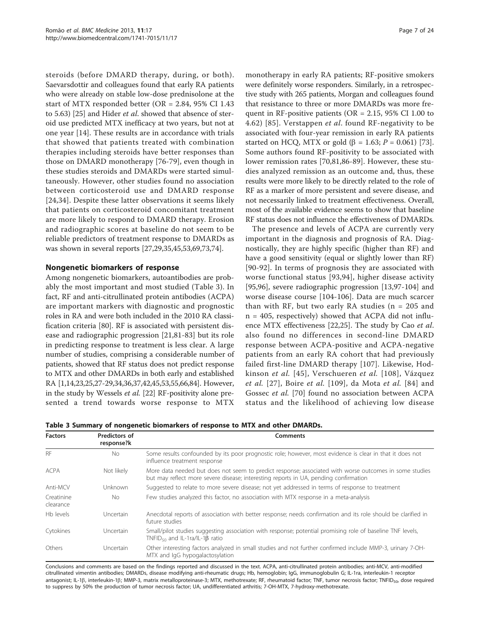<span id="page-6-0"></span>steroids (before DMARD therapy, during, or both). Saevarsdottir and colleagues found that early RA patients who were already on stable low-dose prednisolone at the start of MTX responded better (OR = 2.84, 95% CI 1.43 to 5.63) [\[25](#page-16-0)] and Hider et al. showed that absence of steroid use predicted MTX inefficacy at two years, but not at one year [[14\]](#page-16-0). These results are in accordance with trials that showed that patients treated with combination therapies including steroids have better responses than those on DMARD monotherapy [\[76](#page-18-0)-[79\]](#page-18-0), even though in these studies steroids and DMARDs were started simultaneously. However, other studies found no association between corticosteroid use and DMARD response [[24](#page-16-0)[,34\]](#page-17-0). Despite these latter observations it seems likely that patients on corticosteroid concomitant treatment are more likely to respond to DMARD therapy. Erosion and radiographic scores at baseline do not seem to be reliable predictors of treatment response to DMARDs as was shown in several reports [\[27,29,](#page-16-0)[35,45,53,69](#page-17-0),[73,74](#page-18-0)].

# Nongenetic biomarkers of response

Among nongenetic biomarkers, autoantibodies are probably the most important and most studied (Table 3). In fact, RF and anti-citrullinated protein antibodies (ACPA) are important markers with diagnostic and prognostic roles in RA and were both included in the 2010 RA classification criteria [[80](#page-18-0)]. RF is associated with persistent disease and radiographic progression [[21,](#page-16-0)[81-83](#page-18-0)] but its role in predicting response to treatment is less clear. A large number of studies, comprising a considerable number of patients, showed that RF status does not predict response to MTX and other DMARDs in both early and established RA [\[1,14,23](#page-16-0),[25,27-29,](#page-16-0)[34](#page-17-0),[36,37,42](#page-17-0),[45,53,55,66](#page-17-0)[,84\]](#page-18-0). However, in the study by Wessels et al. [\[22\]](#page-16-0) RF-positivity alone presented a trend towards worse response to MTX

monotherapy in early RA patients; RF-positive smokers were definitely worse responders. Similarly, in a retrospective study with 265 patients, Morgan and colleagues found that resistance to three or more DMARDs was more frequent in RF-positive patients (OR = 2.15, 95% CI 1.00 to 4.62) [[85\]](#page-18-0). Verstappen et al. found RF-negativity to be associated with four-year remission in early RA patients started on HCQ, MTX or gold  $(\beta = 1.63; P = 0.061)$  [\[73](#page-18-0)]. Some authors found RF-positivity to be associated with lower remission rates [[70,](#page-17-0)[81,86-89\]](#page-18-0). However, these studies analyzed remission as an outcome and, thus, these results were more likely to be directly related to the role of RF as a marker of more persistent and severe disease, and not necessarily linked to treatment effectiveness. Overall, most of the available evidence seems to show that baseline RF status does not influence the effectiveness of DMARDs.

The presence and levels of ACPA are currently very important in the diagnosis and prognosis of RA. Diagnostically, they are highly specific (higher than RF) and have a good sensitivity (equal or slightly lower than RF) [[90](#page-18-0)-[92\]](#page-18-0). In terms of prognosis they are associated with worse functional status [[93,94](#page-18-0)], higher disease activity [[95,96\]](#page-18-0), severe radiographic progression [[13](#page-16-0),[97-](#page-18-0)[104\]](#page-19-0) and worse disease course [[104-106\]](#page-19-0). Data are much scarcer than with RF, but two early RA studies ( $n = 205$  and  $n = 405$ , respectively) showed that ACPA did not influence MTX effectiveness [\[22,25\]](#page-16-0). The study by Cao et al. also found no differences in second-line DMARD response between ACPA-positive and ACPA-negative patients from an early RA cohort that had previously failed first-line DMARD therapy [\[107](#page-19-0)]. Likewise, Hodkinson et al. [[45](#page-17-0)], Verschueren et al. [[108](#page-19-0)], Vázquez et al. [[27\]](#page-16-0), Boire et al. [\[109](#page-19-0)], da Mota et al. [[84\]](#page-18-0) and Gossec et al. [[70\]](#page-17-0) found no association between ACPA status and the likelihood of achieving low disease

Table 3 Summary of nongenetic biomarkers of response to MTX and other DMARDs.

| <b>Factors</b>          | Predictors of<br>response?k | Comments                                                                                                                                                                                       |
|-------------------------|-----------------------------|------------------------------------------------------------------------------------------------------------------------------------------------------------------------------------------------|
| <b>RF</b>               | No.                         | Some results confounded by its poor prognostic role; however, most evidence is clear in that it does not<br>influence treatment response                                                       |
| <b>ACPA</b>             | Not likely                  | More data needed but does not seem to predict response; associated with worse outcomes in some studies<br>but may reflect more severe disease; interesting reports in UA, pending confirmation |
| Anti-MCV                | Unknown                     | Suggested to relate to more severe disease; not yet addressed in terms of response to treatment                                                                                                |
| Creatinine<br>clearance | No.                         | Few studies analyzed this factor, no association with MTX response in a meta-analysis                                                                                                          |
| Hb levels               | Uncertain                   | Anecdotal reports of association with better response; needs confirmation and its role should be clarified in<br>future studies                                                                |
| Cytokines               | Uncertain                   | Small/pilot studies suggesting association with response; potential promising role of baseline TNF levels,<br>TNFID <sub>50</sub> and IL-1ra/IL-1 $\beta$ ratio                                |
| Others                  | Uncertain                   | Other interesting factors analyzed in small studies and not further confirmed include MMP-3, urinary 7-OH-<br>MTX and IgG hypogalactosylation                                                  |

Conclusions and comments are based on the findings reported and discussed in the text. ACPA, anti-citrullinated protein antibodies; anti-MCV, anti-modified citrullinated vimentin antibodies; DMARDs, disease modifying anti-rheumatic drugs; Hb, hemoglobin; IgG, immunoglobulin G; IL-1ra, interleukin-1 receptor antagonist; IL-1ß, interleukin-1ß; MMP-3, matrix metalloproteinase-3; MTX, methotrexate; RF, rheumatoid factor; TNF, tumor necrosis factor; TNFID<sub>50</sub>, dose required to suppress by 50% the production of tumor necrosis factor; UA, undifferentiated arthritis; 7-OH-MTX, 7-hydroxy-methotrexate.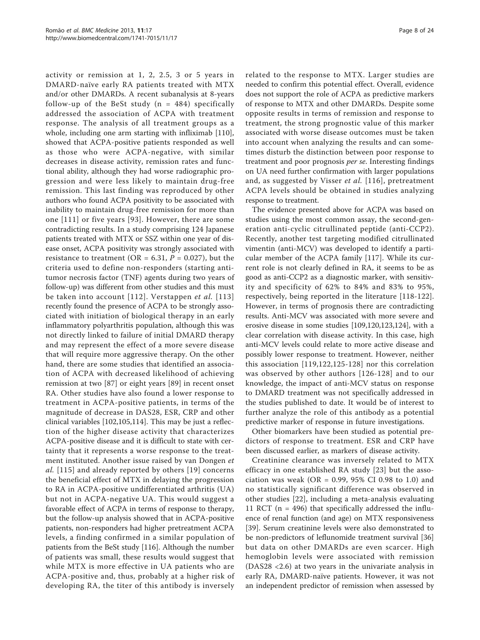activity or remission at 1, 2, 2.5, 3 or 5 years in DMARD-naïve early RA patients treated with MTX and/or other DMARDs. A recent subanalysis at 8-years follow-up of the BeSt study  $(n = 484)$  specifically addressed the association of ACPA with treatment response. The analysis of all treatment groups as a whole, including one arm starting with infliximab [\[110](#page-19-0)], showed that ACPA-positive patients responded as well as those who were ACPA-negative, with similar decreases in disease activity, remission rates and functional ability, although they had worse radiographic progression and were less likely to maintain drug-free remission. This last finding was reproduced by other authors who found ACPA positivity to be associated with inability to maintain drug-free remission for more than one [[111\]](#page-19-0) or five years [[93](#page-18-0)]. However, there are some contradicting results. In a study comprising 124 Japanese patients treated with MTX or SSZ within one year of disease onset, ACPA positivity was strongly associated with resistance to treatment (OR =  $6.31, P = 0.027$ ), but the criteria used to define non-responders (starting antitumor necrosis factor (TNF) agents during two years of follow-up) was different from other studies and this must be taken into account [[112\]](#page-19-0). Verstappen et al. [[113](#page-19-0)] recently found the presence of ACPA to be strongly associated with initiation of biological therapy in an early inflammatory polyarthritis population, although this was not directly linked to failure of initial DMARD therapy and may represent the effect of a more severe disease that will require more aggressive therapy. On the other hand, there are some studies that identified an association of ACPA with decreased likelihood of achieving remission at two [\[87\]](#page-18-0) or eight years [[89\]](#page-18-0) in recent onset RA. Other studies have also found a lower response to treatment in ACPA-positive patients, in terms of the magnitude of decrease in DAS28, ESR, CRP and other clinical variables [[102,105,114\]](#page-19-0). This may be just a reflection of the higher disease activity that characterizes ACPA-positive disease and it is difficult to state with certainty that it represents a worse response to the treatment instituted. Another issue raised by van Dongen et al. [[115\]](#page-19-0) and already reported by others [[19\]](#page-16-0) concerns the beneficial effect of MTX in delaying the progression to RA in ACPA-positive undifferentiated arthritis (UA) but not in ACPA-negative UA. This would suggest a favorable effect of ACPA in terms of response to therapy, but the follow-up analysis showed that in ACPA-positive patients, non-responders had higher pretreatment ACPA levels, a finding confirmed in a similar population of patients from the BeSt study [[116\]](#page-19-0). Although the number of patients was small, these results would suggest that while MTX is more effective in UA patients who are ACPA-positive and, thus, probably at a higher risk of developing RA, the titer of this antibody is inversely related to the response to MTX. Larger studies are needed to confirm this potential effect. Overall, evidence does not support the role of ACPA as predictive markers of response to MTX and other DMARDs. Despite some opposite results in terms of remission and response to treatment, the strong prognostic value of this marker associated with worse disease outcomes must be taken into account when analyzing the results and can sometimes disturb the distinction between poor response to treatment and poor prognosis per se. Interesting findings on UA need further confirmation with larger populations and, as suggested by Visser et al. [[116](#page-19-0)], pretreatment ACPA levels should be obtained in studies analyzing response to treatment.

The evidence presented above for ACPA was based on studies using the most common assay, the second-generation anti-cyclic citrullinated peptide (anti-CCP2). Recently, another test targeting modified citrullinated vimentin (anti-MCV) was developed to identify a particular member of the ACPA family [\[117](#page-19-0)]. While its current role is not clearly defined in RA, it seems to be as good as anti-CCP2 as a diagnostic marker, with sensitivity and specificity of 62% to 84% and 83% to 95%, respectively, being reported in the literature [[118](#page-19-0)-[122](#page-19-0)]. However, in terms of prognosis there are contradicting results. Anti-MCV was associated with more severe and erosive disease in some studies [\[109,120,123,124](#page-19-0)], with a clear correlation with disease activity. In this case, high anti-MCV levels could relate to more active disease and possibly lower response to treatment. However, neither this association [[119,122,125-128\]](#page-19-0) nor this correlation was observed by other authors [[126-128](#page-19-0)] and to our knowledge, the impact of anti-MCV status on response to DMARD treatment was not specifically addressed in the studies published to date. It would be of interest to further analyze the role of this antibody as a potential predictive marker of response in future investigations.

Other biomarkers have been studied as potential predictors of response to treatment. ESR and CRP have been discussed earlier, as markers of disease activity.

Creatinine clearance was inversely related to MTX efficacy in one established RA study [\[23](#page-16-0)] but the association was weak (OR = 0.99, 95% CI 0.98 to 1.0) and no statistically significant difference was observed in other studies [\[22](#page-16-0)], including a meta-analysis evaluating 11 RCT ( $n = 496$ ) that specifically addressed the influence of renal function (and age) on MTX responsiveness [[39\]](#page-17-0). Serum creatinine levels were also demonstrated to be non-predictors of leflunomide treatment survival [[36](#page-17-0)] but data on other DMARDs are even scarcer. High hemoglobin levels were associated with remission (DAS28 <2.6) at two years in the univariate analysis in early RA, DMARD-naïve patients. However, it was not an independent predictor of remission when assessed by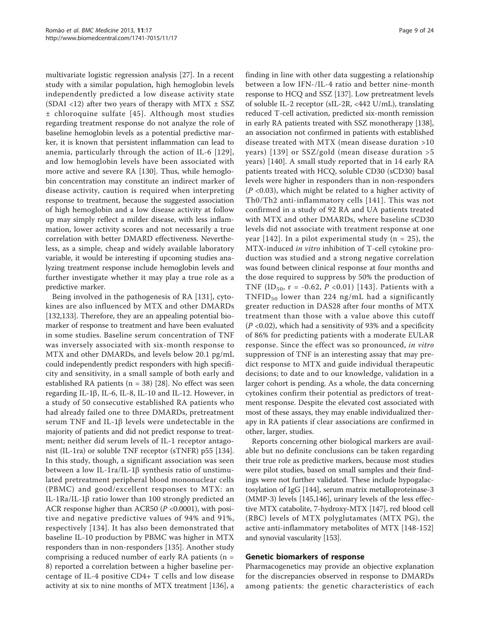multivariate logistic regression analysis [[27\]](#page-16-0). In a recent study with a similar population, high hemoglobin levels independently predicted a low disease activity state (SDAI <12) after two years of therapy with MTX  $\pm$  SSZ ± chloroquine sulfate [[45](#page-17-0)]. Although most studies regarding treatment response do not analyze the role of baseline hemoglobin levels as a potential predictive marker, it is known that persistent inflammation can lead to anemia, particularly through the action of IL-6 [\[129](#page-19-0)], and low hemoglobin levels have been associated with more active and severe RA [[130](#page-19-0)]. Thus, while hemoglobin concentration may constitute an indirect marker of disease activity, caution is required when interpreting response to treatment, because the suggested association of high hemoglobin and a low disease activity at follow up may simply reflect a milder disease, with less inflammation, lower activity scores and not necessarily a true correlation with better DMARD effectiveness. Nevertheless, as a simple, cheap and widely available laboratory variable, it would be interesting if upcoming studies analyzing treatment response include hemoglobin levels and further investigate whether it may play a true role as a predictive marker.

Being involved in the pathogenesis of RA [\[131\]](#page-19-0), cytokines are also influenced by MTX and other DMARDs [[132,133\]](#page-19-0). Therefore, they are an appealing potential biomarker of response to treatment and have been evaluated in some studies. Baseline serum concentration of TNF was inversely associated with six-month response to MTX and other DMARDs, and levels below 20.1 pg/mL could independently predict responders with high specificity and sensitivity, in a small sample of both early and established RA patients ( $n = 38$ ) [\[28](#page-16-0)]. No effect was seen regarding IL-1b, IL-6, IL-8, IL-10 and IL-12. However, in a study of 50 consecutive established RA patients who had already failed one to three DMARDs, pretreatment serum TNF and IL-1 $\beta$  levels were undetectable in the majority of patients and did not predict response to treatment; neither did serum levels of IL-1 receptor antagonist (IL-1ra) or soluble TNF receptor (sTNFR) p55 [\[134](#page-19-0)]. In this study, though, a significant association was seen between a low IL-1ra/IL-1 $\beta$  synthesis ratio of unstimulated pretreatment peripheral blood mononuclear cells (PBMC) and good/excellent responses to MTX: an IL-1Ra/IL-1 $\beta$  ratio lower than 100 strongly predicted an ACR response higher than ACR50 ( $P$  <0.0001), with positive and negative predictive values of 94% and 91%, respectively [\[134](#page-19-0)]. It has also been demonstrated that baseline IL-10 production by PBMC was higher in MTX responders than in non-responders [[135\]](#page-19-0). Another study comprising a reduced number of early RA patients ( $n =$ 8) reported a correlation between a higher baseline percentage of IL-4 positive CD4+ T cells and low disease activity at six to nine months of MTX treatment [[136\]](#page-19-0), a finding in line with other data suggesting a relationship between a low IFN-/IL-4 ratio and better nine-month response to HCQ and SSZ [\[137\]](#page-20-0). Low pretreatment levels of soluble IL-2 receptor (sIL-2R, <442 U/mL), translating reduced T-cell activation, predicted six-month remission in early RA patients treated with SSZ monotherapy [[138](#page-20-0)], an association not confirmed in patients with established disease treated with MTX (mean disease duration >10 years) [[139\]](#page-20-0) or SSZ/gold (mean disease duration >5 years) [[140\]](#page-20-0). A small study reported that in 14 early RA patients treated with HCQ, soluble CD30 (sCD30) basal levels were higher in responders than in non-responders  $(P<0.03)$ , which might be related to a higher activity of Th0/Th2 anti-inflammatory cells [[141\]](#page-20-0). This was not confirmed in a study of 92 RA and UA patients treated with MTX and other DMARDs, where baseline sCD30 levels did not associate with treatment response at one year [\[142](#page-20-0)]. In a pilot experimental study ( $n = 25$ ), the MTX-induced in vitro inhibition of T-cell cytokine production was studied and a strong negative correlation was found between clinical response at four months and the dose required to suppress by 50% the production of TNF (ID<sub>50</sub>, r = -0.62, P <0.01) [[143\]](#page-20-0). Patients with a TNFID $_{50}$  lower than 224 ng/mL had a significantly greater reduction in DAS28 after four months of MTX treatment than those with a value above this cutoff  $(P \le 0.02)$ , which had a sensitivity of 93% and a specificity of 86% for predicting patients with a moderate EULAR response. Since the effect was so pronounced, in vitro suppression of TNF is an interesting assay that may predict response to MTX and guide individual therapeutic decisions; to date and to our knowledge, validation in a larger cohort is pending. As a whole, the data concerning cytokines confirm their potential as predictors of treatment response. Despite the elevated cost associated with most of these assays, they may enable individualized therapy in RA patients if clear associations are confirmed in other, larger, studies.

Reports concerning other biological markers are available but no definite conclusions can be taken regarding their true role as predictive markers, because most studies were pilot studies, based on small samples and their findings were not further validated. These include hypogalactosylation of IgG [[144](#page-20-0)], serum matrix metalloproteinase-3 (MMP-3) levels [[145,146](#page-20-0)], urinary levels of the less effective MTX catabolite, 7-hydroxy-MTX [[147\]](#page-20-0), red blood cell (RBC) levels of MTX polyglutamates (MTX PG), the active anti-inflammatory metabolites of MTX [[148-152](#page-20-0)] and synovial vascularity [\[153\]](#page-20-0).

# Genetic biomarkers of response

Pharmacogenetics may provide an objective explanation for the discrepancies observed in response to DMARDs among patients: the genetic characteristics of each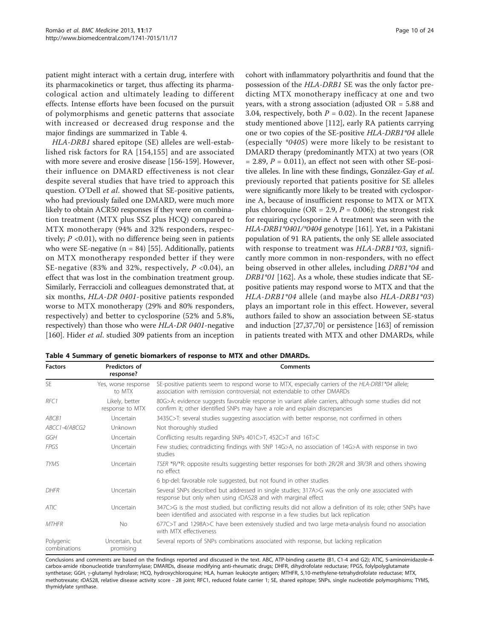<span id="page-9-0"></span>patient might interact with a certain drug, interfere with its pharmacokinetics or target, thus affecting its pharmacological action and ultimately leading to different effects. Intense efforts have been focused on the pursuit of polymorphisms and genetic patterns that associate with increased or decreased drug response and the major findings are summarized in Table 4.

HLA-DRB1 shared epitope (SE) alleles are well-established risk factors for RA [[154](#page-20-0),[155](#page-20-0)] and are associated with more severe and erosive disease [[156](#page-20-0)-[159](#page-20-0)]. However, their influence on DMARD effectiveness is not clear despite several studies that have tried to approach this question. O'Dell et al. showed that SE-positive patients, who had previously failed one DMARD, were much more likely to obtain ACR50 responses if they were on combination treatment (MTX plus SSZ plus HCQ) compared to MTX monotherapy (94% and 32% responders, respectively;  $P \le 0.01$ ), with no difference being seen in patients who were SE-negative ( $n = 84$ ) [[55](#page-17-0)]. Additionally, patients on MTX monotherapy responded better if they were SE-negative (83% and 32%, respectively,  $P < 0.04$ ), an effect that was lost in the combination treatment group. Similarly, Ferraccioli and colleagues demonstrated that, at six months, HLA-DR 0401-positive patients responded worse to MTX monotherapy (29% and 80% responders, respectively) and better to cyclosporine (52% and 5.8%, respectively) than those who were HLA-DR 0401-negative [[160\]](#page-20-0). Hider et al. studied 309 patients from an inception

cohort with inflammatory polyarthritis and found that the possession of the HLA-DRB1 SE was the only factor predicting MTX monotherapy inefficacy at one and two years, with a strong association (adjusted OR = 5.88 and 3.04, respectively, both  $P = 0.02$ ). In the recent Japanese study mentioned above [\[112](#page-19-0)], early RA patients carrying one or two copies of the SE-positive HLA-DRB1\*04 allele (especially \*0405) were more likely to be resistant to DMARD therapy (predominantly MTX) at two years (OR  $= 2.89, P = 0.011$ , an effect not seen with other SE-positive alleles. In line with these findings, González-Gay et al. previously reported that patients positive for SE alleles were significantly more likely to be treated with cyclosporine A, because of insufficient response to MTX or MTX plus chloroquine (OR = 2.9,  $P = 0.006$ ); the strongest risk for requiring cyclosporine A treatment was seen with the HLA-DRB1\*0401/\*0404 genotype [\[161\]](#page-20-0). Yet, in a Pakistani population of 91 RA patients, the only SE allele associated with response to treatment was HLA-DRB1\*03, significantly more common in non-responders, with no effect being observed in other alleles, including DRB1\*04 and DRB1\*01 [\[162](#page-20-0)]. As a whole, these studies indicate that SEpositive patients may respond worse to MTX and that the HLA-DRB1\*04 allele (and maybe also HLA-DRB1\*03) plays an important role in this effect. However, several authors failed to show an association between SE-status and induction [\[27,](#page-16-0)[37,70](#page-17-0)] or persistence [\[163\]](#page-20-0) of remission in patients treated with MTX and other DMARDs, while

|                |                      | Table 4 Summary of genetic biomarkers of response to MTX and other DMARDs. |
|----------------|----------------------|----------------------------------------------------------------------------|
| <b>Factors</b> | <b>Predictors of</b> | Comments                                                                   |

|                           | response?                         |                                                                                                                                                                                                   |
|---------------------------|-----------------------------------|---------------------------------------------------------------------------------------------------------------------------------------------------------------------------------------------------|
| <b>SF</b>                 | Yes, worse response<br>to MTX     | SE-positive patients seem to respond worse to MTX, especially carriers of the HLA-DRB1*04 allele;<br>association with remission controversial; not extendable to other DMARDs                     |
| RFC <sub>1</sub>          | Likely, better<br>response to MTX | 80G>A: evidence suggests favorable response in variant allele carriers, although some studies did not<br>confirm it; other identified SNPs may have a role and explain discrepancies              |
| ABCB1                     | Uncertain                         | 3435C>T: several studies suggesting association with better response, not confirmed in others                                                                                                     |
| ABCC1-4/ABCG2             | <b>Unknown</b>                    | Not thoroughly studied                                                                                                                                                                            |
| GGH                       | Uncertain                         | Conflicting results regarding SNPs 401C>T, 452C>T and 16T>C                                                                                                                                       |
| <b>FPGS</b>               | Uncertain                         | Few studies; contradicting findings with SNP 14G>A, no association of 14G>A with response in two<br>studies                                                                                       |
| <b>TYMS</b>               | Uncertain                         | TSER *R/*R: opposite results suggesting better responses for both 2R/2R and 3R/3R and others showing<br>no effect                                                                                 |
|                           |                                   | 6 bp-del: favorable role suggested, but not found in other studies                                                                                                                                |
| <b>DHFR</b>               | Uncertain                         | Several SNPs described but addressed in single studies; 317A>G was the only one associated with<br>response but only when using rDAS28 and with marginal effect                                   |
| <b>ATIC</b>               | Uncertain                         | 347C>G is the most studied, but conflicting results did not allow a definition of its role; other SNPs have<br>been identified and associated with response in a few studies but lack replication |
| <b>MTHFR</b>              | No.                               | 677C>T and 1298A>C have been extensively studied and two large meta-analysis found no association<br>with MTX effectiveness                                                                       |
| Polygenic<br>combinations | Uncertain, but<br>promising       | Several reports of SNPs combinations associated with response, but lacking replication                                                                                                            |

Conclusions and comments are based on the findings reported and discussed in the text. ABC, ATP-binding cassette (B1, C1-4 and G2); ATIC, 5-aminoimidazole-4 carbox-amide ribonucleotide transformylase; DMARDs, disease modifying anti-rheumatic drugs; DHFR, dihydrofolate reductase; FPGS, folylpolyglutamate synthetase; GGH, y-glutamyl hydrolase; HCQ, hydroxychloroquine; HLA, human leukocyte antigen; MTHFR, 5,10-methylene-tetrahydrofolate reductase; MTX, methotrexate; rDAS28, relative disease activity score - 28 joint; RFC1, reduced folate carrier 1; SE, shared epitope; SNPs, single nucleotide polymorphisms; TYMS, thymidylate synthase.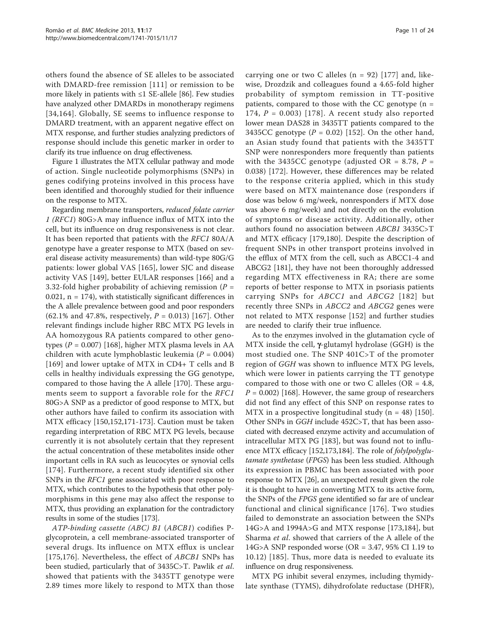others found the absence of SE alleles to be associated with DMARD-free remission [[111](#page-19-0)] or remission to be more likely in patients with ≤1 SE-allele [\[86](#page-18-0)]. Few studies have analyzed other DMARDs in monotherapy regimens [[34,](#page-17-0)[164\]](#page-20-0). Globally, SE seems to influence response to DMARD treatment, with an apparent negative effect on MTX response, and further studies analyzing predictors of response should include this genetic marker in order to clarify its true influence on drug effectiveness.

Figure [1](#page-11-0) illustrates the MTX cellular pathway and mode of action. Single nucleotide polymorphisms (SNPs) in genes codifying proteins involved in this process have been identified and thoroughly studied for their influence on the response to MTX.

Regarding membrane transporters, reduced folate carrier 1 (RFC1) 80G>A may influence influx of MTX into the cell, but its influence on drug responsiveness is not clear. It has been reported that patients with the RFC1 80A/A genotype have a greater response to MTX (based on several disease activity measurements) than wild-type 80G/G patients: lower global VAS [[165\]](#page-20-0), lower SJC and disease activity VAS [[149\]](#page-20-0), better EULAR responses [[166\]](#page-20-0) and a 3.32-fold higher probability of achieving remission ( $P =$  $0.021$ ,  $n = 174$ ), with statistically significant differences in the A allele prevalence between good and poor responders (62.1% and 47.8%, respectively,  $P = 0.013$ ) [[167\]](#page-20-0). Other relevant findings include higher RBC MTX PG levels in AA homozygous RA patients compared to other genotypes ( $P = 0.007$ ) [[168\]](#page-20-0), higher MTX plasma levels in AA children with acute lymphoblastic leukemia ( $P = 0.004$ ) [[169](#page-20-0)] and lower uptake of MTX in CD4+ T cells and B cells in healthy individuals expressing the GG genotype, compared to those having the A allele [[170](#page-20-0)]. These arguments seem to support a favorable role for the RFC1 80G>A SNP as a predictor of good response to MTX, but other authors have failed to confirm its association with MTX efficacy [\[150,152](#page-20-0),[171-](#page-20-0)[173](#page-21-0)]. Caution must be taken regarding interpretation of RBC MTX PG levels, because currently it is not absolutely certain that they represent the actual concentration of these metabolites inside other important cells in RA such as leucocytes or synovial cells [[174\]](#page-21-0). Furthermore, a recent study identified six other SNPs in the RFC1 gene associated with poor response to MTX, which contributes to the hypothesis that other polymorphisms in this gene may also affect the response to MTX, thus providing an explanation for the contradictory results in some of the studies [\[173\]](#page-21-0).

ATP-binding cassette (ABC) B1 (ABCB1) codifies Pglycoprotein, a cell membrane-associated transporter of several drugs. Its influence on MTX efflux is unclear [[175](#page-21-0),[176\]](#page-21-0). Nevertheless, the effect of ABCB1 SNPs has been studied, particularly that of 3435C>T. Pawlik et al. showed that patients with the 3435TT genotype were 2.89 times more likely to respond to MTX than those carrying one or two C alleles  $(n = 92)$  [[177](#page-21-0)] and, likewise, Drozdzik and colleagues found a 4.65-fold higher probability of symptom remission in TT-positive patients, compared to those with the CC genotype  $(n =$ 174,  $P = 0.003$ ) [[178](#page-21-0)]. A recent study also reported lower mean DAS28 in 3435TT patients compared to the 3435CC genotype  $(P = 0.02)$  [\[152](#page-20-0)]. On the other hand, an Asian study found that patients with the 3435TT SNP were nonresponders more frequently than patients with the 3435CC genotype (adjusted OR = 8.78,  $P =$ 0.038) [[172\]](#page-20-0). However, these differences may be related to the response criteria applied, which in this study were based on MTX maintenance dose (responders if dose was below 6 mg/week, nonresponders if MTX dose was above 6 mg/week) and not directly on the evolution of symptoms or disease activity. Additionally, other authors found no association between ABCB1 3435C>T and MTX efficacy [\[179,180\]](#page-21-0). Despite the description of frequent SNPs in other transport proteins involved in the efflux of MTX from the cell, such as ABCC1-4 and ABCG2 [[181\]](#page-21-0), they have not been thoroughly addressed regarding MTX effectiveness in RA; there are some reports of better response to MTX in psoriasis patients carrying SNPs for ABCC1 and ABCG2 [[182\]](#page-21-0) but recently three SNPs in ABCC2 and ABCG2 genes were not related to MTX response [[152](#page-20-0)] and further studies are needed to clarify their true influence.

As to the enzymes involved in the glutamation cycle of MTX inside the cell,  $\gamma$ -glutamyl hydrolase (GGH) is the most studied one. The SNP 401C>T of the promoter region of GGH was shown to influence MTX PG levels, which were lower in patients carrying the TT genotype compared to those with one or two C alleles ( $OR = 4.8$ ,  $P = 0.002$ ) [\[168](#page-20-0)]. However, the same group of researchers did not find any effect of this SNP on response rates to MTX in a prospective longitudinal study ( $n = 48$ ) [\[150](#page-20-0)]. Other SNPs in GGH include 452C>T, that has been associated with decreased enzyme activity and accumulation of intracellular MTX PG [\[183](#page-21-0)], but was found not to influ-ence MTX efficacy [\[152](#page-20-0)[,173,184](#page-21-0)]. The role of *folylpolyglu*tamate synthetase (FPGS) has been less studied. Although its expression in PBMC has been associated with poor response to MTX [\[26\]](#page-16-0), an unexpected result given the role it is thought to have in converting MTX to its active form, the SNPs of the FPGS gene identified so far are of unclear functional and clinical significance [[176](#page-21-0)]. Two studies failed to demonstrate an association between the SNPs 14G>A and 1994A>G and MTX response [\[173](#page-21-0),[184](#page-21-0)], but Sharma et al. showed that carriers of the A allele of the 14G>A SNP responded worse (OR = 3.47, 95% CI 1.19 to 10.12) [\[185\]](#page-21-0). Thus, more data is needed to evaluate its influence on drug responsiveness.

MTX PG inhibit several enzymes, including thymidylate synthase (TYMS), dihydrofolate reductase (DHFR),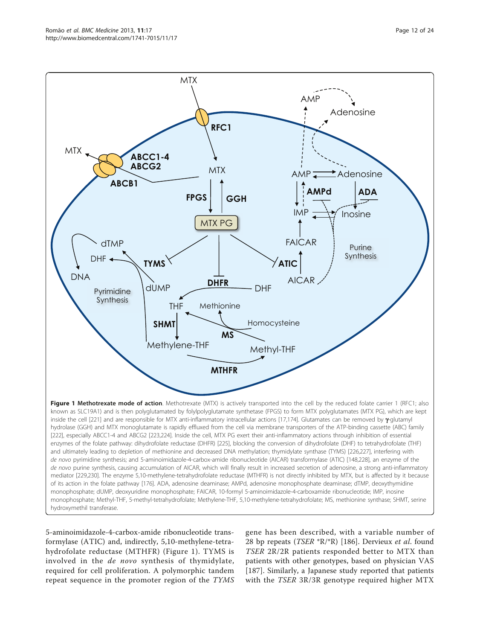<span id="page-11-0"></span>

5-aminoimidazole-4-carbox-amide ribonucleotide transformylase (ATIC) and, indirectly, 5,10-methylene-tetrahydrofolate reductase (MTHFR) (Figure 1). TYMS is involved in the de novo synthesis of thymidylate, required for cell proliferation. A polymorphic tandem repeat sequence in the promoter region of the TYMS

gene has been described, with a variable number of 28 bp repeats (TSER  $R/KR$ ) [\[186\]](#page-21-0). Dervieux et al. found TSER 2R/2R patients responded better to MTX than patients with other genotypes, based on physician VAS [[187\]](#page-21-0). Similarly, a Japanese study reported that patients with the TSER 3R/3R genotype required higher MTX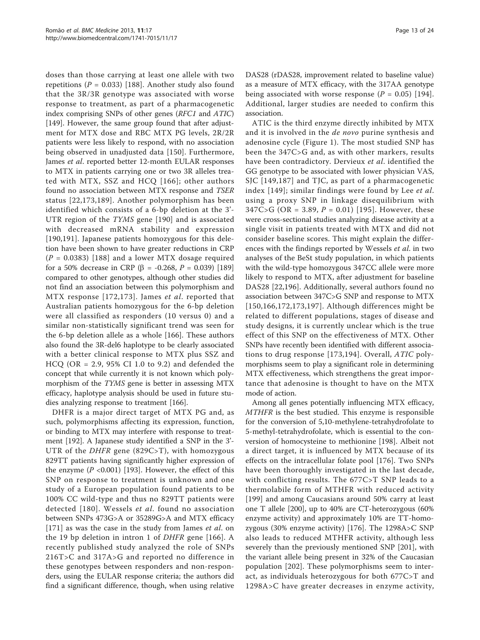doses than those carrying at least one allele with two repetitions ( $P = 0.033$ ) [[188\]](#page-21-0). Another study also found that the 3R/3R genotype was associated with worse response to treatment, as part of a pharmacogenetic index comprising SNPs of other genes (RFC1 and ATIC) [[149\]](#page-20-0). However, the same group found that after adjustment for MTX dose and RBC MTX PG levels, 2R/2R patients were less likely to respond, with no association being observed in unadjusted data [\[150](#page-20-0)]. Furthermore, James et al. reported better 12-month EULAR responses to MTX in patients carrying one or two 3R alleles treated with MTX, SSZ and HCQ [[166\]](#page-20-0); other authors found no association between MTX response and TSER status [[22,](#page-16-0)[173,189](#page-21-0)]. Another polymorphism has been identified which consists of a 6-bp deletion at the 3'- UTR region of the TYMS gene [\[190\]](#page-21-0) and is associated with decreased mRNA stability and expression [[190](#page-21-0),[191\]](#page-21-0). Japanese patients homozygous for this deletion have been shown to have greater reductions in CRP  $(P = 0.0383)$  [[188](#page-21-0)] and a lower MTX dosage required for a 50% decrease in CRP ( $\beta$  = -0.268, P = 0.039) [[189](#page-21-0)] compared to other genotypes, although other studies did not find an association between this polymorphism and MTX response [[172](#page-20-0),[173\]](#page-21-0). James et al. reported that Australian patients homozygous for the 6-bp deletion were all classified as responders (10 versus 0) and a similar non-statistically significant trend was seen for the 6-bp deletion allele as a whole [[166](#page-20-0)]. These authors also found the 3R-del6 haplotype to be clearly associated with a better clinical response to MTX plus SSZ and HCQ (OR = 2.9, 95% CI 1.0 to 9.2) and defended the concept that while currently it is not known which polymorphism of the TYMS gene is better in assessing MTX efficacy, haplotype analysis should be used in future studies analyzing response to treatment [[166](#page-20-0)].

DHFR is a major direct target of MTX PG and, as such, polymorphisms affecting its expression, function, or binding to MTX may interfere with response to treatment [\[192](#page-21-0)]. A Japanese study identified a SNP in the 3'- UTR of the DHFR gene (829C>T), with homozygous 829TT patients having significantly higher expression of the enzyme  $(P \le 0.001)$  [[193](#page-21-0)]. However, the effect of this SNP on response to treatment is unknown and one study of a European population found patients to be 100% CC wild-type and thus no 829TT patients were detected [[180](#page-21-0)]. Wessels et al. found no association between SNPs 473G>A or 35289G>A and MTX efficacy [[171](#page-20-0)] as was the case in the study from James *et al.* on the 19 bp deletion in intron 1 of DHFR gene [[166](#page-20-0)]. A recently published study analyzed the role of SNPs 216T>C and 317A>G and reported no difference in these genotypes between responders and non-responders, using the EULAR response criteria; the authors did find a significant difference, though, when using relative DAS28 (rDAS28, improvement related to baseline value) as a measure of MTX efficacy, with the 317AA genotype being associated with worse response ( $P = 0.05$ ) [[194](#page-21-0)]. Additional, larger studies are needed to confirm this association.

ATIC is the third enzyme directly inhibited by MTX and it is involved in the *de novo* purine synthesis and adenosine cycle (Figure [1\)](#page-11-0). The most studied SNP has been the 347C>G and, as with other markers, results have been contradictory. Dervieux et al. identified the GG genotype to be associated with lower physician VAS, SJC [[149](#page-20-0),[187](#page-21-0)] and TJC, as part of a pharmacogenetic index [[149](#page-20-0)]; similar findings were found by Lee et al. using a proxy SNP in linkage disequilibrium with 347C>G (OR = 3.89,  $P = 0.01$ ) [[195\]](#page-21-0). However, these were cross-sectional studies analyzing disease activity at a single visit in patients treated with MTX and did not consider baseline scores. This might explain the differences with the findings reported by Wessels et al. in two analyses of the BeSt study population, in which patients with the wild-type homozygous 347CC allele were more likely to respond to MTX, after adjustment for baseline DAS28 [[22,](#page-16-0)[196](#page-21-0)]. Additionally, several authors found no association between 347C>G SNP and response to MTX [[150,166](#page-20-0),[172](#page-20-0),[173](#page-21-0),[197](#page-21-0)]. Although differences might be related to different populations, stages of disease and study designs, it is currently unclear which is the true effect of this SNP on the effectiveness of MTX. Other SNPs have recently been identified with different associations to drug response [\[173](#page-21-0),[194](#page-21-0)]. Overall, ATIC polymorphisms seem to play a significant role in determining MTX effectiveness, which strengthens the great importance that adenosine is thought to have on the MTX mode of action.

Among all genes potentially influencing MTX efficacy, MTHFR is the best studied. This enzyme is responsible for the conversion of 5,10-methylene-tetrahydrofolate to 5-methyl-tetrahydrofolate, which is essential to the conversion of homocysteine to methionine [\[198](#page-21-0)]. Albeit not a direct target, it is influenced by MTX because of its effects on the intracellular folate pool [\[176\]](#page-21-0). Two SNPs have been thoroughly investigated in the last decade, with conflicting results. The 677C>T SNP leads to a thermolabile form of MTHFR with reduced activity [[199](#page-21-0)] and among Caucasians around 50% carry at least one T allele [\[200\]](#page-21-0), up to 40% are CT-heterozygous (60% enzyme activity) and approximately 10% are TT-homozygous (30% enzyme activity) [\[176](#page-21-0)]. The 1298A>C SNP also leads to reduced MTHFR activity, although less severely than the previously mentioned SNP [[201\]](#page-21-0), with the variant allele being present in 32% of the Caucasian population [[202](#page-21-0)]. These polymorphisms seem to interact, as individuals heterozygous for both 677C>T and 1298A>C have greater decreases in enzyme activity,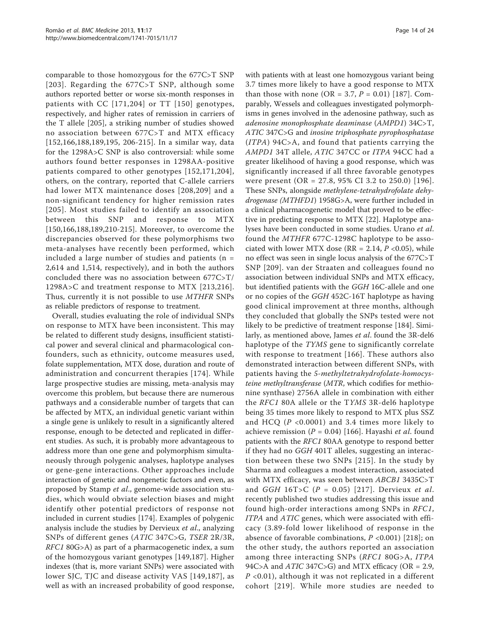comparable to those homozygous for the 677C>T SNP [[203](#page-21-0)]. Regarding the 677C>T SNP, although some authors reported better or worse six-month responses in patients with CC [[171](#page-20-0),[204\]](#page-21-0) or TT [[150](#page-20-0)] genotypes, respectively, and higher rates of remission in carriers of the T allele [[205\]](#page-21-0), a striking number of studies showed no association between 677C>T and MTX efficacy [[152,166](#page-20-0),[188,189,195, 206](#page-21-0)-[215](#page-22-0)]. In a similar way, data for the 1298A>C SNP is also controversial: while some authors found better responses in 1298AA-positive patients compared to other genotypes [[152](#page-20-0),[171,](#page-20-0)[204\]](#page-21-0), others, on the contrary, reported that C-allele carriers had lower MTX maintenance doses [[208](#page-22-0),[209\]](#page-22-0) and a non-significant tendency for higher remission rates [[205](#page-21-0)]. Most studies failed to identify an association between this SNP and response to MTX [[150](#page-20-0),[166,](#page-20-0)[188](#page-21-0),[189,](#page-21-0)[210](#page-22-0)-[215](#page-22-0)]. Moreover, to overcome the discrepancies observed for these polymorphisms two meta-analyses have recently been performed, which included a large number of studies and patients ( $n =$ 2,614 and 1,514, respectively), and in both the authors concluded there was no association between 677C>T/ 1298A>C and treatment response to MTX [\[213,216\]](#page-22-0). Thus, currently it is not possible to use MTHFR SNPs as reliable predictors of response to treatment.

Overall, studies evaluating the role of individual SNPs on response to MTX have been inconsistent. This may be related to different study designs, insufficient statistical power and several clinical and pharmacological confounders, such as ethnicity, outcome measures used, folate supplementation, MTX dose, duration and route of administration and concurrent therapies [[174\]](#page-21-0). While large prospective studies are missing, meta-analysis may overcome this problem, but because there are numerous pathways and a considerable number of targets that can be affected by MTX, an individual genetic variant within a single gene is unlikely to result in a significantly altered response, enough to be detected and replicated in different studies. As such, it is probably more advantageous to address more than one gene and polymorphism simultaneously through polygenic analyses, haplotype analyses or gene-gene interactions. Other approaches include interaction of genetic and nongenetic factors and even, as proposed by Stamp et al., genome-wide association studies, which would obviate selection biases and might identify other potential predictors of response not included in current studies [[174\]](#page-21-0). Examples of polygenic analysis include the studies by Dervieux *et al.*, analyzing SNPs of different genes (ATIC 347C>G, TSER 2R/3R, RFC1 80G>A) as part of a pharmacogenetic index, a sum of the homozygous variant genotypes [\[149,](#page-20-0)[187](#page-21-0)]. Higher indexes (that is, more variant SNPs) were associated with lower SJC, TJC and disease activity VAS [[149,](#page-20-0)[187](#page-21-0)], as well as with an increased probability of good response, with patients with at least one homozygous variant being 3.7 times more likely to have a good response to MTX than those with none (OR = 3.7,  $P = 0.01$ ) [[187\]](#page-21-0). Comparably, Wessels and colleagues investigated polymorphisms in genes involved in the adenosine pathway, such as adenosine monophosphate deaminase (AMPD1) 34C>T, ATIC 347C>G and inosine triphosphate pyrophosphatase (ITPA) 94C>A, and found that patients carrying the AMPD1 34T allele, ATIC 347CC or ITPA 94CC had a greater likelihood of having a good response, which was significantly increased if all three favorable genotypes were present (OR = 27.8, 95% CI 3.2 to 250.0) [[196\]](#page-21-0). These SNPs, alongside methylene-tetrahydrofolate dehydrogenase (MTHFD1) 1958G>A, were further included in a clinical pharmacogenetic model that proved to be effective in predicting response to MTX [\[22](#page-16-0)]. Haplotype analyses have been conducted in some studies. Urano et al. found the MTHFR 677C-1298C haplotype to be associated with lower MTX dose ( $RR = 2.14, P < 0.05$ ), while no effect was seen in single locus analysis of the 677C>T SNP [\[209](#page-22-0)]. van der Straaten and colleagues found no association between individual SNPs and MTX efficacy, but identified patients with the GGH 16C-allele and one or no copies of the GGH 452C-16T haplotype as having good clinical improvement at three months, although they concluded that globally the SNPs tested were not likely to be predictive of treatment response [\[184](#page-21-0)]. Similarly, as mentioned above, James et al. found the 3R-del6 haplotype of the TYMS gene to significantly correlate with response to treatment [[166\]](#page-20-0). These authors also demonstrated interaction between different SNPs, with patients having the 5-methyltetrahydrofolate-homocysteine methyltransferase (MTR, which codifies for methionine synthase) 2756A allele in combination with either the RFC1 80A allele or the TYMS 3R-del6 haplotype being 35 times more likely to respond to MTX plus SSZ and HCQ  $(P < 0.0001)$  and 3.4 times more likely to achieve remission ( $P = 0.04$ ) [[166](#page-20-0)]. Hayashi et al. found patients with the RFC1 80AA genotype to respond better if they had no GGH 401T alleles, suggesting an interaction between these two SNPs [[215](#page-22-0)]. In the study by Sharma and colleagues a modest interaction, associated with MTX efficacy, was seen between ABCB1 3435C>T and GGH 16T>C ( $P = 0.05$ ) [[217](#page-22-0)]. Dervieux et al. recently published two studies addressing this issue and found high-order interactions among SNPs in RFC1, ITPA and ATIC genes, which were associated with efficacy (3.89-fold lower likelihood of response in the absence of favorable combinations,  $P < 0.001$  [[218](#page-22-0)]; on the other study, the authors reported an association among three interacting SNPs (RFC1 80G>A, ITPA 94C>A and  $ATIC$  347C>G) and MTX efficacy (OR = 2.9,  $P$  <0.01), although it was not replicated in a different cohort [[219](#page-22-0)]. While more studies are needed to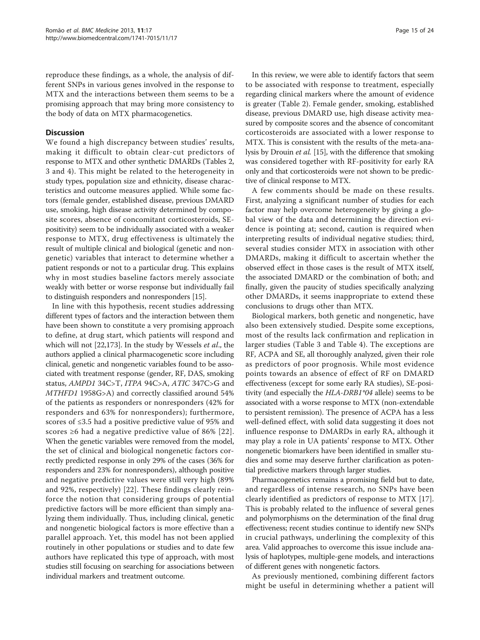reproduce these findings, as a whole, the analysis of different SNPs in various genes involved in the response to MTX and the interactions between them seems to be a promising approach that may bring more consistency to the body of data on MTX pharmacogenetics.

# **Discussion**

We found a high discrepancy between studies' results, making it difficult to obtain clear-cut predictors of response to MTX and other synthetic DMARDs (Tables [2](#page-2-0), [3](#page-6-0) and [4\)](#page-9-0). This might be related to the heterogeneity in study types, population size and ethnicity, disease characteristics and outcome measures applied. While some factors (female gender, established disease, previous DMARD use, smoking, high disease activity determined by composite scores, absence of concomitant corticosteroids, SEpositivity) seem to be individually associated with a weaker response to MTX, drug effectiveness is ultimately the result of multiple clinical and biological (genetic and nongenetic) variables that interact to determine whether a patient responds or not to a particular drug. This explains why in most studies baseline factors merely associate weakly with better or worse response but individually fail to distinguish responders and nonresponders [[15](#page-16-0)].

In line with this hypothesis, recent studies addressing different types of factors and the interaction between them have been shown to constitute a very promising approach to define, at drug start, which patients will respond and which will not [\[22,](#page-16-0)[173](#page-21-0)]. In the study by Wessels *et al.*, the authors applied a clinical pharmacogenetic score including clinical, genetic and nongenetic variables found to be associated with treatment response (gender, RF, DAS, smoking status, AMPD1 34C>T, ITPA 94C>A, ATIC 347C>G and MTHFD1 1958G>A) and correctly classified around 54% of the patients as responders or nonresponders (42% for responders and 63% for nonresponders); furthermore, scores of ≤3.5 had a positive predictive value of 95% and scores ≥6 had a negative predictive value of 86% [[22\]](#page-16-0). When the genetic variables were removed from the model, the set of clinical and biological nongenetic factors correctly predicted response in only 29% of the cases (36% for responders and 23% for nonresponders), although positive and negative predictive values were still very high (89% and 92%, respectively) [\[22](#page-16-0)]. These findings clearly reinforce the notion that considering groups of potential predictive factors will be more efficient than simply analyzing them individually. Thus, including clinical, genetic and nongenetic biological factors is more effective than a parallel approach. Yet, this model has not been applied routinely in other populations or studies and to date few authors have replicated this type of approach, with most studies still focusing on searching for associations between individual markers and treatment outcome.

In this review, we were able to identify factors that seem to be associated with response to treatment, especially regarding clinical markers where the amount of evidence is greater (Table [2\)](#page-2-0). Female gender, smoking, established disease, previous DMARD use, high disease activity measured by composite scores and the absence of concomitant corticosteroids are associated with a lower response to MTX. This is consistent with the results of the meta-analysis by Drouin et al. [\[15\]](#page-16-0), with the difference that smoking was considered together with RF-positivity for early RA only and that corticosteroids were not shown to be predictive of clinical response to MTX.

A few comments should be made on these results. First, analyzing a significant number of studies for each factor may help overcome heterogeneity by giving a global view of the data and determining the direction evidence is pointing at; second, caution is required when interpreting results of individual negative studies; third, several studies consider MTX in association with other DMARDs, making it difficult to ascertain whether the observed effect in those cases is the result of MTX itself, the associated DMARD or the combination of both; and finally, given the paucity of studies specifically analyzing other DMARDs, it seems inappropriate to extend these conclusions to drugs other than MTX.

Biological markers, both genetic and nongenetic, have also been extensively studied. Despite some exceptions, most of the results lack confirmation and replication in larger studies (Table [3](#page-6-0) and Table [4\)](#page-9-0). The exceptions are RF, ACPA and SE, all thoroughly analyzed, given their role as predictors of poor prognosis. While most evidence points towards an absence of effect of RF on DMARD effectiveness (except for some early RA studies), SE-positivity (and especially the HLA-DRB1\*04 allele) seems to be associated with a worse response to MTX (non-extendable to persistent remission). The presence of ACPA has a less well-defined effect, with solid data suggesting it does not influence response to DMARDs in early RA, although it may play a role in UA patients' response to MTX. Other nongenetic biomarkers have been identified in smaller studies and some may deserve further clarification as potential predictive markers through larger studies.

Pharmacogenetics remains a promising field but to date, and regardless of intense research, no SNPs have been clearly identified as predictors of response to MTX [\[17](#page-16-0)]. This is probably related to the influence of several genes and polymorphisms on the determination of the final drug effectiveness; recent studies continue to identify new SNPs in crucial pathways, underlining the complexity of this area. Valid approaches to overcome this issue include analysis of haplotypes, multiple-gene models, and interactions of different genes with nongenetic factors.

As previously mentioned, combining different factors might be useful in determining whether a patient will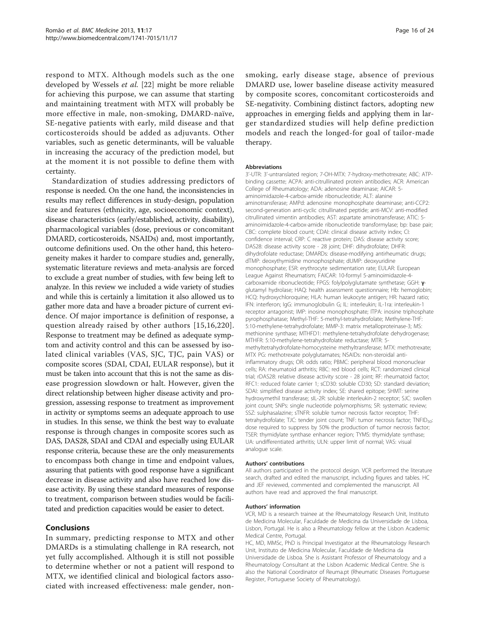respond to MTX. Although models such as the one developed by Wessels et al. [[22](#page-16-0)] might be more reliable for achieving this purpose, we can assume that starting and maintaining treatment with MTX will probably be more effective in male, non-smoking, DMARD-naïve, SE-negative patients with early, mild disease and that corticosteroids should be added as adjuvants. Other variables, such as genetic determinants, will be valuable in increasing the accuracy of the prediction model, but at the moment it is not possible to define them with certainty.

Standardization of studies addressing predictors of response is needed. On the one hand, the inconsistencies in results may reflect differences in study-design, population size and features (ethnicity, age, socioeconomic context), disease characteristics (early/established, activity, disability), pharmacological variables (dose, previous or concomitant DMARD, corticosteroids, NSAIDs) and, most importantly, outcome definitions used. On the other hand, this heterogeneity makes it harder to compare studies and, generally, systematic literature reviews and meta-analysis are forced to exclude a great number of studies, with few being left to analyze. In this review we included a wide variety of studies and while this is certainly a limitation it also allowed us to gather more data and have a broader picture of current evidence. Of major importance is definition of response, a question already raised by other authors [[15](#page-16-0),[16,](#page-16-0)[220\]](#page-22-0). Response to treatment may be defined as adequate symptom and activity control and this can be assessed by isolated clinical variables (VAS, SJC, TJC, pain VAS) or composite scores (SDAI, CDAI, EULAR response), but it must be taken into account that this is not the same as disease progression slowdown or halt. However, given the direct relationship between higher disease activity and progression, assessing response to treatment as improvement in activity or symptoms seems an adequate approach to use in studies. In this sense, we think the best way to evaluate response is through changes in composite scores such as DAS, DAS28, SDAI and CDAI and especially using EULAR response criteria, because these are the only measurements to encompass both change in time and endpoint values, assuring that patients with good response have a significant decrease in disease activity and also have reached low disease activity. By using these standard measures of response to treatment, comparison between studies would be facilitated and prediction capacities would be easier to detect.

# Conclusions

In summary, predicting response to MTX and other DMARDs is a stimulating challenge in RA research, not yet fully accomplished. Although it is still not possible to determine whether or not a patient will respond to MTX, we identified clinical and biological factors associated with increased effectiveness: male gender, nonsmoking, early disease stage, absence of previous DMARD use, lower baseline disease activity measured by composite scores, concomitant corticosteroids and SE-negativity. Combining distinct factors, adopting new approaches in emerging fields and applying them in larger standardized studies will help define prediction models and reach the longed-for goal of tailor-made therapy.

# Abbreviations

3'-UTR: 3'-untranslated region; 7-OH-MTX: 7-hydroxy-methotrexate; ABC: ATPbinding cassette; ACPA: anti-citrullinated protein antibodies; ACR: American College of Rheumatology; ADA: adenosine deaminase; AICAR: 5 aminoimidazole-4-carbox-amide ribonucleotide; ALT: alanine aminotransferase; AMPd: adenosine monophosphate deaminase; anti-CCP2: second-generation anti-cyclic citrullinated peptide; anti-MCV: anti-modified citrullinated vimentin antibodies; AST: aspartate aminotransferase; ATIC: 5 aminoimidazole-4-carbox-amide ribonucleotide transformylase; bp: base pair; CBC: complete blood count; CDAI: clinical disease activity index; CI: confidence interval; CRP: C reactive protein; DAS: disease activity score; DAS28: disease activity score - 28 joint; DHF: dihydrofolate; DHFR: dihydrofolate reductase; DMARDs: disease-modifying antirheumatic drugs; dTMP: deoxythymidine monophosphate; dUMP: deoxyuridine monophosphate; ESR: erythrocyte sedimentation rate; EULAR: European League Against Rheumatism; FAICAR: 10-formyl 5-aminoimidazole-4 carboxamide ribonucleotide; FPGS: folylpolyglutamate synthetase; GGH: γglutamyl hydrolase; HAQ: health assessment questionnaire; Hb: hemoglobin; HCQ: hydroxychloroquine; HLA: human leukocyte antigen; HR: hazard ratio; IFN: interferon; IgG: immunoglobulin G; IL: interleukin; IL-1ra: interleukin-1 receptor antagonist; IMP: inosine monophosphate; ITPA: inosine triphosphate pyrophosphatase; Methyl-THF: 5-methyl-tetrahydrofolate; Methylene-THF: 5:10-methylene-tetrahydrofolate; MMP-3: matrix metalloproteinase-3; MS: methionine synthase; MTHFD1: methylene-tetrahydrofolate dehydrogenase; MTHFR: 5:10-methylene-tetrahydrofolate reductase; MTR: 5 methyltetrahydrofolate-homocysteine methyltransferase; MTX: methotrexate; MTX PG: methotrexate polyglutamates; NSAIDs: non-steroidal antiinflammatory drugs; OR: odds ratio; PBMC: peripheral blood mononuclear cells; RA: rheumatoid arthritis; RBC: red blood cells; RCT: randomized clinical trial; rDAS28: relative disease activity score - 28 joint; RF: rheumatoid factor; RFC1: reduced folate carrier 1; sCD30: soluble CD30; SD: standard deviation; SDAI: simplified disease activity index; SE: shared epitope; SHMT: serine hydroxymethil transferase; sIL-2R: soluble interleukin-2 receptor; SJC: swollen joint count; SNPs: single nucleotide polymorphisms; SR: systematic review; SSZ: sulphasalazine; sTNFR: soluble tumor necrosis factor receptor; THF: tetrahydrofolate; TJC: tender joint count; TNF: tumor necrosis factor; TNFID<sub>50</sub>: dose required to suppress by 50% the production of tumor necrosis factor; TSER: thymidylate synthase enhancer region; TYMS: thymidylate synthase; UA: undifferentiated arthritis; ULN: upper limit of normal; VAS: visual analogue scale.

#### Authors' contributions

All authors participated in the protocol design. VCR performed the literature search, drafted and edited the manuscript, including figures and tables. HC and JEF reviewed, commented and complemented the manuscript. All authors have read and approved the final manuscript.

#### Authors' information

VCR, MD is a research trainee at the Rheumatology Research Unit, Instituto de Medicina Molecular, Faculdade de Medicina da Universidade de Lisboa, Lisbon, Portugal. He is also a Rheumatology fellow at the Lisbon Academic Medical Centre, Portugal.

HC, MD, MMSc, PhD is Principal Investigator at the Rheumatology Research Unit, Instituto de Medicina Molecular, Faculdade de Medicina da Universidade de Lisboa. She is Assistant Professor of Rheumatology and a Rheumatology Consultant at the Lisbon Academic Medical Centre. She is also the National Coordinator of Reuma.pt (Rheumatic Diseases Portuguese Register, Portuguese Society of Rheumatology).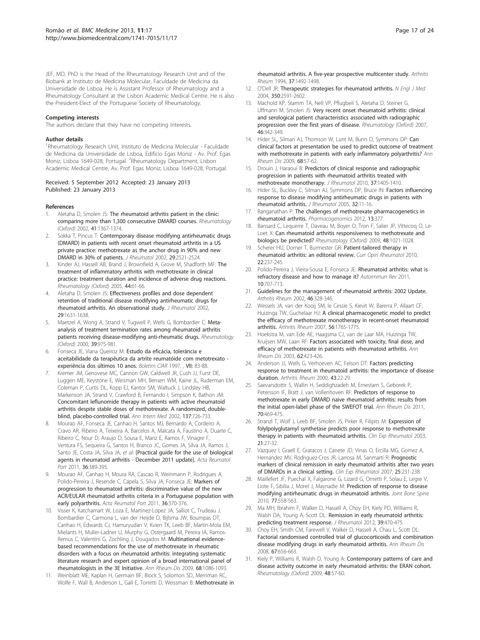<span id="page-16-0"></span>JEF, MD, PhD is the Head of the Rheumatology Research Unit and of the Biobank at Instituto de Medicina Molecular, Faculdade de Medicina da Universidade de Lisboa. He is Assistant Professor of Rheumatology and a Rheumatology Consultant at the Lisbon Academic Medical Centre. He is also the President-Elect of the Portuguese Society of Rheumatology.

#### Competing interests

The authors declare that they have no competing interests.

#### Author details

<sup>1</sup>Rheumatology Research Unit, Instituto de Medicina Molecular - Faculdade de Medicina da Universidade de Lisboa, Edifício Egas Moniz - Av. Prof. Egas Moniz, Lisboa 1649-028, Portugal. <sup>2</sup>Rheumatology Department, Lisbon Academic Medical Centre, Av. Prof. Egas Moniz, Lisboa 1649-028, Portugal.

#### Received: 5 September 2012 Accepted: 23 January 2013 Published: 23 January 2013

#### References

- 1. Aletaha D, Smolen JS: The rheumatoid arthritis patient in the clinic: comparing more than 1,300 consecutive DMARD courses. Rheumatology (Oxford) 2002, 41:1367-1374.
- 2. Sokka T, Pincus T: [Contemporary disease modifying antirheumatic drugs](http://www.ncbi.nlm.nih.gov/pubmed/12465145?dopt=Abstract) [\(DMARD\) in patients with recent onset rheumatoid arthritis in a US](http://www.ncbi.nlm.nih.gov/pubmed/12465145?dopt=Abstract) [private practice: methotrexate as the anchor drug in 90% and new](http://www.ncbi.nlm.nih.gov/pubmed/12465145?dopt=Abstract) [DMARD in 30% of patients.](http://www.ncbi.nlm.nih.gov/pubmed/12465145?dopt=Abstract) J Rheumatol 2002, 29:2521-2524.
- 3. Kinder AJ, Hassell AB, Brand J, Brownfield A, Grove M, Shadforth MF: The treatment of inflammatory arthritis with methotrexate in clinical practice: treatment duration and incidence of adverse drug reactions. Rheumatology (Oxford) 2005, 44:61-66.
- 4. Aletaha D, Smolen JS: [Effectiveness profiles and dose dependent](http://www.ncbi.nlm.nih.gov/pubmed/12180721?dopt=Abstract) [retention of traditional disease modifying antirheumatic drugs for](http://www.ncbi.nlm.nih.gov/pubmed/12180721?dopt=Abstract) [rheumatoid arthritis. An observational study.](http://www.ncbi.nlm.nih.gov/pubmed/12180721?dopt=Abstract) J Rheumatol 2002, 29:1631-1638.
- Maetzel A, Wong A, Strand V, Tugwell P, Wells G, Bombardier C: Metaanalysis of treatment termination rates among rheumatoid arthritis patients receiving disease-modifying anti-rheumatic drugs. Rheumatology (Oxford) 2000, 39:975-981.
- 6. Fonseca JE, Viana Queiroz M: Estudo da eficácia, tolerância e aceitabilidade da terapêutica da artrite reumatóide com metotrexato experiência dos últimos 10 anos. Boletim CIAR 1997, , VII: 83-88.
- Kremer JM, Genovese MC, Cannon GW, Caldwell JR, Cush JJ, Furst DE, Luggen ME, Keystone E, Weisman MH, Bensen WM, Kaine JL, Ruderman EM, Coleman P, Curtis DL, Kopp EJ, Kantor SM, Waltuck J, Lindsley HB, Markenson JA, Strand V, Crawford B, Fernando I, Simpson K, Bathon JM: [Concomitant leflunomide therapy in patients with active rheumatoid](http://www.ncbi.nlm.nih.gov/pubmed/12416946?dopt=Abstract) [arthritis despite stable doses of methotrexate. A randomized, double](http://www.ncbi.nlm.nih.gov/pubmed/12416946?dopt=Abstract)[blind, placebo-controlled trial.](http://www.ncbi.nlm.nih.gov/pubmed/12416946?dopt=Abstract) Ann Intern Med 2002, 137:726-733.
- 8. Mourao AF, Fonseca JE, Canhao H, Santos MJ, Bernardo A, Cordeiro A, Cravo AR, Ribeiro A, Teixeira A, Barcelos A, Malcata A, Faustino A, Duarte C, Ribeiro C, Nour D, Araujo D, Sousa E, Mariz E, Ramos F, Vinagre F, Ventura FS, Sequeira G, Santos H, Branco JC, Gomes JA, Silva JA, Ramos J, Santo JE, Costa JA, Silva JA, et al: [Practical quide for the use of biological [agents in rheumatoid arthritis - December 2011 update\].](http://www.ncbi.nlm.nih.gov/pubmed/22472930?dopt=Abstract) Acta Reumatol Port 2011, 36:389-395.
- 9. Mourao AF, Canhao H, Moura RA, Cascao R, Weinmann P, Rodrigues A, Polido-Pereira J, Resende C, Capela S, Silva JA, Fonseca JE: [Markers of](http://www.ncbi.nlm.nih.gov/pubmed/22472927?dopt=Abstract) [progression to rheumatoid arthritis: discriminative value of the new](http://www.ncbi.nlm.nih.gov/pubmed/22472927?dopt=Abstract) [ACR/EULAR rheumatoid arthritis criteria in a Portuguese population with](http://www.ncbi.nlm.nih.gov/pubmed/22472927?dopt=Abstract) [early polyarthritis.](http://www.ncbi.nlm.nih.gov/pubmed/22472927?dopt=Abstract) Acta Reumatol Port 2011, 36:370-376.
- 10. Visser K, Katchamart W, Loza E, Martinez-Lopez JA, Salliot C, Trudeau J, Bombardier C, Carmona L, van der Heijde D, Bijlsma JW, Boumpas DT, Canhao H, Edwards CJ, Hamuryudan V, Kvien TK, Leeb BF, Martin-Mola EM, Mielants H, Muller-Ladner U, Murphy G, Ostergaard M, Pereira IA, Ramos-Remus C, Valentini G, Zochling J, Dougados M: [Multinational evidence](http://www.ncbi.nlm.nih.gov/pubmed/19033291?dopt=Abstract)[based recommendations for the use of methotrexate in rheumatic](http://www.ncbi.nlm.nih.gov/pubmed/19033291?dopt=Abstract) [disorders with a focus on rheumatoid arthritis: integrating systematic](http://www.ncbi.nlm.nih.gov/pubmed/19033291?dopt=Abstract) [literature research and expert opinion of a broad international panel of](http://www.ncbi.nlm.nih.gov/pubmed/19033291?dopt=Abstract) [rheumatologists in the 3E Initiative.](http://www.ncbi.nlm.nih.gov/pubmed/19033291?dopt=Abstract) Ann Rheum Dis 2009, 68:1086-1093.
- 11. Weinblatt ME, Kaplan H, Germain BF, Block S, Solomon SD, Merriman RC, Wolfe F, Wall B, Anderson L, Gall E, Torretti D, Weissman B: [Methotrexate in](http://www.ncbi.nlm.nih.gov/pubmed/7945475?dopt=Abstract)

[rheumatoid arthritis. A five-year prospective multicenter study.](http://www.ncbi.nlm.nih.gov/pubmed/7945475?dopt=Abstract) Arthritis Rheum 1994, 37:1492-1498.

- 12. O'Dell JR: [Therapeutic strategies for rheumatoid arthritis.](http://www.ncbi.nlm.nih.gov/pubmed/15201416?dopt=Abstract) N Engl J Med 2004, 350:2591-2602.
- 13. Machold KP, Stamm TA, Nell VP, Pflugbeil S, Aletaha D, Steiner G, Uffmann M, Smolen JS: Very recent onset rheumatoid arthritis: clinical and serological patient characteristics associated with radiographic progression over the first years of disease. Rheumatology (Oxford) 2007, 46:342-349.
- 14. Hider SL, Silman AJ, Thomson W, Lunt M, Bunn D, Symmons DP: [Can](http://www.ncbi.nlm.nih.gov/pubmed/18292102?dopt=Abstract) [clinical factors at presentation be used to predict outcome of treatment](http://www.ncbi.nlm.nih.gov/pubmed/18292102?dopt=Abstract) [with methotrexate in patients with early inflammatory polyarthritis?](http://www.ncbi.nlm.nih.gov/pubmed/18292102?dopt=Abstract) Ann Rheum Dis 2009, 68:57-62.
- 15. Drouin J, Haraoui B: [Predictors of clinical response and radiographic](http://www.ncbi.nlm.nih.gov/pubmed/20436076?dopt=Abstract) [progression in patients with rheumatoid arthritis treated with](http://www.ncbi.nlm.nih.gov/pubmed/20436076?dopt=Abstract) [methotrexate monotherapy.](http://www.ncbi.nlm.nih.gov/pubmed/20436076?dopt=Abstract) J Rheumatol 2010, 37:1405-1410.
- 16. Hider SL, Buckley C, Silman AJ, Symmons DP, Bruce IN: [Factors influencing](http://www.ncbi.nlm.nih.gov/pubmed/15700388?dopt=Abstract) [response to disease modifying antirheumatic drugs in patients with](http://www.ncbi.nlm.nih.gov/pubmed/15700388?dopt=Abstract) [rheumatoid arthritis.](http://www.ncbi.nlm.nih.gov/pubmed/15700388?dopt=Abstract) J Rheumatol 2005, 32:11-16.
- 17. Ranganathan P: [The challenges of methotrexate pharmacogenetics in](http://www.ncbi.nlm.nih.gov/pubmed/22379994?dopt=Abstract) [rheumatoid arthritis.](http://www.ncbi.nlm.nih.gov/pubmed/22379994?dopt=Abstract) Pharmacogenomics 2012, 13:377.
- 18. Bansard C, Lequerre T, Daveau M, Boyer O, Tron F, Salier JP, Vittecoq O, Le-Loet X: Can rheumatoid arthritis responsiveness to methotrexate and biologics be predicted? Rheumatology (Oxford) 2009, 48:1021-1028.
- Scherer HU, Dorner T, Burmester GR: [Patient-tailored therapy in](http://www.ncbi.nlm.nih.gov/pubmed/20177384?dopt=Abstract) [rheumatoid arthritis: an editorial review.](http://www.ncbi.nlm.nih.gov/pubmed/20177384?dopt=Abstract) Curr Opin Rheumatol 2010, 22:237-245.
- 20. Polido-Pereira J, Vieira-Sousa E, Fonseca JE: [Rheumatoid arthritis: what is](http://www.ncbi.nlm.nih.gov/pubmed/21570496?dopt=Abstract) [refractory disease and how to manage it?](http://www.ncbi.nlm.nih.gov/pubmed/21570496?dopt=Abstract) Autoimmun Rev 2011, 10:707-713.
- 21. Guidelines for the management of rheumatoid arthritis: 2002 Update. Arthritis Rheum 2002, 46:328-346.
- 22. Wessels JA, van der Kooij SM, le Cessie S, Kievit W, Barerra P, Allaart CF, Huizinga TW, Guchelaar HJ: [A clinical pharmacogenetic model to predict](http://www.ncbi.nlm.nih.gov/pubmed/17530705?dopt=Abstract) [the efficacy of methotrexate monotherapy in recent-onset rheumatoid](http://www.ncbi.nlm.nih.gov/pubmed/17530705?dopt=Abstract) [arthritis.](http://www.ncbi.nlm.nih.gov/pubmed/17530705?dopt=Abstract) Arthritis Rheum 2007, 56:1765-1775.
- 23. Hoekstra M, van Ede AE, Haagsma CJ, van de Laar MA, Huizinga TW, Kruijsen MW, Laan RF: [Factors associated with toxicity, final dose, and](http://www.ncbi.nlm.nih.gov/pubmed/12695153?dopt=Abstract) [efficacy of methotrexate in patients with rheumatoid arthritis.](http://www.ncbi.nlm.nih.gov/pubmed/12695153?dopt=Abstract) Ann Rheum Dis 2003, 62:423-426.
- 24. Anderson JJ, Wells G, Verhoeven AC, Felson DT: [Factors predicting](http://www.ncbi.nlm.nih.gov/pubmed/10643696?dopt=Abstract) [response to treatment in rheumatoid arthritis: the importance of disease](http://www.ncbi.nlm.nih.gov/pubmed/10643696?dopt=Abstract) [duration.](http://www.ncbi.nlm.nih.gov/pubmed/10643696?dopt=Abstract) Arthritis Rheum 2000, 43:22-29.
- 25. Saevarsdottir S, Wallin H, Seddighzadeh M, Ernestam S, Geborek P, Petersson IF, Bratt J, van Vollenhoven RF: [Predictors of response to](http://www.ncbi.nlm.nih.gov/pubmed/21149498?dopt=Abstract) [methotrexate in early DMARD naive rheumatoid arthritis: results from](http://www.ncbi.nlm.nih.gov/pubmed/21149498?dopt=Abstract) [the initial open-label phase of the SWEFOT trial.](http://www.ncbi.nlm.nih.gov/pubmed/21149498?dopt=Abstract) Ann Rheum Dis 2011, 70:469-475.
- 26. Stranzl T, Wolf J, Leeb BF, Smolen JS, Pirker R, Filipits M: [Expression of](http://www.ncbi.nlm.nih.gov/pubmed/12673886?dopt=Abstract) [folylpolyglutamyl synthetase predicts poor response to methotrexate](http://www.ncbi.nlm.nih.gov/pubmed/12673886?dopt=Abstract) [therapy in patients with rheumatoid arthritis.](http://www.ncbi.nlm.nih.gov/pubmed/12673886?dopt=Abstract) Clin Exp Rheumatol 2003, 21:27-32.
- 27. Vazquez I, Graell E, Gratacos J, Canete JD, Vinas O, Ercilla MG, Gomez A, Hernandez MV, Rodriguez-Cros JR, Larrosa M, Sanmarti R: [Prognostic](http://www.ncbi.nlm.nih.gov/pubmed/17543147?dopt=Abstract) [markers of clinical remission in early rheumatoid arthritis after two years](http://www.ncbi.nlm.nih.gov/pubmed/17543147?dopt=Abstract) [of DMARDs in a clinical setting.](http://www.ncbi.nlm.nih.gov/pubmed/17543147?dopt=Abstract) Clin Exp Rheumatol 2007, 25:231-238.
- 28. Maillefert JF, Puechal X, Falgarone G, Lizard G, Ornetti P, Solau E, Legre V, Liote F, Sibilia J, Morel J, Maynadie M: [Prediction of response to disease](http://www.ncbi.nlm.nih.gov/pubmed/20478729?dopt=Abstract) [modifying antirheumatic drugs in rheumatoid arthritis.](http://www.ncbi.nlm.nih.gov/pubmed/20478729?dopt=Abstract) Joint Bone Spine 2010, 77:558-563.
- 29. Ma MH, Ibrahim F, Walker D, Hassell A, Choy EH, Kiely PD, Williams R, Walsh DA, Young A, Scott DL: [Remission in early rheumatoid arthritis:](http://www.ncbi.nlm.nih.gov/pubmed/22247360?dopt=Abstract) [predicting treatment response.](http://www.ncbi.nlm.nih.gov/pubmed/22247360?dopt=Abstract) J Rheumatol 2012, 39:470-475.
- 30. Choy EH, Smith CM, Farewell V, Walker D, Hassell A, Chau L, Scott DL: [Factorial randomised controlled trial of glucocorticoids and combination](http://www.ncbi.nlm.nih.gov/pubmed/17768173?dopt=Abstract) [disease modifying drugs in early rheumatoid arthritis.](http://www.ncbi.nlm.nih.gov/pubmed/17768173?dopt=Abstract) Ann Rheum Dis 2008, 67:656-663.
- 31. Kiely P, Williams R, Walsh D, Young A: Contemporary patterns of care and disease activity outcome in early rheumatoid arthritis: the ERAN cohort. Rheumatology (Oxford) 2009, 48:57-60.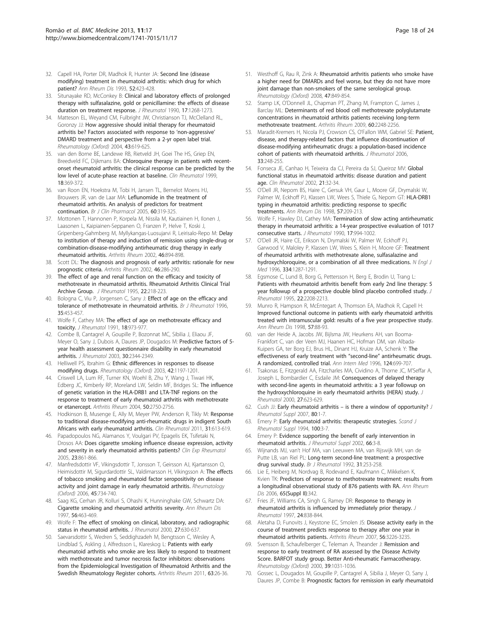- <span id="page-17-0"></span>32. Capell HA, Porter DR, Madhok R, Hunter JA: [Second line \(disease](http://www.ncbi.nlm.nih.gov/pubmed/8100702?dopt=Abstract) [modifying\) treatment in rheumatoid arthritis: which drug for which](http://www.ncbi.nlm.nih.gov/pubmed/8100702?dopt=Abstract) [patient?](http://www.ncbi.nlm.nih.gov/pubmed/8100702?dopt=Abstract) Ann Rheum Dis 1993, 52:423-428.
- 33. Situnayake RD, McConkey B: [Clinical and laboratory effects of prolonged](http://www.ncbi.nlm.nih.gov/pubmed/1979349?dopt=Abstract) [therapy with sulfasalazine, gold or penicillamine: the effects of disease](http://www.ncbi.nlm.nih.gov/pubmed/1979349?dopt=Abstract) [duration on treatment response.](http://www.ncbi.nlm.nih.gov/pubmed/1979349?dopt=Abstract) J Rheumatol 1990, 17:1268-1273.
- 34. Matteson EL, Weyand CM, Fulbright JW, Christianson TJ, McClelland RL, Goronzy JJ: How aggressive should initial therapy for rheumatoid arthritis be? Factors associated with response to 'non-aggressive' DMARD treatment and perspective from a 2-yr open label trial. Rheumatology (Oxford) 2004, 43:619-625.
- 35. van den Borne BE, Landewe RB, Rietveld JH, Goei The HS, Griep EN, Breedveld FC, Dijkmans BA: [Chloroquine therapy in patients with recent](http://www.ncbi.nlm.nih.gov/pubmed/10524550?dopt=Abstract)[onset rheumatoid arthritis: the clinical response can be predicted by the](http://www.ncbi.nlm.nih.gov/pubmed/10524550?dopt=Abstract) [low level of acute-phase reaction at baseline.](http://www.ncbi.nlm.nih.gov/pubmed/10524550?dopt=Abstract) Clin Rheumatol 1999, 18:369-372.
- 36. van Roon EN, Hoekstra M, Tobi H, Jansen TL, Bernelot Moens HJ, Brouwers JR, van de Laar MA: [Leflunomide in the treatment of](http://www.ncbi.nlm.nih.gov/pubmed/16120072?dopt=Abstract) [rheumatoid arthritis. An analysis of predictors for treatment](http://www.ncbi.nlm.nih.gov/pubmed/16120072?dopt=Abstract) [continuation.](http://www.ncbi.nlm.nih.gov/pubmed/16120072?dopt=Abstract) Br J Clin Pharmacol 2005, 60:319-325.
- 37. Mottonen T, Hannonen P, Korpela M, Nissila M, Kautiainen H, Ilonen J, Laasonen L, Kaipiainen-Seppanen O, Franzen P, Helve T, Koski J, Gripenberg-Gahmberg M, Myllykangas-Luosujarvi R, Leirisalo-Repo M: [Delay](http://www.ncbi.nlm.nih.gov/pubmed/11953964?dopt=Abstract) [to institution of therapy and induction of remission using single-drug or](http://www.ncbi.nlm.nih.gov/pubmed/11953964?dopt=Abstract) [combination-disease-modifying antirheumatic drug therapy in early](http://www.ncbi.nlm.nih.gov/pubmed/11953964?dopt=Abstract) [rheumatoid arthritis.](http://www.ncbi.nlm.nih.gov/pubmed/11953964?dopt=Abstract) Arthritis Rheum 2002, 46:894-898.
- 38. Scott DL: [The diagnosis and prognosis of early arthritis: rationale for new](http://www.ncbi.nlm.nih.gov/pubmed/11840430?dopt=Abstract) [prognostic criteria.](http://www.ncbi.nlm.nih.gov/pubmed/11840430?dopt=Abstract) Arthritis Rheum 2002, 46:286-290.
- 39. The effect of age and renal function on the efficacy and toxicity of methotrexate in rheumatoid arthritis. Rheumatoid Arthritis Clinical Trial Archive Group. J Rheumatol 1995, 22:218-223.
- 40. Bologna C, Viu P, Jorgensen C, Sany J: [Effect of age on the efficacy and](http://www.ncbi.nlm.nih.gov/pubmed/8646436?dopt=Abstract) [tolerance of methotrexate in rheumatoid arthritis.](http://www.ncbi.nlm.nih.gov/pubmed/8646436?dopt=Abstract) Br J Rheumatol 1996, 35:453-457.
- 41. Wolfe F, Cathey MA: [The effect of age on methotrexate efficacy and](http://www.ncbi.nlm.nih.gov/pubmed/1920331?dopt=Abstract) [toxicity.](http://www.ncbi.nlm.nih.gov/pubmed/1920331?dopt=Abstract) J Rheumatol 1991, 18:973-977.
- 42. Combe B, Cantagrel A, Goupille P, Bozonnat MC, Sibilia J, Eliaou JF, Meyer O, Sany J, Dubois A, Daures JP, Dougados M: [Predictive factors of 5](http://www.ncbi.nlm.nih.gov/pubmed/14677175?dopt=Abstract) [year health assessment questionnaire disability in early rheumatoid](http://www.ncbi.nlm.nih.gov/pubmed/14677175?dopt=Abstract) [arthritis.](http://www.ncbi.nlm.nih.gov/pubmed/14677175?dopt=Abstract) J Rheumatol 2003, 30:2344-2349.
- 43. Helliwell PS, Ibrahim G: Ethnic differences in responses to disease modifying drugs. Rheumatology (Oxford) 2003, 42:1197-1201.
- 44. Criswell LA, Lum RF, Turner KN, Woehl B, Zhu Y, Wang J, Tiwari HK, Edberg JC, Kimberly RP, Moreland LW, Seldin MF, Bridges SL: [The influence](http://www.ncbi.nlm.nih.gov/pubmed/15457442?dopt=Abstract) [of genetic variation in the HLA-DRB1 and LTA-TNF regions on the](http://www.ncbi.nlm.nih.gov/pubmed/15457442?dopt=Abstract) [response to treatment of early rheumatoid arthritis with methotrexate](http://www.ncbi.nlm.nih.gov/pubmed/15457442?dopt=Abstract) [or etanercept.](http://www.ncbi.nlm.nih.gov/pubmed/15457442?dopt=Abstract) Arthritis Rheum 2004, 50:2750-2756.
- 45. Hodkinson B, Musenge E, Ally M, Meyer PW, Anderson R, Tikly M: [Response](http://www.ncbi.nlm.nih.gov/pubmed/22134750?dopt=Abstract) [to traditional disease-modifying anti-rheumatic drugs in indigent South](http://www.ncbi.nlm.nih.gov/pubmed/22134750?dopt=Abstract) [Africans with early rheumatoid arthritis.](http://www.ncbi.nlm.nih.gov/pubmed/22134750?dopt=Abstract) Clin Rheumatol 2011, 31:613-619.
- 46. Papadopoulos NG, Alamanos Y, Voulgari PV, Epagelis EK, Tsifetaki N, Drosos AA: [Does cigarette smoking influence disease expression, activity](http://www.ncbi.nlm.nih.gov/pubmed/16396705?dopt=Abstract) [and severity in early rheumatoid arthritis patients?](http://www.ncbi.nlm.nih.gov/pubmed/16396705?dopt=Abstract) Clin Exp Rheumatol 2005, 23:861-866.
- 47. Manfredsdottir VF, Vikingsdottir T, Jonsson T, Geirsson AJ, Kjartansson O, Heimisdottir M, Sigurdardottir SL, Valdimarsson H, Vikingsson A: The effects of tobacco smoking and rheumatoid factor seropositivity on disease activity and joint damage in early rheumatoid arthritis. Rheumatology (Oxford) 2006, 45:734-740.
- 48. Saag KG, Cerhan JR, Kolluri S, Ohashi K, Hunninghake GW, Schwartz DA: [Cigarette smoking and rheumatoid arthritis severity.](http://www.ncbi.nlm.nih.gov/pubmed/9306868?dopt=Abstract) Ann Rheum Dis 1997, 56:463-469.
- 49. Wolfe F: [The effect of smoking on clinical, laboratory, and radiographic](http://www.ncbi.nlm.nih.gov/pubmed/10743800?dopt=Abstract) [status in rheumatoid arthritis.](http://www.ncbi.nlm.nih.gov/pubmed/10743800?dopt=Abstract) J Rheumatol 2000, 27:630-637.
- 50. Saevarsdottir S, Wedren S, Seddighzadeh M, Bengtsson C, Wesley A, Lindblad S, Askling J, Alfredsson L, Klareskog L: [Patients with early](http://www.ncbi.nlm.nih.gov/pubmed/20862678?dopt=Abstract) [rheumatoid arthritis who smoke are less likely to respond to treatment](http://www.ncbi.nlm.nih.gov/pubmed/20862678?dopt=Abstract) [with methotrexate and tumor necrosis factor inhibitors: observations](http://www.ncbi.nlm.nih.gov/pubmed/20862678?dopt=Abstract) [from the Epidemiological Investigation of Rheumatoid Arthritis and the](http://www.ncbi.nlm.nih.gov/pubmed/20862678?dopt=Abstract) [Swedish Rheumatology Register cohorts.](http://www.ncbi.nlm.nih.gov/pubmed/20862678?dopt=Abstract) Arthritis Rheum 2011, 63:26-36.
- 51. Westhoff G, Rau R, Zink A: Rheumatoid arthritis patients who smoke have a higher need for DMARDs and feel worse, but they do not have more joint damage than non-smokers of the same serological group. Rheumatology (Oxford) 2008, 47:849-854.
- 52. Stamp LK, O'Donnell JL, Chapman PT, Zhang M, Frampton C, James J, Barclay ML: [Determinants of red blood cell methotrexate polyglutamate](http://www.ncbi.nlm.nih.gov/pubmed/19644853?dopt=Abstract) [concentrations in rheumatoid arthritis patients receiving long-term](http://www.ncbi.nlm.nih.gov/pubmed/19644853?dopt=Abstract) [methotrexate treatment.](http://www.ncbi.nlm.nih.gov/pubmed/19644853?dopt=Abstract) Arthritis Rheum 2009, 60:2248-2256.
- Maradit-Kremers H, Nicola PJ, Crowson CS, O'Fallon WM, Gabriel SE: [Patient,](http://www.ncbi.nlm.nih.gov/pubmed/16358365?dopt=Abstract) [disease, and therapy-related factors that influence discontinuation of](http://www.ncbi.nlm.nih.gov/pubmed/16358365?dopt=Abstract) [disease-modifying antirheumatic drugs: a population-based incidence](http://www.ncbi.nlm.nih.gov/pubmed/16358365?dopt=Abstract) [cohort of patients with rheumatoid arthritis.](http://www.ncbi.nlm.nih.gov/pubmed/16358365?dopt=Abstract) J Rheumatol 2006, 33:248-255.
- 54. Fonseca JE, Canhao H, Teixeira da CJ, Pereira da SJ, Queiroz MV: [Global](http://www.ncbi.nlm.nih.gov/pubmed/11954881?dopt=Abstract) [functional status in rheumatoid arthritis: disease duration and patient](http://www.ncbi.nlm.nih.gov/pubmed/11954881?dopt=Abstract) [age.](http://www.ncbi.nlm.nih.gov/pubmed/11954881?dopt=Abstract) Clin Rheumatol 2002, 21:32-34.
- 55. O'Dell JR, Nepom BS, Haire C, Gersuk VH, Gaur L, Moore GF, Drymalski W, Palmer W, Eckhoff PJ, Klassen LW, Wees S, Thiele G, Nepom GT: [HLA-DRB1](http://www.ncbi.nlm.nih.gov/pubmed/9709176?dopt=Abstract) [typing in rheumatoid arthritis: predicting response to specific](http://www.ncbi.nlm.nih.gov/pubmed/9709176?dopt=Abstract) [treatments.](http://www.ncbi.nlm.nih.gov/pubmed/9709176?dopt=Abstract) Ann Rheum Dis 1998, 57:209-213.
- 56. Wolfe F, Hawley DJ, Cathey MA: [Termination of slow acting antirheumatic](http://www.ncbi.nlm.nih.gov/pubmed/1976811?dopt=Abstract) [therapy in rheumatoid arthritis: a 14-year prospective evaluation of 1017](http://www.ncbi.nlm.nih.gov/pubmed/1976811?dopt=Abstract) [consecutive starts.](http://www.ncbi.nlm.nih.gov/pubmed/1976811?dopt=Abstract) J Rheumatol 1990, 17:994-1002.
- 57. O'Dell JR, Haire CE, Erikson N, Drymalski W, Palmer W, Eckhoff PJ, Garwood V, Maloley P, Klassen LW, Wees S, Klein H, Moore GF: [Treatment](http://www.ncbi.nlm.nih.gov/pubmed/8609945?dopt=Abstract) [of rheumatoid arthritis with methotrexate alone, sulfasalazine and](http://www.ncbi.nlm.nih.gov/pubmed/8609945?dopt=Abstract) [hydroxychloroquine, or a combination of all three medications.](http://www.ncbi.nlm.nih.gov/pubmed/8609945?dopt=Abstract) N Engl J Med 1996, 334:1287-1291.
- 58. Egsmose C, Lund B, Borg G, Pettersson H, Berg E, Brodin U, Trang L: [Patients with rheumatoid arthritis benefit from early 2nd line therapy: 5](http://www.ncbi.nlm.nih.gov/pubmed/8835550?dopt=Abstract) [year followup of a prospective double blind placebo controlled study.](http://www.ncbi.nlm.nih.gov/pubmed/8835550?dopt=Abstract) J Rheumatol 1995, 22:2208-2213.
- 59. Munro R, Hampson R, McEntegart A, Thomson EA, Madhok R, Capell H: [Improved functional outcome in patients with early rheumatoid arthritis](http://www.ncbi.nlm.nih.gov/pubmed/9613337?dopt=Abstract) [treated with intramuscular gold: results of a five year prospective study.](http://www.ncbi.nlm.nih.gov/pubmed/9613337?dopt=Abstract) Ann Rheum Dis 1998, 57:88-93.
- 60. van der Heide A, Jacobs JW, Bijlsma JW, Heurkens AH, van Booma-Frankfort C, van der Veen MJ, Haanen HC, Hofman DM, van Albada-Kuipers GA, ter Borg EJ, Brus HL, Dinant HJ, Kruize AA, Schenk Y: [The](http://www.ncbi.nlm.nih.gov/pubmed/8633829?dopt=Abstract) [effectiveness of early treatment with](http://www.ncbi.nlm.nih.gov/pubmed/8633829?dopt=Abstract) "second-line" antirheumatic drugs. [A randomized, controlled trial.](http://www.ncbi.nlm.nih.gov/pubmed/8633829?dopt=Abstract) Ann Intern Med 1996, 124:699-707.
- 61. Tsakonas E, Fitzgerald AA, Fitzcharles MA, Cividino A, Thorne JC, M'Seffar A, Joseph L, Bombardier C, Esdaile JM: [Consequences of delayed therapy](http://www.ncbi.nlm.nih.gov/pubmed/10743799?dopt=Abstract) [with second-line agents in rheumatoid arthritis: a 3 year followup on](http://www.ncbi.nlm.nih.gov/pubmed/10743799?dopt=Abstract) [the hydroxychloroquine in early rheumatoid arthritis \(HERA\) study.](http://www.ncbi.nlm.nih.gov/pubmed/10743799?dopt=Abstract) J Rheumatol 2000, 27:623-629.
- 62. Cush JJ: Early rheumatoid arthritis [is there a window of opportunity?](http://www.ncbi.nlm.nih.gov/pubmed/17985417?dopt=Abstract) J Rheumatol Suppl 2007, 80:1-7.
- Emery P: [Early rheumatoid arthritis: therapeutic strategies.](http://www.ncbi.nlm.nih.gov/pubmed/7863270?dopt=Abstract) Scand J Rheumatol Suppl 1994, 100:3-7.
- 64. Emery P: [Evidence supporting the benefit of early intervention in](http://www.ncbi.nlm.nih.gov/pubmed/12435162?dopt=Abstract) [rheumatoid arthritis.](http://www.ncbi.nlm.nih.gov/pubmed/12435162?dopt=Abstract) J Rheumatol Suppl 2002, 66:3-8.
- 65. Wijnands MJ, van't Hof MA, van Leeuwen MA, van Rijswijk MH, van de Putte LB, van Riel PL: [Long-term second-line treatment: a prospective](http://www.ncbi.nlm.nih.gov/pubmed/1348198?dopt=Abstract) [drug survival study.](http://www.ncbi.nlm.nih.gov/pubmed/1348198?dopt=Abstract) Br J Rheumatol 1992, 31:253-258.
- 66. Lie E, Heiberg M, Nordvag B, Rodevand E, Kaufmann C, Mikkelsen K, Kvien TK: [Predictors of response to methotrexate treatment: results from](http://www.ncbi.nlm.nih.gov/pubmed/16096333?dopt=Abstract) [a longitudinal observational study of 876 patients with RA.](http://www.ncbi.nlm.nih.gov/pubmed/16096333?dopt=Abstract) Ann Rheum Dis 2006, 65(Suppl II):342.
- 67. Fries JF, Williams CA, Singh G, Ramey DR: [Response to therapy in](http://www.ncbi.nlm.nih.gov/pubmed/9150069?dopt=Abstract) [rheumatoid arthritis is influenced by immediately prior therapy.](http://www.ncbi.nlm.nih.gov/pubmed/9150069?dopt=Abstract) J Rheumatol 1997, 24:838-844.
- 68. Aletaha D, Funovits J, Keystone EC, Smolen JS: [Disease activity early in the](http://www.ncbi.nlm.nih.gov/pubmed/17907167?dopt=Abstract) [course of treatment predicts response to therapy after one year in](http://www.ncbi.nlm.nih.gov/pubmed/17907167?dopt=Abstract) [rheumatoid](http://www.ncbi.nlm.nih.gov/pubmed/17907167?dopt=Abstract) arthritis patients. Arthritis Rheum 2007, 56:3226-3235.
- 69. Svensson B, Schaufelberger C, Teleman A, Theander J: Remission and response to early treatment of RA assessed by the Disease Activity Score. BARFOT study group. Better Anti-rheumatic Farmacotherapy. Rheumatology (Oxford) 2000, 39:1031-1036.
- 70. Gossec L, Dougados M, Goupille P, Cantagrel A, Sibilia J, Meyer O, Sany J, Daures JP, Combe B: [Prognostic factors for remission in early rheumatoid](http://www.ncbi.nlm.nih.gov/pubmed/15140774?dopt=Abstract)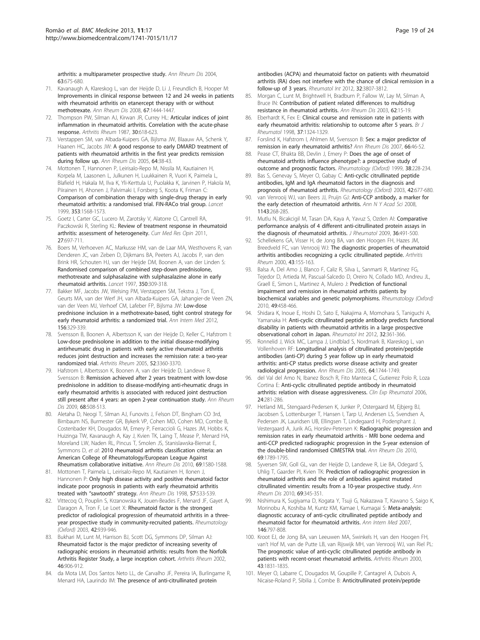<span id="page-18-0"></span>[arthritis: a multiparameter prospective study.](http://www.ncbi.nlm.nih.gov/pubmed/15140774?dopt=Abstract) Ann Rheum Dis 2004, 63:675-680.

- 71. Kavanaugh A, Klareskog L, van der Heijde D, Li J, Freundlich B, Hooper M: [Improvements in clinical response between 12 and 24 weeks in patients](http://www.ncbi.nlm.nih.gov/pubmed/18535115?dopt=Abstract) [with rheumatoid arthritis on etanercept therapy with or without](http://www.ncbi.nlm.nih.gov/pubmed/18535115?dopt=Abstract) [methotrexate.](http://www.ncbi.nlm.nih.gov/pubmed/18535115?dopt=Abstract) Ann Rheum Dis 2008, 67:1444-1447.
- 72. Thompson PW, Silman AJ, Kirwan JR, Currey HL: [Articular indices of joint](http://www.ncbi.nlm.nih.gov/pubmed/3111490?dopt=Abstract) [inflammation in rheumatoid arthritis. Correlation with the acute-phase](http://www.ncbi.nlm.nih.gov/pubmed/3111490?dopt=Abstract) [response.](http://www.ncbi.nlm.nih.gov/pubmed/3111490?dopt=Abstract) Arthritis Rheum 1987, 30:618-623.
- 73. Verstappen SM, van Albada-Kuipers GA, Bijlsma JW, Blaauw AA, Schenk Y, Haanen HC, Jacobs JW: [A good response to early DMARD treatment of](http://www.ncbi.nlm.nih.gov/pubmed/15130899?dopt=Abstract) [patients with rheumatoid arthritis in the first year predicts remission](http://www.ncbi.nlm.nih.gov/pubmed/15130899?dopt=Abstract) [during follow up.](http://www.ncbi.nlm.nih.gov/pubmed/15130899?dopt=Abstract) Ann Rheum Dis 2005, 64:38-43.
- 74. Mottonen T, Hannonen P, Leirisalo-Repo M, Nissila M, Kautiainen H, Korpela M, Laasonen L, Julkunen H, Luukkainen R, Vuori K, Paimela L, Blafield H, Hakala M, Ilva K, Yli-Kerttula U, Puolakka K, Jarvinen P, Hakola M, Piirainen H, Ahonen J, Palvimaki I, Forsberg S, Koota K, Friman C: [Comparison of combination therapy with single-drug therapy in early](http://www.ncbi.nlm.nih.gov/pubmed/10334255?dopt=Abstract) [rheumatoid arthritis: a randomised trial. FIN-RACo trial group.](http://www.ncbi.nlm.nih.gov/pubmed/10334255?dopt=Abstract) Lancet 1999, 353:1568-1573.
- 75. Goetz I, Carter GC, Lucero M, Zarotsky V, Alatorre CI, Cantrell RA, Paczkowski R, Sterling KL: [Review of treatment response in rheumatoid](http://www.ncbi.nlm.nih.gov/pubmed/21271796?dopt=Abstract) [arthritis: assessment of heterogeneity.](http://www.ncbi.nlm.nih.gov/pubmed/21271796?dopt=Abstract) Curr Med Res Opin 2011, 27:697-711.
- 76. Boers M, Verhoeven AC, Markusse HM, van de Laar MA, Westhovens R, van Denderen JC, van Zeben D, Dijkmans BA, Peeters AJ, Jacobs P, van den Brink HR, Schouten HJ, van der Heijde DM, Boonen A, van der Linden S: [Randomised comparison of combined step-down prednisolone,](http://www.ncbi.nlm.nih.gov/pubmed/9251634?dopt=Abstract) [methotrexate and sulphasalazine with sulphasalazine alone in early](http://www.ncbi.nlm.nih.gov/pubmed/9251634?dopt=Abstract) [rheumatoid arthritis.](http://www.ncbi.nlm.nih.gov/pubmed/9251634?dopt=Abstract) Lancet 1997, 350:309-318.
- 77. Bakker MF, Jacobs JW, Welsing PM, Verstappen SM, Tekstra J, Ton E, Geurts MA, van der Werf JH, van Albada-Kuipers GA, Jahangier-de Veen ZN, van der Veen MJ, Verhoef CM, Lafeber FP, Bijlsma JW: [Low-dose](http://www.ncbi.nlm.nih.gov/pubmed/22393128?dopt=Abstract) [prednisone inclusion in a methotrexate-based, tight control strategy for](http://www.ncbi.nlm.nih.gov/pubmed/22393128?dopt=Abstract) [early rheumatoid arthritis: a randomized trial.](http://www.ncbi.nlm.nih.gov/pubmed/22393128?dopt=Abstract) Ann Intern Med 2012, 156:329-339.
- 78. Svensson B, Boonen A, Albertsson K, van der Heijde D, Keller C, Hafstrom I: [Low-dose prednisolone in addition to the initial disease-modifying](http://www.ncbi.nlm.nih.gov/pubmed/16255010?dopt=Abstract) [antirheumatic drug in patients with early active rheumatoid arthritis](http://www.ncbi.nlm.nih.gov/pubmed/16255010?dopt=Abstract) [reduces joint destruction and increases the remission rate: a two-year](http://www.ncbi.nlm.nih.gov/pubmed/16255010?dopt=Abstract) [randomized trial.](http://www.ncbi.nlm.nih.gov/pubmed/16255010?dopt=Abstract) Arthritis Rheum 2005, 52:3360-3370.
- 79. Hafstrom I, Albertsson K, Boonen A, van der Heijde D, Landewe R, Svensson B: [Remission achieved after 2 years treatment with low-dose](http://www.ncbi.nlm.nih.gov/pubmed/18420939?dopt=Abstract) [prednisolone in addition to disease-modifying anti-rheumatic drugs in](http://www.ncbi.nlm.nih.gov/pubmed/18420939?dopt=Abstract) [early rheumatoid arthritis is associated with reduced joint destruction](http://www.ncbi.nlm.nih.gov/pubmed/18420939?dopt=Abstract) [still present after 4 years: an open 2-year continuation study.](http://www.ncbi.nlm.nih.gov/pubmed/18420939?dopt=Abstract) Ann Rheum Dis 2009, 68:508-513.
- 80. Aletaha D, Neogi T, Silman AJ, Funovits J, Felson DT, Bingham CO 3rd, Birnbaum NS, Burmester GR, Bykerk VP, Cohen MD, Cohen MD, Combe B, Costenbader KH, Dougados M, Emery P, Ferraccioli G, Hazes JM, Hobbs K, Huizinga TW, Kavanaugh A, Kay J, Kvien TK, Laing T, Mease P, Menard HA, Moreland LW, Naden RL, Pincus T, Smolen JS, Stanislawska-Biernat E, Symmons D, et al: [2010 rheumatoid arthritis classification criteria: an](http://www.ncbi.nlm.nih.gov/pubmed/20699241?dopt=Abstract) [American College of Rheumatology/European League Against](http://www.ncbi.nlm.nih.gov/pubmed/20699241?dopt=Abstract) [Rheumatism collaborative initiative.](http://www.ncbi.nlm.nih.gov/pubmed/20699241?dopt=Abstract) Ann Rheum Dis 2010, 69:1580-1588.
- 81. Mottonen T, Paimela L, Leirisalo-Repo M, Kautiainen H, Ilonen J, Hannonen P: [Only high disease activity and positive rheumatoid factor](http://www.ncbi.nlm.nih.gov/pubmed/9849312?dopt=Abstract) [indicate poor prognosis in patients with early rheumatoid arthritis](http://www.ncbi.nlm.nih.gov/pubmed/9849312?dopt=Abstract) [treated with](http://www.ncbi.nlm.nih.gov/pubmed/9849312?dopt=Abstract) "sawtooth" strategy. Ann Rheum Dis 1998, 57:533-539.
- 82. Vittecoq O, Pouplin S, Krzanowska K, Jouen-Beades F, Menard JF, Gayet A, Daragon A, Tron F, Le Loet X: Rheumatoid factor is the strongest predictor of radiological progression of rheumatoid arthritis in a threeyear prospective study in community-recruited patients. Rheumatology (Oxford) 2003, 42:939-946.
- 83. Bukhari M, Lunt M, Harrison BJ, Scott DG, Symmons DP, Silman AJ: [Rheumatoid factor is the major predictor of increasing severity of](http://www.ncbi.nlm.nih.gov/pubmed/11953966?dopt=Abstract) [radiographic erosions in rheumatoid arthritis: results from the Norfolk](http://www.ncbi.nlm.nih.gov/pubmed/11953966?dopt=Abstract) [Arthritis Register Study, a large inception cohort.](http://www.ncbi.nlm.nih.gov/pubmed/11953966?dopt=Abstract) Arthritis Rheum 2002, 46:906-912.
- 84. da Mota LM, Dos Santos Neto LL, de Carvalho JF, Pereira IA, Burlingame R, Menard HA, Laurindo IM: [The presence of anti-citrullinated protein](http://www.ncbi.nlm.nih.gov/pubmed/22187055?dopt=Abstract)

[antibodies \(ACPA\) and rheumatoid factor on patients with rheumatoid](http://www.ncbi.nlm.nih.gov/pubmed/22187055?dopt=Abstract) [arthritis \(RA\) does not interfere with the chance of clinical remission in a](http://www.ncbi.nlm.nih.gov/pubmed/22187055?dopt=Abstract) [follow-up of 3 years.](http://www.ncbi.nlm.nih.gov/pubmed/22187055?dopt=Abstract) Rheumatol Int 2012, 32:3807-3812.

- 85. Morgan C, Lunt M, Brightwell H, Bradburn P, Fallow W, Lay M, Silman A, Bruce IN: [Contribution of patient related differences to multidrug](http://www.ncbi.nlm.nih.gov/pubmed/12480663?dopt=Abstract) [resistance in rheumatoid arthritis.](http://www.ncbi.nlm.nih.gov/pubmed/12480663?dopt=Abstract) Ann Rheum Dis 2003, 62:15-19.
- 86. Eberhardt K, Fex E: [Clinical course and remission rate in patients with](http://www.ncbi.nlm.nih.gov/pubmed/9973158?dopt=Abstract) [early rheumatoid arthritis: relationship to outcome after 5 years.](http://www.ncbi.nlm.nih.gov/pubmed/9973158?dopt=Abstract) Br J Rheumatol 1998, 37:1324-1329.
- 87. Forslind K, Hafstrom I, Ahlmen M, Svensson B: [Sex: a major predictor of](http://www.ncbi.nlm.nih.gov/pubmed/17158139?dopt=Abstract) [remission in early rheumatoid arthritis?](http://www.ncbi.nlm.nih.gov/pubmed/17158139?dopt=Abstract) Ann Rheum Dis 2007, 66:46-52.
- 88. Pease CT, Bhakta BB, Devlin J, Emery P: Does the age of onset of rheumatoid arthritis influence phenotype?: a prospective study of outcome and prognostic factors. Rheumatology (Oxford) 1999, 38:228-234.
- 89. Bas S, Genevay S, Meyer O, Gabay C: Anti-cyclic citrullinated peptide antibodies, IgM and IgA rheumatoid factors in the diagnosis and prognosis of rheumatoid arthritis. Rheumatology (Oxford) 2003, 42:677-680.
- 90. van Venrooij WJ, van Beers JJ, Pruijn GJ: [Anti-CCP antibody, a marker for](http://www.ncbi.nlm.nih.gov/pubmed/19076355?dopt=Abstract) [the early detection of rheumatoid arthritis.](http://www.ncbi.nlm.nih.gov/pubmed/19076355?dopt=Abstract) Ann N Y Acad Sci 2008, 1143:268-285.
- 91. Mutlu N, Bicakcigil M, Tasan DA, Kaya A, Yavuz S, Ozden Al: [Comparative](http://www.ncbi.nlm.nih.gov/pubmed/19228660?dopt=Abstract) [performance analysis of 4 different anti-citrullinated protein assays in](http://www.ncbi.nlm.nih.gov/pubmed/19228660?dopt=Abstract) [the diagnosis of rheumatoid arthritis.](http://www.ncbi.nlm.nih.gov/pubmed/19228660?dopt=Abstract) J Rheumatol 2009, 36:491-500.
- 92. Schellekens GA, Visser H, de Jong BA, van den Hoogen FH, Hazes JM, Breedveld FC, van Venrooij WJ: [The diagnostic properties of rheumatoid](http://www.ncbi.nlm.nih.gov/pubmed/10643712?dopt=Abstract) [arthritis antibodies recognizing a cyclic citrullinated peptide.](http://www.ncbi.nlm.nih.gov/pubmed/10643712?dopt=Abstract) Arthritis Rheum 2000, 43:155-163.
- 93. Balsa A, Del Amo J, Blanco F, Caliz R, Silva L, Sanmarti R, Martinez FG, Tejedor D, Artieda M, Pascual-Salcedo D, Oreiro N, Collado MD, Andreu JL, Graell E, Simon L, Martinez A, Mulero J: Prediction of functional impairment and remission in rheumatoid arthritis patients by biochemical variables and genetic polymorphisms. Rheumatology (Oxford) 2010, 49:458-466.
- 94. Shidara K, Inoue E, Hoshi D, Sato E, Nakajima A, Momohara S, Taniguchi A, Yamanaka H: [Anti-cyclic citrullinated peptide antibody predicts functional](http://www.ncbi.nlm.nih.gov/pubmed/21113712?dopt=Abstract) [disability in patients with rheumatoid arthritis in a large prospective](http://www.ncbi.nlm.nih.gov/pubmed/21113712?dopt=Abstract) [observational cohort in Japan.](http://www.ncbi.nlm.nih.gov/pubmed/21113712?dopt=Abstract) Rheumatol Int 2012, 32:361-366.
- 95. Ronnelid J, Wick MC, Lampa J, Lindblad S, Nordmark B, Klareskog L, van Vollenhoven RF: [Longitudinal analysis of citrullinated protein/peptide](http://www.ncbi.nlm.nih.gov/pubmed/15843452?dopt=Abstract) antibodies (anti-CP) [during 5 year follow up in early rheumatoid](http://www.ncbi.nlm.nih.gov/pubmed/15843452?dopt=Abstract) [arthritis: anti-CP status predicts worse disease activity and greater](http://www.ncbi.nlm.nih.gov/pubmed/15843452?dopt=Abstract) [radiological progression.](http://www.ncbi.nlm.nih.gov/pubmed/15843452?dopt=Abstract) Ann Rheum Dis 2005, 64:1744-1749.
- 96. del Val del Amo N, Ibanez Bosch R, Fito Manteca C, Gutierrez Polo R, Loza Cortina E: [Anti-cyclic citrullinated peptide antibody in rheumatoid](http://www.ncbi.nlm.nih.gov/pubmed/16870095?dopt=Abstract) [arthritis: relation with disease aggressiveness.](http://www.ncbi.nlm.nih.gov/pubmed/16870095?dopt=Abstract) Clin Exp Rheumatol 2006, 24:281-286.
- 97. Hetland ML, Stengaard-Pedersen K, Junker P, Ostergaard M, Ejbjerg BJ, Jacobsen S, Lottenburger T, Hansen I, Tarp U, Andersen LS, Svendsen A, Pedersen JK, Lauridsen UB, Ellingsen T, Lindegaard H, Podenphant J, Vestergaard A, Jurik AG, Horslev-Petersen K: [Radiographic progression and](http://www.ncbi.nlm.nih.gov/pubmed/20444751?dopt=Abstract) [remission rates in early rheumatoid arthritis - MRI bone oedema and](http://www.ncbi.nlm.nih.gov/pubmed/20444751?dopt=Abstract) [anti-CCP predicted radiographic progression in the 5-year extension of](http://www.ncbi.nlm.nih.gov/pubmed/20444751?dopt=Abstract) [the double-blind randomised CIMESTRA trial.](http://www.ncbi.nlm.nih.gov/pubmed/20444751?dopt=Abstract) Ann Rheum Dis 2010, 69:1789-1795.
- 98. Syversen SW, Goll GL, van der Heijde D, Landewe R, Lie BA, Odegard S, Uhlig T, Gaarder PI, Kvien TK: [Prediction of radiographic progression in](http://www.ncbi.nlm.nih.gov/pubmed/19648126?dopt=Abstract) [rheumatoid arthritis and the role of antibodies against mutated](http://www.ncbi.nlm.nih.gov/pubmed/19648126?dopt=Abstract) [citrullinated vimentin: results from a 10-year prospective study.](http://www.ncbi.nlm.nih.gov/pubmed/19648126?dopt=Abstract) Ann Rheum Dis 2010, 69:345-351.
- 99. Nishimura K, Sugiyama D, Kogata Y, Tsuji G, Nakazawa T, Kawano S, Saigo K, Morinobu A, Koshiba M, Kuntz KM, Kamae I, Kumagai S: [Meta-analysis:](http://www.ncbi.nlm.nih.gov/pubmed/17548411?dopt=Abstract) [diagnostic accuracy of anti-cyclic citrullinated peptide antibody and](http://www.ncbi.nlm.nih.gov/pubmed/17548411?dopt=Abstract) [rheumatoid factor for rheumatoid arthritis.](http://www.ncbi.nlm.nih.gov/pubmed/17548411?dopt=Abstract) Ann Intern Med 2007, 146:797-808.
- 100. Kroot EJ, de Jong BA, van Leeuwen MA, Swinkels H, van den Hoogen FH, van't Hof M, van de Putte LB, van Rijswijk MH, van Venrooij WJ, van Riel PL: [The prognostic value of anti-cyclic citrullinated peptide antibody in](http://www.ncbi.nlm.nih.gov/pubmed/10943873?dopt=Abstract) [patients with recent-onset rheumatoid arthritis.](http://www.ncbi.nlm.nih.gov/pubmed/10943873?dopt=Abstract) Arthritis Rheum 2000, 43:1831-1835.
- 101. Meyer O, Labarre C, Dougados M, Goupille P, Cantagrel A, Dubois A, Nicaise-Roland P, Sibilia J, Combe B: [Anticitrullinated protein/peptide](http://www.ncbi.nlm.nih.gov/pubmed/12525380?dopt=Abstract)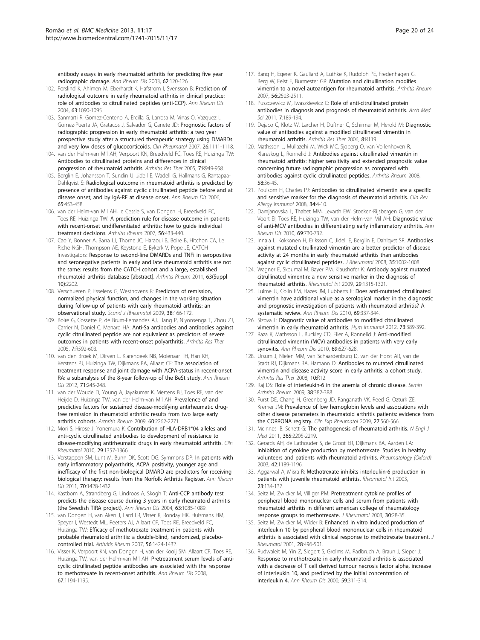<span id="page-19-0"></span>[antibody assays in early rheumatoid arthritis for predicting five year](http://www.ncbi.nlm.nih.gov/pubmed/12525380?dopt=Abstract) [radiographic damage.](http://www.ncbi.nlm.nih.gov/pubmed/12525380?dopt=Abstract) Ann Rheum Dis 2003, 62:120-126.

- 102. Forslind K, Ahlmen M, Eberhardt K, Hafstrom I, Svensson B: [Prediction of](http://www.ncbi.nlm.nih.gov/pubmed/15308518?dopt=Abstract) [radiological outcome in early rheumatoid arthritis in clinical practice:](http://www.ncbi.nlm.nih.gov/pubmed/15308518?dopt=Abstract) [role of antibodies to citrullinated peptides \(anti-CCP\).](http://www.ncbi.nlm.nih.gov/pubmed/15308518?dopt=Abstract) Ann Rheum Dis 2004, 63:1090-1095.
- 103. Sanmarti R, Gomez-Centeno A, Ercilla G, Larrosa M, Vinas O, Vazquez I, Gomez-Puerta JA, Gratacos J, Salvador G, Canete JD: [Prognostic factors of](http://www.ncbi.nlm.nih.gov/pubmed/17109060?dopt=Abstract) [radiographic progression in early rheumatoid arthritis: a two year](http://www.ncbi.nlm.nih.gov/pubmed/17109060?dopt=Abstract) [prospective study after a structured therapeutic strategy using DMARDs](http://www.ncbi.nlm.nih.gov/pubmed/17109060?dopt=Abstract) [and very low doses of glucocorticoids.](http://www.ncbi.nlm.nih.gov/pubmed/17109060?dopt=Abstract) Clin Rheumatol 2007, 26:1111-1118.
- 104. van der Helm-van Mil AH, Verpoort KN, Breedveld FC, Toes RE, Huizinga TW: [Antibodies to citrullinated proteins and differences in clinical](http://www.ncbi.nlm.nih.gov/pubmed/16207336?dopt=Abstract) [progression of rheumatoid arthritis.](http://www.ncbi.nlm.nih.gov/pubmed/16207336?dopt=Abstract) Arthritis Res Ther 2005, 7:R949-958.
- 105. Berglin E, Johansson T, Sundin U, Jidell E, Wadell G, Hallmans G, Rantapaa-Dahlqvist S: [Radiological outcome in rheumatoid arthritis is predicted by](http://www.ncbi.nlm.nih.gov/pubmed/16176994?dopt=Abstract) [presence of antibodies against cyclic citrullinated peptide before and at](http://www.ncbi.nlm.nih.gov/pubmed/16176994?dopt=Abstract) [disease onset, and by IgA-RF at disease onset.](http://www.ncbi.nlm.nih.gov/pubmed/16176994?dopt=Abstract) Ann Rheum Dis 2006, 65:453-458.
- 106. van der Helm-van Mil AH, le Cessie S, van Dongen H, Breedveld FC, Toes RE, Huizinga TW: [A prediction rule for disease outcome in patients](http://www.ncbi.nlm.nih.gov/pubmed/17265478?dopt=Abstract) [with recent-onset undifferentiated arthritis: how to guide individual](http://www.ncbi.nlm.nih.gov/pubmed/17265478?dopt=Abstract) [treatment decisions.](http://www.ncbi.nlm.nih.gov/pubmed/17265478?dopt=Abstract) Arthritis Rheum 2007, 56:433-440.
- 107. Cao Y, Bonner A, Barra LJ, Thorne JC, Haraoui B, Boire B, Hitchon CA, Le Riche NGH, Thompson AE, Keystone E, Bykerk V, Pope JE, CATCH Investigators: Response to second-line DMARDs and TNFi in seropositive and seronegative patients in early and late rheumatoid arthritis are not the same: results from the CATCH cohort and a large, established rheumatoid arthritis database [abstract]. Arthritis Rheum 2011, 63(Suppl 10):2202.
- 108. Verschueren P, Esselens G, Westhovens R: [Predictors of remission,](http://www.ncbi.nlm.nih.gov/pubmed/19169906?dopt=Abstract) [normalized physical function, and changes in the working situation](http://www.ncbi.nlm.nih.gov/pubmed/19169906?dopt=Abstract) [during follow-up of patients with early rheumatoid arthritis: an](http://www.ncbi.nlm.nih.gov/pubmed/19169906?dopt=Abstract) [observational study.](http://www.ncbi.nlm.nih.gov/pubmed/19169906?dopt=Abstract) Scand J Rheumatol 2009, 38:166-172.
- 109. Boire G, Cossette P, de Brum-Fernandes AJ, Liang P, Niyonsenga T, Zhou ZJ, Carrier N, Daniel C, Menard HA: [Anti-Sa antibodies and antibodies against](http://www.ncbi.nlm.nih.gov/pubmed/15899046?dopt=Abstract) [cyclic citrullinated peptide are not equivalent as predictors of severe](http://www.ncbi.nlm.nih.gov/pubmed/15899046?dopt=Abstract) [outcomes in patients with recent-onset polyarthritis.](http://www.ncbi.nlm.nih.gov/pubmed/15899046?dopt=Abstract) Arthritis Res Ther 2005, 7:R592-603.
- 110. van den Broek M, Dirven L, Klarenbeek NB, Molenaar TH, Han KH, Kerstens PJ, Huizinga TW, Dijkmans BA, Allaart CF: [The association of](http://www.ncbi.nlm.nih.gov/pubmed/22110122?dopt=Abstract) [treatment response and joint damage with ACPA-status in recent-onset](http://www.ncbi.nlm.nih.gov/pubmed/22110122?dopt=Abstract) [RA: a subanalysis of the 8-year follow-up of the BeSt study.](http://www.ncbi.nlm.nih.gov/pubmed/22110122?dopt=Abstract) Ann Rheum Dis 2012, 71:245-248.
- 111. van der Woude D, Young A, Jayakumar K, Mertens BJ, Toes RE, van der Heijde D, Huizinga TW, van der Helm-van Mil AH: [Prevalence of and](http://www.ncbi.nlm.nih.gov/pubmed/19644846?dopt=Abstract) [predictive factors for sustained disease-modifying antirheumatic drug](http://www.ncbi.nlm.nih.gov/pubmed/19644846?dopt=Abstract)[free remission in rheumatoid arthritis: results from two large early](http://www.ncbi.nlm.nih.gov/pubmed/19644846?dopt=Abstract) [arthritis cohorts.](http://www.ncbi.nlm.nih.gov/pubmed/19644846?dopt=Abstract) Arthritis Rheum 2009, 60:2262-2271.
- 112. Mori S, Hirose J, Yonemura K: [Contribution of HLA-DRB1\\*04 alleles and](http://www.ncbi.nlm.nih.gov/pubmed/20383728?dopt=Abstract) [anti-cyclic citrullinated antibodies to development of resistance to](http://www.ncbi.nlm.nih.gov/pubmed/20383728?dopt=Abstract) [disease-modifying antirheumatic drugs in early rheumatoid arthritis.](http://www.ncbi.nlm.nih.gov/pubmed/20383728?dopt=Abstract) Clin Rheumatol 2010, 29:1357-1366.
- 113. Verstappen SM, Lunt M, Bunn DK, Scott DG, Symmons DP: [In patients with](http://www.ncbi.nlm.nih.gov/pubmed/21551505?dopt=Abstract) [early inflammatory polyarthritis, ACPA positivity, younger age and](http://www.ncbi.nlm.nih.gov/pubmed/21551505?dopt=Abstract) [inefficacy of the first non-biological DMARD are predictors for receiving](http://www.ncbi.nlm.nih.gov/pubmed/21551505?dopt=Abstract) [biological therapy: results from the Norfolk Arthritis Register.](http://www.ncbi.nlm.nih.gov/pubmed/21551505?dopt=Abstract) Ann Rheum Dis 2011, 70:1428-1432.
- 114. Kastbom A, Strandberg G, Lindroos A, Skogh T: [Anti-CCP antibody test](http://www.ncbi.nlm.nih.gov/pubmed/15308517?dopt=Abstract) [predicts the disease course during 3 years in early rheumatoid arthritis](http://www.ncbi.nlm.nih.gov/pubmed/15308517?dopt=Abstract) [\(the Swedish TIRA project\).](http://www.ncbi.nlm.nih.gov/pubmed/15308517?dopt=Abstract) Ann Rheum Dis 2004, 63:1085-1089.
- 115. van Dongen H, van Aken J, Lard LR, Visser K, Ronday HK, Hulsmans HM, Speyer I, Westedt ML, Peeters AJ, Allaart CF, Toes RE, Breedveld FC, Huizinga TW: [Efficacy of methotrexate treatment in patients with](http://www.ncbi.nlm.nih.gov/pubmed/17469099?dopt=Abstract) [probable rheumatoid arthritis: a double-blind, randomized, placebo](http://www.ncbi.nlm.nih.gov/pubmed/17469099?dopt=Abstract)[controlled trial.](http://www.ncbi.nlm.nih.gov/pubmed/17469099?dopt=Abstract) Arthritis Rheum 2007, 56:1424-1432.
- 116. Visser K, Verpoort KN, van Dongen H, van der Kooij SM, Allaart CF, Toes RE, Huizinga TW, van der Helm-van Mil AH: [Pretreatment serum levels of anti](http://www.ncbi.nlm.nih.gov/pubmed/18621971?dopt=Abstract)[cyclic citrullinated peptide antibodies are associated with the response](http://www.ncbi.nlm.nih.gov/pubmed/18621971?dopt=Abstract) [to methotrexate in recent-onset arthritis.](http://www.ncbi.nlm.nih.gov/pubmed/18621971?dopt=Abstract) Ann Rheum Dis 2008, 67:1194-1195.
- 117. Bang H, Egerer K, Gauliard A, Luthke K, Rudolph PE, Fredenhagen G, Berg W, Feist E, Burmester GR: [Mutation and citrullination modifies](http://www.ncbi.nlm.nih.gov/pubmed/17665451?dopt=Abstract) [vimentin to a novel autoantigen for rheumatoid arthritis.](http://www.ncbi.nlm.nih.gov/pubmed/17665451?dopt=Abstract) Arthritis Rheum 2007, 56:2503-2511.
- 118. Puszczewicz M, Iwaszkiewicz C: [Role of anti-citrullinated protein](http://www.ncbi.nlm.nih.gov/pubmed/22291756?dopt=Abstract) [antibodies in diagnosis and prognosis of rheumatoid arthritis.](http://www.ncbi.nlm.nih.gov/pubmed/22291756?dopt=Abstract) Arch Med Sci 2011, 7:189-194.
- 119. Dejaco C, Klotz W, Larcher H, Duftner C, Schirmer M, Herold M: [Diagnostic](http://www.ncbi.nlm.nih.gov/pubmed/16859519?dopt=Abstract) [value of antibodies against a modified citrullinated vimentin in](http://www.ncbi.nlm.nih.gov/pubmed/16859519?dopt=Abstract) [rheumatoid arthritis.](http://www.ncbi.nlm.nih.gov/pubmed/16859519?dopt=Abstract) Arthritis Res Ther 2006, 8:R119.
- 120. Mathsson L, Mullazehi M, Wick MC, Sjoberg O, van Vollenhoven R, Klareskog L, Ronnelid J: [Antibodies against citrullinated vimentin in](http://www.ncbi.nlm.nih.gov/pubmed/18163519?dopt=Abstract) [rheumatoid arthritis: higher sensitivity and extended prognostic value](http://www.ncbi.nlm.nih.gov/pubmed/18163519?dopt=Abstract) [concerning future radiographic progression as compared with](http://www.ncbi.nlm.nih.gov/pubmed/18163519?dopt=Abstract) [antibodies against cyclic citrullinated peptides.](http://www.ncbi.nlm.nih.gov/pubmed/18163519?dopt=Abstract) Arthritis Rheum 2008, 58:36-45.
- 121. Poulsom H, Charles PJ: [Antibodies to citrullinated vimentin are a specific](http://www.ncbi.nlm.nih.gov/pubmed/18270850?dopt=Abstract) [and sensitive marker for the diagnosis of rheumatoid arthritis.](http://www.ncbi.nlm.nih.gov/pubmed/18270850?dopt=Abstract) Clin Rev Alleray Immunol 2008, 34:4-10.
- 122. Damjanovska L, Thabet MM, Levarth EW, Stoeken-Rijsbergen G, van der Voort EI, Toes RE, Huizinga TW, van der Helm-van Mil AH: [Diagnostic value](http://www.ncbi.nlm.nih.gov/pubmed/19451136?dopt=Abstract) [of anti-MCV antibodies in differentiating early inflammatory arthritis.](http://www.ncbi.nlm.nih.gov/pubmed/19451136?dopt=Abstract) Ann Rheum Dis 2010, 69:730-732.
- 123. Innala L, Kokkonen H, Eriksson C, Jidell E, Berglin E, Dahlqvst SR: [Antibodies](http://www.ncbi.nlm.nih.gov/pubmed/18398946?dopt=Abstract) [against mutated citrullinated vimentin are a better predictor of disease](http://www.ncbi.nlm.nih.gov/pubmed/18398946?dopt=Abstract) [activity at 24 months in early rheumatoid arthritis than antibodies](http://www.ncbi.nlm.nih.gov/pubmed/18398946?dopt=Abstract) [against cyclic citrullinated peptides.](http://www.ncbi.nlm.nih.gov/pubmed/18398946?dopt=Abstract) J Rheumatol 2008, 35:1002-1008.
- 124. Wagner E, Skoumal M, Bayer PM, Klaushofer K: [Antibody against mutated](http://www.ncbi.nlm.nih.gov/pubmed/19184032?dopt=Abstract) [citrullinated vimentin: a new sensitive marker in the diagnosis of](http://www.ncbi.nlm.nih.gov/pubmed/19184032?dopt=Abstract) [rheumatoid arthritis.](http://www.ncbi.nlm.nih.gov/pubmed/19184032?dopt=Abstract) Rheumatol Int 2009, 29:1315-1321.
- 125. Luime JJ, Colin EM, Hazes JM, Lubberts E: [Does anti-mutated citrullinated](http://www.ncbi.nlm.nih.gov/pubmed/19289382?dopt=Abstract) [vimentin have additional value as a serological marker in the diagnostic](http://www.ncbi.nlm.nih.gov/pubmed/19289382?dopt=Abstract) [and prognostic investigation of patients with rheumatoid arthritis? A](http://www.ncbi.nlm.nih.gov/pubmed/19289382?dopt=Abstract) [systematic review.](http://www.ncbi.nlm.nih.gov/pubmed/19289382?dopt=Abstract) Ann Rheum Dis 2010, 69:337-344.
- 126. Sizova L: [Diagnostic value of antibodies to modified citrullinated](http://www.ncbi.nlm.nih.gov/pubmed/22333689?dopt=Abstract) [vimentin in early rheumatoid arthritis.](http://www.ncbi.nlm.nih.gov/pubmed/22333689?dopt=Abstract) Hum Immunol 2012, 73:389-392.
- 127. Raza K, Mathsson L, Buckley CD, Filer A, Ronnelid J: [Anti-modified](http://www.ncbi.nlm.nih.gov/pubmed/19846408?dopt=Abstract) [citrullinated vimentin \(MCV\) antibodies in patients with very early](http://www.ncbi.nlm.nih.gov/pubmed/19846408?dopt=Abstract) [synovitis.](http://www.ncbi.nlm.nih.gov/pubmed/19846408?dopt=Abstract) Ann Rheum Dis 2010, 69:627-628.
- 128. Ursum J, Nielen MM, van Schaardenburg D, van der Horst AR, van de Stadt RJ, Dijkmans BA, Hamann D: [Antibodies to mutated citrullinated](http://www.ncbi.nlm.nih.gov/pubmed/18226202?dopt=Abstract) [vimentin and disease activity score in early arthritis: a cohort study.](http://www.ncbi.nlm.nih.gov/pubmed/18226202?dopt=Abstract) Arthritis Res Ther 2008, 10:R12.
- 129. Raj DS: [Role of interleukin-6 in the anemia of chronic disease.](http://www.ncbi.nlm.nih.gov/pubmed/18336871?dopt=Abstract) Semin Arthritis Rheum 2009, 38:382-388.
- 130. Furst DE, Chang H, Greenberg JD, Ranganath VK, Reed G, Ozturk ZE, Kremer JM: [Prevalence of low hemoglobin levels and associations with](http://www.ncbi.nlm.nih.gov/pubmed/19772785?dopt=Abstract) [other disease parameters in rheumatoid arthritis patients: evidence from](http://www.ncbi.nlm.nih.gov/pubmed/19772785?dopt=Abstract) [the CORRONA registry.](http://www.ncbi.nlm.nih.gov/pubmed/19772785?dopt=Abstract) Clin Exp Rheumatol 2009, 27:560-566.
- 131. McInnes IB, Schett G: [The pathogenesis of rheumatoid arthritis.](http://www.ncbi.nlm.nih.gov/pubmed/22150039?dopt=Abstract) N Engl J Med 2011, 365:2205-2219.
- 132. Gerards AH, de Lathouder S, de Groot ER, Dijkmans BA, Aarden LA: Inhibition of cytokine production by methotrexate. Studies in healthy volunteers and patients with rheumatoid arthritis. Rheumatology (Oxford) 2003, 42:1189-1196.
- 133. Aggarwal A, Misra R: [Methotrexate inhibits interleukin-6 production in](http://www.ncbi.nlm.nih.gov/pubmed/12739045?dopt=Abstract) [patients with juvenile rheumatoid arthritis.](http://www.ncbi.nlm.nih.gov/pubmed/12739045?dopt=Abstract) Rheumatol Int 2003, 23:134-137.
- 134. Seitz M, Zwicker M, Villiger PM: [Pretreatment cytokine profiles of](http://www.ncbi.nlm.nih.gov/pubmed/12508386?dopt=Abstract) [peripheral blood mononuclear cells and serum from patients with](http://www.ncbi.nlm.nih.gov/pubmed/12508386?dopt=Abstract) [rheumatoid arthritis in different american college of rheumatology](http://www.ncbi.nlm.nih.gov/pubmed/12508386?dopt=Abstract) [response groups to methotrexate.](http://www.ncbi.nlm.nih.gov/pubmed/12508386?dopt=Abstract) J Rheumatol 2003, 30:28-35.
- 135. Seitz M, Zwicker M, Wider B: [Enhanced in vitro induced production of](http://www.ncbi.nlm.nih.gov/pubmed/11296948?dopt=Abstract) [interleukin 10 by peripheral blood mononuclear cells in rheumatoid](http://www.ncbi.nlm.nih.gov/pubmed/11296948?dopt=Abstract) [arthritis is associated with clinical response to methotrexate treatment.](http://www.ncbi.nlm.nih.gov/pubmed/11296948?dopt=Abstract) J Rheumatol 2001, 28:496-501.
- 136. Rudwaleit M, Yin Z, Siegert S, Grolms M, Radbruch A, Braun J, Sieper J: [Response to methotrexate in early rheumatoid arthritis is associated](http://www.ncbi.nlm.nih.gov/pubmed/10733482?dopt=Abstract) [with a decrease of T cell derived tumour necrosis factor alpha, increase](http://www.ncbi.nlm.nih.gov/pubmed/10733482?dopt=Abstract) [of interleukin 10, and predicted by the initial concentration of](http://www.ncbi.nlm.nih.gov/pubmed/10733482?dopt=Abstract) [interleukin 4.](http://www.ncbi.nlm.nih.gov/pubmed/10733482?dopt=Abstract) Ann Rheum Dis 2000, 59:311-314.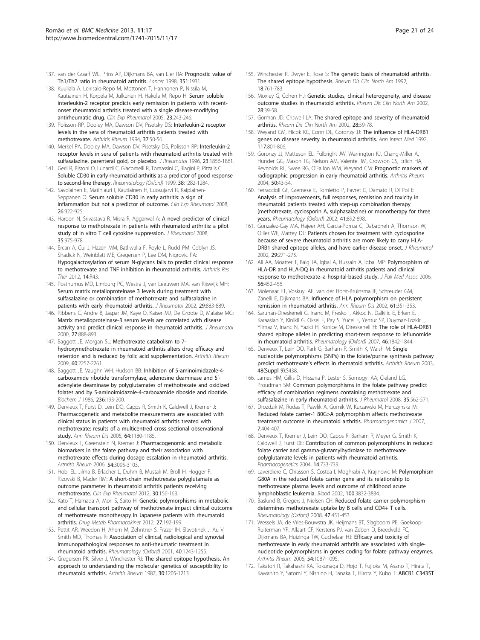- <span id="page-20-0"></span>137. van der Graaff WL, Prins AP, Dijkmans BA, van Lier RA: [Prognostic value of](http://www.ncbi.nlm.nih.gov/pubmed/9654267?dopt=Abstract) [Th1/Th2 ratio in rheumatoid arthritis.](http://www.ncbi.nlm.nih.gov/pubmed/9654267?dopt=Abstract) Lancet 1998, 351:1931.
- 138. Kuuliala A, Leirisalo-Repo M, Mottonen T, Hannonen P, Nissila M, Kautiainen H, Korpela M, Julkunen H, Hakola M, Repo H: [Serum soluble](http://www.ncbi.nlm.nih.gov/pubmed/15895898?dopt=Abstract) [interleukin-2 receptor predicts early remission in patients with recent](http://www.ncbi.nlm.nih.gov/pubmed/15895898?dopt=Abstract)[onset rheumatoid arthritis treated with a single disease-modifying](http://www.ncbi.nlm.nih.gov/pubmed/15895898?dopt=Abstract) [antirheumatic drug.](http://www.ncbi.nlm.nih.gov/pubmed/15895898?dopt=Abstract) Clin Exp Rheumatol 2005, 23:243-246.
- 139. Polisson RP, Dooley MA, Dawson DV, Pisetsky DS: [Interleukin-2 receptor](http://www.ncbi.nlm.nih.gov/pubmed/8129764?dopt=Abstract) [levels in the sera of rheumatoid arthritis patients treated with](http://www.ncbi.nlm.nih.gov/pubmed/8129764?dopt=Abstract) [methotrexate.](http://www.ncbi.nlm.nih.gov/pubmed/8129764?dopt=Abstract) Arthritis Rheum 1994, 37:50-56.
- 140. Merkel PA, Dooley MA, Dawson DV, Pisetsky DS, Polisson RP: [Interleukin-2](http://www.ncbi.nlm.nih.gov/pubmed/8923356?dopt=Abstract) [receptor levels in sera of patients with rheumatoid arthritis treated with](http://www.ncbi.nlm.nih.gov/pubmed/8923356?dopt=Abstract) [sulfasalazine, parenteral gold, or placebo.](http://www.ncbi.nlm.nih.gov/pubmed/8923356?dopt=Abstract) J Rheumatol 1996, 23:1856-1861.
- 141. Gerli R, Bistoni O, Lunardi C, Giacomelli R, Tomassini C, Biagini P, Pitzalis C: Soluble CD30 in early rheumatoid arthritis as a predictor of good response to second-line therapy. Rheumatology (Oxford) 1999, 38:1282-1284.
- 142. Savolainen E, Matinlauri I, Kautiainen H, Luosujarvi R, Kaipiainen-Seppanen O: [Serum soluble CD30 in early arthritis: a sign of](http://www.ncbi.nlm.nih.gov/pubmed/19032830?dopt=Abstract) [inflammation but not a predictor of outcome.](http://www.ncbi.nlm.nih.gov/pubmed/19032830?dopt=Abstract) Clin Exp Rheumatol 2008, 26:922-925.
- 143. Haroon N, Srivastava R, Misra R, Aggarwal A: [A novel predictor of clinical](http://www.ncbi.nlm.nih.gov/pubmed/18464312?dopt=Abstract) [response to methotrexate in patients with rheumatoid arthritis: a pilot](http://www.ncbi.nlm.nih.gov/pubmed/18464312?dopt=Abstract) [study of in vitro T cell cytokine suppression.](http://www.ncbi.nlm.nih.gov/pubmed/18464312?dopt=Abstract) J Rheumatol 2008, 35:975-978.
- 144. Ercan A, Cui J, Hazen MM, Batliwalla F, Royle L, Rudd PM, Coblyn JS, Shadick N, Weinblatt ME, Gregersen P, Lee DM, Nigrovic PA: [Hypogalactosylation of serum N-glycans fails to predict clinical response](http://www.ncbi.nlm.nih.gov/pubmed/22390545?dopt=Abstract) [to methotrexate and TNF inhibition in rheumatoid arthritis.](http://www.ncbi.nlm.nih.gov/pubmed/22390545?dopt=Abstract) Arthritis Res Ther 2012, 14:R43.
- 145. Posthumus MD, Limburg PC, Westra J, van Leeuwen MA, van Rijswijk MH: [Serum matrix metalloproteinase 3 levels during treatment with](http://www.ncbi.nlm.nih.gov/pubmed/12022344?dopt=Abstract) [sulfasalazine or combination of methotrexate and sulfasalazine in](http://www.ncbi.nlm.nih.gov/pubmed/12022344?dopt=Abstract) [patients with early rheumatoid arthritis.](http://www.ncbi.nlm.nih.gov/pubmed/12022344?dopt=Abstract) J Rheumatol 2002, 29:883-889.
- 146. Ribbens C, Andre B, Jaspar JM, Kaye O, Kaiser MJ, De Groote D, Malaise MG: [Matrix metalloproteinase-3 serum levels are correlated with disease](http://www.ncbi.nlm.nih.gov/pubmed/10782811?dopt=Abstract) [activity and predict clinical response in rheumatoid arthritis.](http://www.ncbi.nlm.nih.gov/pubmed/10782811?dopt=Abstract) J Rheumatol 2000, 27:888-893.
- 147. Baggott JE, Morgan SL: [Methotrexate catabolism to 7](http://www.ncbi.nlm.nih.gov/pubmed/19644884?dopt=Abstract) [hydroxymethotrexate in rheumatoid arthritis alters drug efficacy and](http://www.ncbi.nlm.nih.gov/pubmed/19644884?dopt=Abstract) [retention and is reduced by folic acid supplementation.](http://www.ncbi.nlm.nih.gov/pubmed/19644884?dopt=Abstract) Arthritis Rheum 2009, 60:2257-2261.
- 148. Baggott JE, Vaughn WH, Hudson BB: [Inhibition of 5-aminoimidazole-4](http://www.ncbi.nlm.nih.gov/pubmed/2431676?dopt=Abstract) [carboxamide ribotide transformylase, adenosine deaminase and 5](http://www.ncbi.nlm.nih.gov/pubmed/2431676?dopt=Abstract)' [adenylate deaminase by polyglutamates of methotrexate and oxidized](http://www.ncbi.nlm.nih.gov/pubmed/2431676?dopt=Abstract) [folates and by 5-aminoimidazole-4-carboxamide riboside and ribotide.](http://www.ncbi.nlm.nih.gov/pubmed/2431676?dopt=Abstract) Biochem J 1986, 236:193-200.
- 149. Dervieux T, Furst D, Lein DO, Capps R, Smith K, Caldwell J, Kremer J: [Pharmacogenetic and metabolite measurements are associated with](http://www.ncbi.nlm.nih.gov/pubmed/15677700?dopt=Abstract) [clinical status in patients with rheumatoid arthritis treated with](http://www.ncbi.nlm.nih.gov/pubmed/15677700?dopt=Abstract) [methotrexate: results of a multicentred cross sectional observational](http://www.ncbi.nlm.nih.gov/pubmed/15677700?dopt=Abstract) [study.](http://www.ncbi.nlm.nih.gov/pubmed/15677700?dopt=Abstract) Ann Rheum Dis 2005, 64:1180-1185.
- 150. Dervieux T, Greenstein N, Kremer J: [Pharmacogenomic and metabolic](http://www.ncbi.nlm.nih.gov/pubmed/17009228?dopt=Abstract) [biomarkers in the folate pathway and their association with](http://www.ncbi.nlm.nih.gov/pubmed/17009228?dopt=Abstract) [methotrexate effects during dosage escalation in rheumatoid arthritis.](http://www.ncbi.nlm.nih.gov/pubmed/17009228?dopt=Abstract) Arthritis Rheum 2006, 54:3095-3103.
- 151. Hobl EL, Jilma B, Erlacher L, Duhm B, Mustak M, Broll H, Hogger P, Rizovski B, Mader RM: [A short-chain methotrexate polyglutamate as](http://www.ncbi.nlm.nih.gov/pubmed/22152098?dopt=Abstract) [outcome parameter in rheumatoid arthritis patients receiving](http://www.ncbi.nlm.nih.gov/pubmed/22152098?dopt=Abstract) [methotrexate.](http://www.ncbi.nlm.nih.gov/pubmed/22152098?dopt=Abstract) Clin Exp Rheumatol 2012, 30:156-163.
- 152. Kato T, Hamada A, Mori S, Saito H: [Genetic polymorphisms in metabolic](http://www.ncbi.nlm.nih.gov/pubmed/22104130?dopt=Abstract) [and cellular transport pathway of methotrexate impact clinical outcome](http://www.ncbi.nlm.nih.gov/pubmed/22104130?dopt=Abstract) [of methotrexate monotherapy in Japanese patients with rheumatoid](http://www.ncbi.nlm.nih.gov/pubmed/22104130?dopt=Abstract) [arthritis.](http://www.ncbi.nlm.nih.gov/pubmed/22104130?dopt=Abstract) Drug Metab Pharmacokinet 2012, 27:192-199.
- 153. Pettit AR, Weedon H, Ahern M, Zehntner S, Frazer IH, Slavotinek J, Au V, Smith MD, Thomas R: Association of clinical, radiological and synovial immunopathological responses to anti-rheumatic treatment in rheumatoid arthritis. Rheumatology (Oxford) 2001, 40:1243-1255.
- 154. Gregersen PK, Silver J, Winchester RJ: [The shared epitope hypothesis. An](http://www.ncbi.nlm.nih.gov/pubmed/2446635?dopt=Abstract) [approach to understanding the molecular genetics of susceptibility to](http://www.ncbi.nlm.nih.gov/pubmed/2446635?dopt=Abstract) [rheumatoid arthritis.](http://www.ncbi.nlm.nih.gov/pubmed/2446635?dopt=Abstract) Arthritis Rheum 1987, 30:1205-1213.
- 155. Winchester R, Dwyer E, Rose S: [The genetic basis of rheumatoid arthritis.](http://www.ncbi.nlm.nih.gov/pubmed/1280846?dopt=Abstract) [The shared epitope hypothesis.](http://www.ncbi.nlm.nih.gov/pubmed/1280846?dopt=Abstract) Rheum Dis Clin North Am 1992, 18:761-783.
- 156. Moxley G, Cohen HJ: [Genetic studies, clinical heterogeneity, and disease](http://www.ncbi.nlm.nih.gov/pubmed/11840697?dopt=Abstract) [outcome studies in rheumatoid arthritis.](http://www.ncbi.nlm.nih.gov/pubmed/11840697?dopt=Abstract) Rheum Dis Clin North Am 2002, 28:39-58.
- 157. Gorman JD, Criswell LA: [The shared epitope and severity of rheumatoid](http://www.ncbi.nlm.nih.gov/pubmed/11840698?dopt=Abstract) [arthritis.](http://www.ncbi.nlm.nih.gov/pubmed/11840698?dopt=Abstract) Rheum Dis Clin North Am 2002, 28:59-78.
- 158. Weyand CM, Hicok KC, Conn DL, Goronzy JJ: [The influence of HLA-DRB1](http://www.ncbi.nlm.nih.gov/pubmed/1416553?dopt=Abstract) [genes on disease severity in rheumatoid arthritis.](http://www.ncbi.nlm.nih.gov/pubmed/1416553?dopt=Abstract) Ann Intern Med 1992, 117:801-806.
- 159. Goronzy JJ, Matteson EL, Fulbright JW, Warrington KJ, Chang-Miller A, Hunder GG, Mason TG, Nelson AM, Valente RM, Crowson CS, Erlich HA, Reynolds RL, Swee RG, O'Fallon WM, Weyand CM: [Prognostic markers of](http://www.ncbi.nlm.nih.gov/pubmed/14730598?dopt=Abstract) [radiographic progression in early rheumatoid arthritis.](http://www.ncbi.nlm.nih.gov/pubmed/14730598?dopt=Abstract) Arthritis Rheum 2004, 50:43-54.
- 160. Ferraccioli GF, Gremese E, Tomietto P, Favret G, Damato R, Di Poi E: Analysis of improvements, full responses, remission and toxicity in rheumatoid patients treated with step-up combination therapy (methotrexate, cyclosporin A, sulphasalazine) or monotherapy for three years. Rheumatology (Oxford) 2002, 41:892-898.
- 161. Gonzalez-Gay MA, Hajeer AH, Garcia-Porrua C, Dababneh A, Thomson W, Ollier WE, Mattey DL: [Patients chosen for treatment with cyclosporine](http://www.ncbi.nlm.nih.gov/pubmed/11842822?dopt=Abstract) [because of severe rheumatoid arthritis are more likely to carry HLA-](http://www.ncbi.nlm.nih.gov/pubmed/11842822?dopt=Abstract)[DRB1 shared epitope alleles, and have earlier disease onset.](http://www.ncbi.nlm.nih.gov/pubmed/11842822?dopt=Abstract) J Rheumatol 2002, 29:271-275.
- 162. Ali AA, Moatter T, Baig JA, Iqbal A, Hussain A, Iqbal MP: [Polymorphism of](http://www.ncbi.nlm.nih.gov/pubmed/17144392?dopt=Abstract) [HLA-DR and HLA-DQ in rheumatoid arthritis patients and clinical](http://www.ncbi.nlm.nih.gov/pubmed/17144392?dopt=Abstract) [response to methotrexate](http://www.ncbi.nlm.nih.gov/pubmed/17144392?dopt=Abstract)–a hospital-based study. J Pak Med Assoc 2006, 56:452-456.
- 163. Molenaar ET, Voskuyl AE, van der Horst-Bruinsma IE, Schreuder GM, Zanelli E, Dijkmans BA: [Influence of HLA polymorphism on persistent](http://www.ncbi.nlm.nih.gov/pubmed/11874840?dopt=Abstract) [remission in rheumatoid arthritis.](http://www.ncbi.nlm.nih.gov/pubmed/11874840?dopt=Abstract) Ann Rheum Dis 2002, 61:351-353.
- 164. Saruhan-Direskeneli G, Inanc M, Fresko I, Akkoc N, Dalkilic E, Erken E, Karaaslan Y, Kinikli G, Oksel F, Pay S, Yucel E, Yentur SP, Duymaz-Tozkir J, Yilmaz V, Inanc N, Yazici H, Konice M, Direskeneli H: The role of HLA-DRB1 shared epitope alleles in predicting short-term response to leflunomide in rheumatoid arthritis. Rheumatology (Oxford) 2007, 46:1842-1844.
- 165. Dervieux T, Lein DO, Park G, Barham R, Smith K, Walsh M: Single nucleotide polymorphisms (SNPs) in the folate/purine synthesis pathway predict methotrexate's effects in rhematoid arthritis. Arthritis Rheum 2003, 48(Suppl 9):S438.
- 166. James HM, Gillis D, Hissaria P, Lester S, Somogyi AA, Cleland LG, Proudman SM: [Common polymorphisms in the folate pathway predict](http://www.ncbi.nlm.nih.gov/pubmed/18322994?dopt=Abstract) [efficacy of combination regimens containing methotrexate and](http://www.ncbi.nlm.nih.gov/pubmed/18322994?dopt=Abstract) [sulfasalazine in early rheumatoid arthritis.](http://www.ncbi.nlm.nih.gov/pubmed/18322994?dopt=Abstract) J Rheumatol 2008, 35:562-571.
- 167. Drozdzik M, Rudas T, Pawlik A, Gornik W, Kurzawski M, Herczynska M: [Reduced folate carrier-1 80G>A polymorphism affects methotrexate](http://www.ncbi.nlm.nih.gov/pubmed/17325736?dopt=Abstract) [treatment outcome in rheumatoid arthritis.](http://www.ncbi.nlm.nih.gov/pubmed/17325736?dopt=Abstract) Pharmacogenomics J 2007, 7:404-407.
- 168. Dervieux T, Kremer J, Lein DO, Capps R, Barham R, Meyer G, Smith K, Caldwell J, Furst DE: [Contribution of common polymorphisms in reduced](http://www.ncbi.nlm.nih.gov/pubmed/15564880?dopt=Abstract) [folate carrier and gamma-glutamylhydrolase to methotrexate](http://www.ncbi.nlm.nih.gov/pubmed/15564880?dopt=Abstract) [polyglutamate levels in patients with rheumatoid arthritis.](http://www.ncbi.nlm.nih.gov/pubmed/15564880?dopt=Abstract) Pharmacogenetics 2004, 14:733-739.
- 169. Laverdiere C, Chiasson S, Costea I, Moghrabi A, Krajinovic M: [Polymorphism](http://www.ncbi.nlm.nih.gov/pubmed/12411325?dopt=Abstract) [G80A in the reduced folate carrier gene and its relationship to](http://www.ncbi.nlm.nih.gov/pubmed/12411325?dopt=Abstract) [methotrexate plasma levels and outcome of childhood acute](http://www.ncbi.nlm.nih.gov/pubmed/12411325?dopt=Abstract) [lymphoblastic leukemia.](http://www.ncbi.nlm.nih.gov/pubmed/12411325?dopt=Abstract) Blood 2002, 100:3832-3834.
- 170. Baslund B, Gregers J, Nielsen CH: Reduced folate carrier polymorphism determines methotrexate uptake by B cells and CD4+ T cells. Rheumatology (Oxford) 2008, 47:451-453.
- 171. Wessels JA, de Vries-Bouwstra JK, Heijmans BT, Slagboom PE, Goekoop-Ruiterman YP, Allaart CF, Kerstens PJ, van Zeben D, Breedveld FC, Dijkmans BA, Huizinga TW, Guchelaar HJ: [Efficacy and toxicity of](http://www.ncbi.nlm.nih.gov/pubmed/16572443?dopt=Abstract) [methotrexate in early rheumatoid arthritis are associated with single](http://www.ncbi.nlm.nih.gov/pubmed/16572443?dopt=Abstract)[nucleotide polymorphisms in genes coding for folate pathway enzymes.](http://www.ncbi.nlm.nih.gov/pubmed/16572443?dopt=Abstract) Arthritis Rheum 2006, 54:1087-1095.
- 172. Takatori R, Takahashi KA, Tokunaga D, Hojo T, Fujioka M, Asano T, Hirata T, Kawahito Y, Satomi Y, Nishino H, Tanaka T, Hirota Y, Kubo T: [ABCB1 C3435T](http://www.ncbi.nlm.nih.gov/pubmed/17181924?dopt=Abstract)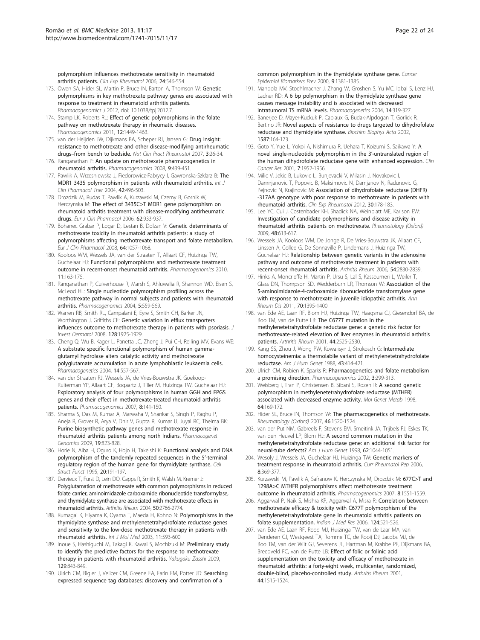<span id="page-21-0"></span>[polymorphism influences methotrexate sensitivity in rheumatoid](http://www.ncbi.nlm.nih.gov/pubmed/17181924?dopt=Abstract) [arthritis patients.](http://www.ncbi.nlm.nih.gov/pubmed/17181924?dopt=Abstract) Clin Exp Rheumatol 2006, 24:546-554.

- 173. Owen SA, Hider SL, Martin P, Bruce IN, Barton A, Thomson W: Genetic polymorphisms in key methotrexate pathway genes are associated with response to treatment in rheumatoid arthritis patients. Pharmacogenomics J 2012, doi: 10.1038/tpj.2012.7.
- 174. Stamp LK, Roberts RL: [Effect of genetic polymorphisms in the folate](http://www.ncbi.nlm.nih.gov/pubmed/22008049?dopt=Abstract) [pathway on methotrexate therapy in rheumatic diseases.](http://www.ncbi.nlm.nih.gov/pubmed/22008049?dopt=Abstract) Pharmacogenomics 2011, 12:1449-1463.
- 175. van der Heijden JW, Dijkmans BA, Scheper RJ, Jansen G: [Drug Insight:](http://www.ncbi.nlm.nih.gov/pubmed/17203006?dopt=Abstract) [resistance to methotrexate and other disease-modifying antirheumatic](http://www.ncbi.nlm.nih.gov/pubmed/17203006?dopt=Abstract) drugs–[from bench to bedside.](http://www.ncbi.nlm.nih.gov/pubmed/17203006?dopt=Abstract) Nat Clin Pract Rheumatol 2007, 3:26-34.
- 176. Ranganathan P: [An update on methotrexate pharmacogenetics in](http://www.ncbi.nlm.nih.gov/pubmed/18384257?dopt=Abstract) [rheumatoid arthritis.](http://www.ncbi.nlm.nih.gov/pubmed/18384257?dopt=Abstract) Pharmacogenomics 2008, 9:439-451.
- 177. Pawlik A, Wrzesniewska J, Fiedorowicz-Fabrycy I, Gawronska-Szklarz B: [The](http://www.ncbi.nlm.nih.gov/pubmed/15487808?dopt=Abstract) [MDR1 3435 polymorphism in patients with rheumatoid arthritis.](http://www.ncbi.nlm.nih.gov/pubmed/15487808?dopt=Abstract) Int J Clin Pharmacol Ther 2004, 42:496-503.
- 178. Drozdzik M, Rudas T, Pawlik A, Kurzawski M, Czerny B, Gornik W, Herczynska M: [The effect of 3435C>T MDR1 gene polymorphism on](http://www.ncbi.nlm.nih.gov/pubmed/16932953?dopt=Abstract) [rheumatoid arthritis treatment with disease-modifying antirheumatic](http://www.ncbi.nlm.nih.gov/pubmed/16932953?dopt=Abstract) [drugs.](http://www.ncbi.nlm.nih.gov/pubmed/16932953?dopt=Abstract) Eur J Clin Pharmacol 2006, 62:933-937.
- 179. Bohanec Grabar P, Logar D, Lestan B, Dolzan V: [Genetic determinants of](http://www.ncbi.nlm.nih.gov/pubmed/18607581?dopt=Abstract) [methotrexate toxicity in rheumatoid arthritis patients: a study of](http://www.ncbi.nlm.nih.gov/pubmed/18607581?dopt=Abstract) [polymorphisms affecting methotrexate transport and folate metabolism.](http://www.ncbi.nlm.nih.gov/pubmed/18607581?dopt=Abstract) Eur J Clin Pharmacol 2008, 64:1057-1068.
- 180. Kooloos WM, Wessels JA, van der Straaten T, Allaart CF, Huizinga TW, Guchelaar HJ: [Functional polymorphisms and methotrexate treatment](http://www.ncbi.nlm.nih.gov/pubmed/20136356?dopt=Abstract) [outcome in recent-onset rheumatoid arthritis.](http://www.ncbi.nlm.nih.gov/pubmed/20136356?dopt=Abstract) Pharmacogenomics 2010, 11:163-175.
- 181. Ranganathan P, Culverhouse R, Marsh S, Ahluwalia R, Shannon WD, Eisen S, McLeod HL: [Single nucleotide polymorphism profiling across the](http://www.ncbi.nlm.nih.gov/pubmed/15212592?dopt=Abstract) [methotrexate pathway in normal subjects and patients with rheumatoid](http://www.ncbi.nlm.nih.gov/pubmed/15212592?dopt=Abstract) [arthritis.](http://www.ncbi.nlm.nih.gov/pubmed/15212592?dopt=Abstract) Pharmacogenomics 2004, 5:559-569.
- 182. Warren RB, Smith RL, Campalani E, Eyre S, Smith CH, Barker JN, Worthington J, Griffiths CE: [Genetic variation in efflux transporters](http://www.ncbi.nlm.nih.gov/pubmed/18256692?dopt=Abstract) [influences outcome to methotrexate therapy in patients with psoriasis.](http://www.ncbi.nlm.nih.gov/pubmed/18256692?dopt=Abstract) J Invest Dermatol 2008, 128:1925-1929.
- 183. Cheng Q, Wu B, Kager L, Panetta JC, Zheng J, Pui CH, Relling MV, Evans WE: [A substrate specific functional polymorphism of human gamma](http://www.ncbi.nlm.nih.gov/pubmed/15284538?dopt=Abstract)[glutamyl hydrolase alters catalytic activity and methotrexate](http://www.ncbi.nlm.nih.gov/pubmed/15284538?dopt=Abstract) [polyglutamate accumulation in acute lymphoblastic leukaemia cells.](http://www.ncbi.nlm.nih.gov/pubmed/15284538?dopt=Abstract) Pharmacogenetics 2004, 14:557-567
- 184. van der Straaten RJ, Wessels JA, de Vries-Bouwstra JK, Goekoop-Ruiterman YP, Allaart CF, Bogaartz J, Tiller M, Huizinga TW, Guchelaar HJ: [Exploratory analysis of four polymorphisms in human GGH and FPGS](http://www.ncbi.nlm.nih.gov/pubmed/17286537?dopt=Abstract) [genes and their effect in methotrexate-treated rheumatoid arthritis](http://www.ncbi.nlm.nih.gov/pubmed/17286537?dopt=Abstract) [patients.](http://www.ncbi.nlm.nih.gov/pubmed/17286537?dopt=Abstract) Pharmacogenomics 2007, 8:141-150.
- 185. Sharma S, Das M, Kumar A, Marwaha V, Shankar S, Singh P, Raghu P, Aneja R, Grover R, Arya V, Dhir V, Gupta R, Kumar U, Juyal RC, Thelma BK: [Purine biosynthetic pathway genes and methotrexate response in](http://www.ncbi.nlm.nih.gov/pubmed/19902562?dopt=Abstract) [rheumatoid arthritis patients among north Indians.](http://www.ncbi.nlm.nih.gov/pubmed/19902562?dopt=Abstract) Pharmacogenet Genomics 2009, 19:823-828.
- 186. Horie N, Aiba H, Oguro K, Hojo H, Takeishi K: [Functional analysis and DNA](http://www.ncbi.nlm.nih.gov/pubmed/7586009?dopt=Abstract) [polymorphism of the tandemly repeated sequences in the 5](http://www.ncbi.nlm.nih.gov/pubmed/7586009?dopt=Abstract)'-terminal [regulatory region of the human gene for thymidylate synthase.](http://www.ncbi.nlm.nih.gov/pubmed/7586009?dopt=Abstract) Cell Struct Funct 1995, 20:191-197.
- 187. Dervieux T, Furst D, Lein DO, Capps R, Smith K, Walsh M, Kremer J: [Polyglutamation of methotrexate with common polymorphisms in reduced](http://www.ncbi.nlm.nih.gov/pubmed/15457444?dopt=Abstract) [folate carrier, aminoimidazole carboxamide ribonucleotide transformylase,](http://www.ncbi.nlm.nih.gov/pubmed/15457444?dopt=Abstract) [and thymidylate synthase are associated with methotrexate effects in](http://www.ncbi.nlm.nih.gov/pubmed/15457444?dopt=Abstract) [rheumatoid arthritis.](http://www.ncbi.nlm.nih.gov/pubmed/15457444?dopt=Abstract) Arthritis Rheum 2004, 50:2766-2774.
- 188. Kumagai K, Hiyama K, Oyama T, Maeda H, Kohno N: [Polymorphisms in the](http://www.ncbi.nlm.nih.gov/pubmed/12684695?dopt=Abstract) [thymidylate synthase and methylenetetrahydrofolate reductase genes](http://www.ncbi.nlm.nih.gov/pubmed/12684695?dopt=Abstract) [and sensitivity to the low-dose methotrexate therapy in patients with](http://www.ncbi.nlm.nih.gov/pubmed/12684695?dopt=Abstract) [rheumatoid arthritis.](http://www.ncbi.nlm.nih.gov/pubmed/12684695?dopt=Abstract) Int J Mol Med 2003, 11:593-600.
- 189. Inoue S, Hashiguchi M, Takagi K, Kawai S, Mochizuki M: [Preliminary study](http://www.ncbi.nlm.nih.gov/pubmed/19571519?dopt=Abstract) [to identify the predictive factors for the response to methotrexate](http://www.ncbi.nlm.nih.gov/pubmed/19571519?dopt=Abstract) [therapy in patients with rheumatoid arthritis.](http://www.ncbi.nlm.nih.gov/pubmed/19571519?dopt=Abstract) Yakugaku Zasshi 2009, 129:843-849.
- 190. Ulrich CM, Bigler J, Velicer CM, Greene EA, Farin FM, Potter JD: [Searching](http://www.ncbi.nlm.nih.gov/pubmed/11142426?dopt=Abstract) [expressed sequence tag databases: discovery and confirmation of a](http://www.ncbi.nlm.nih.gov/pubmed/11142426?dopt=Abstract)

[common polymorphism in the thymidylate synthase gene.](http://www.ncbi.nlm.nih.gov/pubmed/11142426?dopt=Abstract) Cancer Epidemiol Biomarkers Prev 2000, 9:1381-1385.

- 191. Mandola MV, Stoehlmacher J, Zhang W, Groshen S, Yu MC, Iqbal S, Lenz HJ, Ladner RD: [A 6 bp polymorphism in the thymidylate synthase gene](http://www.ncbi.nlm.nih.gov/pubmed/15115918?dopt=Abstract) [causes message instability and is associated with decreased](http://www.ncbi.nlm.nih.gov/pubmed/15115918?dopt=Abstract) [intratumoral TS mRNA levels.](http://www.ncbi.nlm.nih.gov/pubmed/15115918?dopt=Abstract) Pharmacogenetics 2004, 14:319-327.
- 192. Banerjee D, Mayer-Kuckuk P, Capiaux G, Budak-Alpdogan T, Gorlick R, Bertino JR: [Novel aspects of resistance to drugs targeted to dihydrofolate](http://www.ncbi.nlm.nih.gov/pubmed/12084458?dopt=Abstract) [reductase and thymidylate synthase.](http://www.ncbi.nlm.nih.gov/pubmed/12084458?dopt=Abstract) Biochim Biophys Acta 2002, 1587:164-173.
- 193. Goto Y, Yue L, Yokoi A, Nishimura R, Uehara T, Koizumi S, Saikawa Y: [A](http://www.ncbi.nlm.nih.gov/pubmed/11448909?dopt=Abstract) [novel single-nucleotide polymorphism in the 3](http://www.ncbi.nlm.nih.gov/pubmed/11448909?dopt=Abstract)'-untranslated region of [the human dihydrofolate reductase gene with enhanced expression.](http://www.ncbi.nlm.nih.gov/pubmed/11448909?dopt=Abstract) Clin Cancer Res 2001, 7:1952-1956.
- 194. Milic V, Jekic B, Lukovic L, Bunjevacki V, Milasin J, Novakovic I, Damnjanovic T, Popovic B, Maksimovic N, Damjanov N, Radunovic G, Pejnovic N, Krajinovic M: [Association of dihydrofolate reductase \(DHFR\)](http://www.ncbi.nlm.nih.gov/pubmed/22324981?dopt=Abstract) [-317AA genotype with poor response to methotrexate in patients with](http://www.ncbi.nlm.nih.gov/pubmed/22324981?dopt=Abstract) [rheumatoid arthritis.](http://www.ncbi.nlm.nih.gov/pubmed/22324981?dopt=Abstract) Clin Exp Rheumatol 2012, 30:178-183.
- 195. Lee YC, Cui J, Costenbader KH, Shadick NA, Weinblatt ME, Karlson EW: Investigation of candidate polymorphisms and disease activity in rheumatoid arthritis patients on methotrexate. Rheumatology (Oxford) 2009, 48:613-617.
- 196. Wessels JA, Kooloos WM, De Jonge R, De Vries-Bouwstra JK, Allaart CF, Linssen A, Collee G, De Sonnaville P, Lindemans J, Huizinga TW, Guchelaar HJ: [Relationship between genetic variants in the adenosine](http://www.ncbi.nlm.nih.gov/pubmed/16947783?dopt=Abstract) [pathway and outcome of methotrexate treatment in patients with](http://www.ncbi.nlm.nih.gov/pubmed/16947783?dopt=Abstract) [recent-onset rheumatoid arthritis.](http://www.ncbi.nlm.nih.gov/pubmed/16947783?dopt=Abstract) Arthritis Rheum 2006, 54:2830-2839.
- 197. Hinks A, Moncrieffe H, Martin P, Ursu S, Lal S, Kassoumeri L, Weiler T, Glass DN, Thompson SD, Wedderburn LR, Thomson W: [Association of the](http://www.ncbi.nlm.nih.gov/pubmed/21515602?dopt=Abstract) [5-aminoimidazole-4-carboxamide ribonucleotide transformylase gene](http://www.ncbi.nlm.nih.gov/pubmed/21515602?dopt=Abstract) [with response to methotrexate in juvenile idiopathic arthritis.](http://www.ncbi.nlm.nih.gov/pubmed/21515602?dopt=Abstract) Ann Rheum Dis 2011, 70:1395-1400.
- 198. van Ede AE, Laan RF, Blom HJ, Huizinga TW, Haagsma CJ, Giesendorf BA, de Boo TM, van de Putte LB: [The C677T mutation in the](http://www.ncbi.nlm.nih.gov/pubmed/11710708?dopt=Abstract) [methylenetetrahydrofolate reductase gene: a genetic risk factor for](http://www.ncbi.nlm.nih.gov/pubmed/11710708?dopt=Abstract) [methotrexate-related elevation of liver enzymes in rheumatoid arthritis](http://www.ncbi.nlm.nih.gov/pubmed/11710708?dopt=Abstract) [patients.](http://www.ncbi.nlm.nih.gov/pubmed/11710708?dopt=Abstract) Arthritis Rheum 2001, 44:2525-2530.
- 199. Kang SS, Zhou J, Wong PW, Kowalisyn J, Strokosch G: [Intermediate](http://www.ncbi.nlm.nih.gov/pubmed/3177384?dopt=Abstract) [homocysteinemia: a thermolabile variant of methylenetetrahydrofolate](http://www.ncbi.nlm.nih.gov/pubmed/3177384?dopt=Abstract) [reductase.](http://www.ncbi.nlm.nih.gov/pubmed/3177384?dopt=Abstract) Am J Hum Genet 1988, 43:414-421.
- 200. Ulrich CM, Robien K, Sparks R: [Pharmacogenetics and folate metabolism](http://www.ncbi.nlm.nih.gov/pubmed/12052139?dopt=Abstract) [a promising direction.](http://www.ncbi.nlm.nih.gov/pubmed/12052139?dopt=Abstract) Pharmacogenomics 2002, 3:299-313.
- 201. Weisberg I, Tran P, Christensen B, Sibani S, Rozen R: [A second genetic](http://www.ncbi.nlm.nih.gov/pubmed/9719624?dopt=Abstract) [polymorphism in methylenetetrahydrofolate reductase \(MTHFR\)](http://www.ncbi.nlm.nih.gov/pubmed/9719624?dopt=Abstract) [associated with decreased enzyme activity.](http://www.ncbi.nlm.nih.gov/pubmed/9719624?dopt=Abstract) Mol Genet Metab 1998, 64:169-172.
- 202. Hider SL, Bruce IN, Thomson W: The pharmacogenetics of methotrexate. Rheumatology (Oxford) 2007, 46:1520-1524.
- 203. van der Put NM, Gabreels F, Stevens EM, Smeitink JA, Trijbels FJ, Eskes TK, van den Heuvel LP, Blom HJ: [A second common mutation in the](http://www.ncbi.nlm.nih.gov/pubmed/9545395?dopt=Abstract) [methylenetetrahydrofolate reductase gene: an additional risk factor for](http://www.ncbi.nlm.nih.gov/pubmed/9545395?dopt=Abstract) [neural-tube defects?](http://www.ncbi.nlm.nih.gov/pubmed/9545395?dopt=Abstract) Am J Hum Genet 1998, 62:1044-1051.
- 204. Wesoly J, Wessels JA, Guchelaar HJ, Huizinga TW: [Genetic markers of](http://www.ncbi.nlm.nih.gov/pubmed/16973111?dopt=Abstract) [treatment response in rheumatoid arthritis.](http://www.ncbi.nlm.nih.gov/pubmed/16973111?dopt=Abstract) Curr Rheumatol Rep 2006, 8:369-377.
- 205. Kurzawski M, Pawlik A, Safranow K, Herczynska M, Drozdzik M: [677C>T and](http://www.ncbi.nlm.nih.gov/pubmed/18034620?dopt=Abstract) [1298A>C MTHFR polymorphisms affect methotrexate treatment](http://www.ncbi.nlm.nih.gov/pubmed/18034620?dopt=Abstract) [outcome in rheumatoid arthritis.](http://www.ncbi.nlm.nih.gov/pubmed/18034620?dopt=Abstract) Pharmacogenomics 2007, 8:1551-1559.
- 206. Aggarwal P, Naik S, Mishra KP, Aggarwal A, Misra R: [Correlation between](http://www.ncbi.nlm.nih.gov/pubmed/17213520?dopt=Abstract) [methotrexate efficacy & toxicity with C677T polymorphism of the](http://www.ncbi.nlm.nih.gov/pubmed/17213520?dopt=Abstract) [methylenetetrahydrofolate gene in rheumatoid arthritis patients on](http://www.ncbi.nlm.nih.gov/pubmed/17213520?dopt=Abstract) [folate supplementation.](http://www.ncbi.nlm.nih.gov/pubmed/17213520?dopt=Abstract) Indian J Med Res 2006, 124:521-526.
- 207. van Ede AE, Laan RF, Rood MJ, Huizinga TW, van de Laar MA, van Denderen CJ, Westgeest TA, Romme TC, de Rooij DJ, Jacobs MJ, de Boo TM, van der Wilt GJ, Severens JL, Hartman M, Krabbe PF, Dijkmans BA, Breedveld FC, van de Putte LB: [Effect of folic or folinic acid](http://www.ncbi.nlm.nih.gov/pubmed/11465701?dopt=Abstract) [supplementation on the toxicity and efficacy of methotrexate in](http://www.ncbi.nlm.nih.gov/pubmed/11465701?dopt=Abstract) [rheumatoid arthritis: a forty-eight week, multicenter, randomized,](http://www.ncbi.nlm.nih.gov/pubmed/11465701?dopt=Abstract) [double-blind, placebo-controlled study.](http://www.ncbi.nlm.nih.gov/pubmed/11465701?dopt=Abstract) Arthritis Rheum 2001, 44:1515-1524.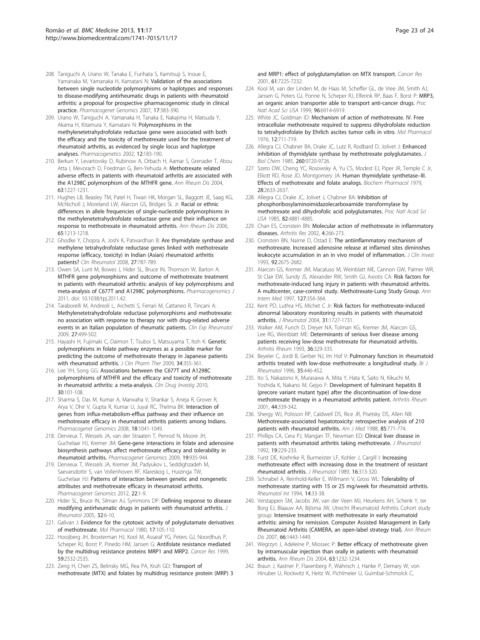- <span id="page-22-0"></span>208. Taniguchi A, Urano W, Tanaka E, Furihata S, Kamitsuji S, Inoue E, Yamanaka M, Yamanaka H, Kamatani N: [Validation of the associations](http://www.ncbi.nlm.nih.gov/pubmed/17502830?dopt=Abstract) [between single nucleotide polymorphisms or haplotypes and responses](http://www.ncbi.nlm.nih.gov/pubmed/17502830?dopt=Abstract) [to disease-modifying antirheumatic drugs in patients with rheumatoid](http://www.ncbi.nlm.nih.gov/pubmed/17502830?dopt=Abstract) [arthritis: a proposal for prospective pharmacogenomic study in clinical](http://www.ncbi.nlm.nih.gov/pubmed/17502830?dopt=Abstract) [practice.](http://www.ncbi.nlm.nih.gov/pubmed/17502830?dopt=Abstract) Pharmacogenet Genomics 2007, 17:383-390.
- 209. Urano W, Taniguchi A, Yamanaka H, Tanaka E, Nakajima H, Matsuda Y, Akama H, Kitamura Y, Kamatani N: [Polymorphisms in the](http://www.ncbi.nlm.nih.gov/pubmed/11927833?dopt=Abstract) [methylenetetrahydrofolate reductase gene were associated with both](http://www.ncbi.nlm.nih.gov/pubmed/11927833?dopt=Abstract) [the efficacy and the toxicity of methotrexate used for the treatment of](http://www.ncbi.nlm.nih.gov/pubmed/11927833?dopt=Abstract) [rheumatoid arthritis, as evidenced by single locus and haplotype](http://www.ncbi.nlm.nih.gov/pubmed/11927833?dopt=Abstract) [analyses.](http://www.ncbi.nlm.nih.gov/pubmed/11927833?dopt=Abstract) Pharmacogenetics 2002, 12:183-190.
- 210. Berkun Y, Levartovsky D, Rubinow A, Orbach H, Aamar S, Grenader T, Abou Atta I, Mevorach D, Friedman G, Ben-Yehuda A: [Methotrexate related](http://www.ncbi.nlm.nih.gov/pubmed/15361376?dopt=Abstract) [adverse effects in patients with rheumatoid arthritis are associated with](http://www.ncbi.nlm.nih.gov/pubmed/15361376?dopt=Abstract) [the A1298C polymorphism of the MTHFR gene.](http://www.ncbi.nlm.nih.gov/pubmed/15361376?dopt=Abstract) Ann Rheum Dis 2004, 63:1227-1231.
- 211. Hughes LB, Beasley TM, Patel H, Tiwari HK, Morgan SL, Baggott JE, Saag KG, McNicholl J, Moreland LW, Alarcon GS, Bridges SL Jr: [Racial or ethnic](http://www.ncbi.nlm.nih.gov/pubmed/16439441?dopt=Abstract) [differences in allele frequencies of single-nucleotide polymorphisms in](http://www.ncbi.nlm.nih.gov/pubmed/16439441?dopt=Abstract) [the methylenetetrahydrofolate reductase gene and their influence on](http://www.ncbi.nlm.nih.gov/pubmed/16439441?dopt=Abstract) [response to methotrexate in rheumatoid arthritis.](http://www.ncbi.nlm.nih.gov/pubmed/16439441?dopt=Abstract) Ann Rheum Dis 2006, 65:1213-1218.
- 212. Ghodke Y, Chopra A, Joshi K, Patwardhan B: [Are thymidylate synthase and](http://www.ncbi.nlm.nih.gov/pubmed/18274813?dopt=Abstract) [methylene tetrahydrofolate reductase genes linked with methotrexate](http://www.ncbi.nlm.nih.gov/pubmed/18274813?dopt=Abstract) [response \(efficacy, toxicity\) in Indian \(Asian\) rheumatoid arthritis](http://www.ncbi.nlm.nih.gov/pubmed/18274813?dopt=Abstract) [patients?](http://www.ncbi.nlm.nih.gov/pubmed/18274813?dopt=Abstract) Clin Rheumatol 2008, 27:787-789.
- 213. Owen SA, Lunt M, Bowes J, Hider SL, Bruce IN, Thomson W, Barton A: MTHFR gene polymorphisms and outcome of methotrexate treatment in patients with rheumatoid arthritis: analysis of key polymorphisms and meta-analysis of C677T and A1298C polymorphisms. Pharmacogenomics J 2011, doi: 10.1038/tpj.2011.42.
- 214. Taraborelli M, Andreoli L, Archetti S, Ferrari M, Cattaneo R, Tincani A: [Methylenetetrahydrofolate reductase polymorphisms and methotrexate:](http://www.ncbi.nlm.nih.gov/pubmed/19604445?dopt=Abstract) [no association with response to therapy nor with drug-related adverse](http://www.ncbi.nlm.nih.gov/pubmed/19604445?dopt=Abstract) [events in an Italian population of rheumatic patients.](http://www.ncbi.nlm.nih.gov/pubmed/19604445?dopt=Abstract) Clin Exp Rheumatol 2009, 27:499-502.
- 215. Hayashi H, Fujimaki C, Daimon T, Tsuboi S, Matsuyama T, Itoh K: [Genetic](http://www.ncbi.nlm.nih.gov/pubmed/19827168?dopt=Abstract) [polymorphisms in folate pathway enzymes as a possible marker for](http://www.ncbi.nlm.nih.gov/pubmed/19827168?dopt=Abstract) [predicting the outcome of methotrexate therapy in Japanese patients](http://www.ncbi.nlm.nih.gov/pubmed/19827168?dopt=Abstract) [with rheumatoid arthritis.](http://www.ncbi.nlm.nih.gov/pubmed/19827168?dopt=Abstract) J Clin Pharm Ther 2009, 34:355-361.
- 216. Lee YH, Song GG: [Associations between the C677T and A1298C](http://www.ncbi.nlm.nih.gov/pubmed/20067328?dopt=Abstract) [polymorphisms of MTHFR and the efficacy and toxicity of methotrexate](http://www.ncbi.nlm.nih.gov/pubmed/20067328?dopt=Abstract) [in rheumatoid arthritis: a meta-analysis.](http://www.ncbi.nlm.nih.gov/pubmed/20067328?dopt=Abstract) Clin Drug Investig 2010, 30:101-108.
- 217. Sharma S, Das M, Kumar A, Marwaha V, Shankar S, Aneja R, Grover R, Arya V, Dhir V, Gupta R, Kumar U, Juyal RC, Thelma BK: [Interaction of](http://www.ncbi.nlm.nih.gov/pubmed/19093297?dopt=Abstract) [genes from influx-metabolism-efflux pathway and their influence on](http://www.ncbi.nlm.nih.gov/pubmed/19093297?dopt=Abstract) [methotrexate efficacy in rheumatoid arthritis patients among Indians.](http://www.ncbi.nlm.nih.gov/pubmed/19093297?dopt=Abstract) Pharmacogenet Genomics 2008, 18:1041-1049.
- 218. Dervieux T, Wessels JA, van der Straaten T, Penrod N, Moore JH, Guchelaar HJ, Kremer JM: [Gene-gene interactions in folate and adenosine](http://www.ncbi.nlm.nih.gov/pubmed/19858780?dopt=Abstract) [biosynthesis pathways affect methotrexate efficacy and tolerability in](http://www.ncbi.nlm.nih.gov/pubmed/19858780?dopt=Abstract) [rheumatoid arthritis.](http://www.ncbi.nlm.nih.gov/pubmed/19858780?dopt=Abstract) Pharmacogenet Genomics 2009, 19:935-944.
- 219. Dervieux T, Wessels JA, Kremer JM, Padyukov L, Seddighzadeh M, Saevarsdottir S, van Vollenhoven RF, Klareskog L, Huizinga TW, Guchelaar HJ: [Patterns of interaction between genetic and nongenetic](http://www.ncbi.nlm.nih.gov/pubmed/22044941?dopt=Abstract) [attributes and methotrexate efficacy in rheumatoid arthritis.](http://www.ncbi.nlm.nih.gov/pubmed/22044941?dopt=Abstract) Pharmacogenet Genomics 2012, 22:1-9.
- 220. Hider SL, Bruce IN, Silman AJ, Symmons DP: [Defining response to disease](http://www.ncbi.nlm.nih.gov/pubmed/15630715?dopt=Abstract) [modifying antirheumatic drugs in patients with rheumatoid arthritis.](http://www.ncbi.nlm.nih.gov/pubmed/15630715?dopt=Abstract) J Rheumatol 2005, 32:6-10.
- 221. Galivan J: [Evidence for the cytotoxic activity of polyglutamate derivatives](http://www.ncbi.nlm.nih.gov/pubmed/6155601?dopt=Abstract) [of methotrexate.](http://www.ncbi.nlm.nih.gov/pubmed/6155601?dopt=Abstract) Mol Pharmacol 1980, 17:105-110.
- 222. Hooijberg JH, Broxterman HJ, Kool M, Assaraf YG, Peters GJ, Noordhuis P, Scheper RJ, Borst P, Pinedo HM, Jansen G: [Antifolate resistance mediated](http://www.ncbi.nlm.nih.gov/pubmed/10363967?dopt=Abstract) [by the multidrug resistance proteins MRP1 and MRP2.](http://www.ncbi.nlm.nih.gov/pubmed/10363967?dopt=Abstract) Cancer Res 1999, 59:2532-2535.
- 223. Zeng H, Chen ZS, Belinsky MG, Rea PA, Kruh GD: [Transport of](http://www.ncbi.nlm.nih.gov/pubmed/11585759?dopt=Abstract) [methotrexate \(MTX\) and folates by multidrug resistance protein \(MRP\) 3](http://www.ncbi.nlm.nih.gov/pubmed/11585759?dopt=Abstract)

[and MRP1: effect of polyglutamylation on MTX transport.](http://www.ncbi.nlm.nih.gov/pubmed/11585759?dopt=Abstract) Cancer Res 2001, 61:7225-7232.

- 224. Kool M, van der Linden M, de Haas M, Scheffer GL, de Vree JM, Smith AJ, Jansen G, Peters GJ, Ponne N, Scheper RJ, Elferink RP, Baas F, Borst P: [MRP3,](http://www.ncbi.nlm.nih.gov/pubmed/10359813?dopt=Abstract) [an organic anion transporter able to transport anti-cancer drugs.](http://www.ncbi.nlm.nih.gov/pubmed/10359813?dopt=Abstract) Proc Natl Acad Sci USA 1999, 96:6914-6919.
- 225. White JC, Goldman ID: [Mechanism of action of methotrexate. IV. Free](http://www.ncbi.nlm.nih.gov/pubmed/1033456?dopt=Abstract) [intracellular methotrexate required to suppress dihydrofolate reduction](http://www.ncbi.nlm.nih.gov/pubmed/1033456?dopt=Abstract) [to tetrahydrofolate by Ehrlich ascites tumor cells in vitro.](http://www.ncbi.nlm.nih.gov/pubmed/1033456?dopt=Abstract) Mol Pharmacol 1976, 12:711-719.
- 226. Allegra CJ, Chabner BA, Drake JC, Lutz R, Rodbard D, Jolivet J: [Enhanced](http://www.ncbi.nlm.nih.gov/pubmed/2410416?dopt=Abstract) [inhibition of thymidylate synthase by methotrexate polyglutamates.](http://www.ncbi.nlm.nih.gov/pubmed/2410416?dopt=Abstract) J Biol Chem 1985, 260:9720-9726.
- 227. Szeto DW, Cheng YC, Rosowsky A, Yu CS, Modest EJ, Piper JR, Temple C Jr, Elliott RD, Rose JD, Montgomery JA: [Human thymidylate synthetase](http://www.ncbi.nlm.nih.gov/pubmed/518674?dopt=Abstract)–III. [Effects of methotrexate and folate analogs.](http://www.ncbi.nlm.nih.gov/pubmed/518674?dopt=Abstract) Biochem Pharmacol 1979, 28:2633-2637.
- 228. Allegra CJ, Drake JC, Jolivet J, Chabner BA: [Inhibition of](http://www.ncbi.nlm.nih.gov/pubmed/3860829?dopt=Abstract) [phosphoribosylaminoimidazolecarboxamide transformylase by](http://www.ncbi.nlm.nih.gov/pubmed/3860829?dopt=Abstract) [methotrexate and dihydrofolic acid polyglutamates.](http://www.ncbi.nlm.nih.gov/pubmed/3860829?dopt=Abstract) Proc Natl Acad Sci USA 1985, 82:4881-4885.
- 229. Chan ES, Cronstein BN: [Molecular action of methotrexate in inflammatory](http://www.ncbi.nlm.nih.gov/pubmed/12106498?dopt=Abstract) [diseases.](http://www.ncbi.nlm.nih.gov/pubmed/12106498?dopt=Abstract) Arthritis Res 2002, 4:266-273.
- 230. Cronstein BN, Naime D, Ostad E: [The antiinflammatory mechanism of](http://www.ncbi.nlm.nih.gov/pubmed/8254024?dopt=Abstract) [methotrexate. Increased adenosine release at inflamed sites diminishes](http://www.ncbi.nlm.nih.gov/pubmed/8254024?dopt=Abstract) [leukocyte accumulation in an in vivo model of inflammation.](http://www.ncbi.nlm.nih.gov/pubmed/8254024?dopt=Abstract) J Clin Invest 1993, 92:2675-2682.
- 231. Alarcon GS, Kremer JM, Macaluso M, Weinblatt ME, Cannon GW, Palmer WR, St Clair EW, Sundy JS, Alexander RW, Smith GJ, Axiotis CA: [Risk factors for](http://www.ncbi.nlm.nih.gov/pubmed/9273826?dopt=Abstract) [methotrexate-induced lung injury in patients with rheumatoid arthritis.](http://www.ncbi.nlm.nih.gov/pubmed/9273826?dopt=Abstract) [A multicenter, case-control study. Methotrexate-Lung Study Group.](http://www.ncbi.nlm.nih.gov/pubmed/9273826?dopt=Abstract) Ann Intern Med 1997, 127:356-364.
- 232. Kent PD, Luthra HS, Michet C Jr: [Risk factors for methotrexate-induced](http://www.ncbi.nlm.nih.gov/pubmed/15338491?dopt=Abstract) [abnormal laboratory monitoring results in patients with rheumatoid](http://www.ncbi.nlm.nih.gov/pubmed/15338491?dopt=Abstract) [arthritis.](http://www.ncbi.nlm.nih.gov/pubmed/15338491?dopt=Abstract) J Rheumatol 2004, 31:1727-1731.
- 233. Walker AM, Funch D, Dreyer NA, Tolman KG, Kremer JM, Alarcon GS, Lee RG, Weinblatt ME: [Determinants of serious liver disease among](http://www.ncbi.nlm.nih.gov/pubmed/8452577?dopt=Abstract) [patients receiving low-dose methotrexate for rheumatoid arthritis.](http://www.ncbi.nlm.nih.gov/pubmed/8452577?dopt=Abstract) Arthritis Rheum 1993, 36:329-335.
- 234. Beyeler C, Jordi B, Gerber NJ, Im Hof V: [Pulmonary function in rheumatoid](http://www.ncbi.nlm.nih.gov/pubmed/8646435?dopt=Abstract) [arthritis treated with low-dose methotrexate: a longitudinal study.](http://www.ncbi.nlm.nih.gov/pubmed/8646435?dopt=Abstract) Br J Rheumatol 1996, 35:446-452.
- 235. Ito S, Nakazono K, Murasawa A, Mita Y, Hata K, Saito N, Kikuchi M, Yoshida K, Nakano M, Gejyo F: [Development of fulminant hepatitis B](http://www.ncbi.nlm.nih.gov/pubmed/11229464?dopt=Abstract) [\(precore variant mutant type\) after the discontinuation of low-dose](http://www.ncbi.nlm.nih.gov/pubmed/11229464?dopt=Abstract) [methotrexate therapy in a rheumatoid arthritis patient.](http://www.ncbi.nlm.nih.gov/pubmed/11229464?dopt=Abstract) Arthritis Rheum 2001, 44:339-342.
- 236. Shergy WJ, Polisson RP, Caldwell DS, Rice JR, Pisetsky DS, Allen NB: [Methotrexate-associated hepatotoxicity: retrospective analysis of 210](http://www.ncbi.nlm.nih.gov/pubmed/3195601?dopt=Abstract) [patients with rheumatoid arthritis.](http://www.ncbi.nlm.nih.gov/pubmed/3195601?dopt=Abstract) Am J Med 1988, 85:771-774.
- 237. Phillips CA, Cera PJ, Mangan TF, Newman ED: [Clinical liver disease in](http://www.ncbi.nlm.nih.gov/pubmed/1629819?dopt=Abstract) [patients with rheumatoid arthritis taking methotrexate.](http://www.ncbi.nlm.nih.gov/pubmed/1629819?dopt=Abstract) J Rheumatol 1992, 19:229-233.
- 238. Furst DE, Koehnke R, Burmeister LF, Kohler J, Cargill I: [Increasing](http://www.ncbi.nlm.nih.gov/pubmed/2724250?dopt=Abstract) [methotrexate effect with increasing dose in the treatment of resistant](http://www.ncbi.nlm.nih.gov/pubmed/2724250?dopt=Abstract) [rheumatoid arthritis.](http://www.ncbi.nlm.nih.gov/pubmed/2724250?dopt=Abstract) J Rheumatol 1989, 16:313-320.
- 239. Schnabel A, Reinhold-Keller E, Willmann V, Gross WL: [Tolerability of](http://www.ncbi.nlm.nih.gov/pubmed/7939138?dopt=Abstract) [methotrexate starting with 15 or 25 mg/week for rheumatoid arthritis.](http://www.ncbi.nlm.nih.gov/pubmed/7939138?dopt=Abstract) Rheumatol Int 1994, 14:33-38.
- 240. Verstappen SM, Jacobs JW, van der Veen MJ, Heurkens AH, Schenk Y, ter Borg EJ, Blaauw AA, Bijlsma JW, Utrecht Rheumatoid Arthritis Cohort study group: [Intensive treatment with methotrexate in early rheumatoid](http://www.ncbi.nlm.nih.gov/pubmed/17519278?dopt=Abstract) [arthritis: aiming for remission. Computer Assisted Management in Early](http://www.ncbi.nlm.nih.gov/pubmed/17519278?dopt=Abstract) [Rheumatoid Arthritis \(CAMERA, an open-label strategy trial\).](http://www.ncbi.nlm.nih.gov/pubmed/17519278?dopt=Abstract) Ann Rheum Dis 2007, 66:1443-1449.
- 241. Wegrzyn J, Adeleine P, Miossec P: [Better efficacy of methotrexate given](http://www.ncbi.nlm.nih.gov/pubmed/15361377?dopt=Abstract) [by intramuscular injection than orally in patients with rheumatoid](http://www.ncbi.nlm.nih.gov/pubmed/15361377?dopt=Abstract) [arthritis.](http://www.ncbi.nlm.nih.gov/pubmed/15361377?dopt=Abstract) Ann Rheum Dis 2004, 63:1232-1234.
- 242. Braun J, Kastner P, Flaxenberg P, Wahrisch J, Hanke P, Demary W, von Hinuber U, Rockwitz K, Heitz W, Pichlmeier U, Guimbal-Schmolck C,